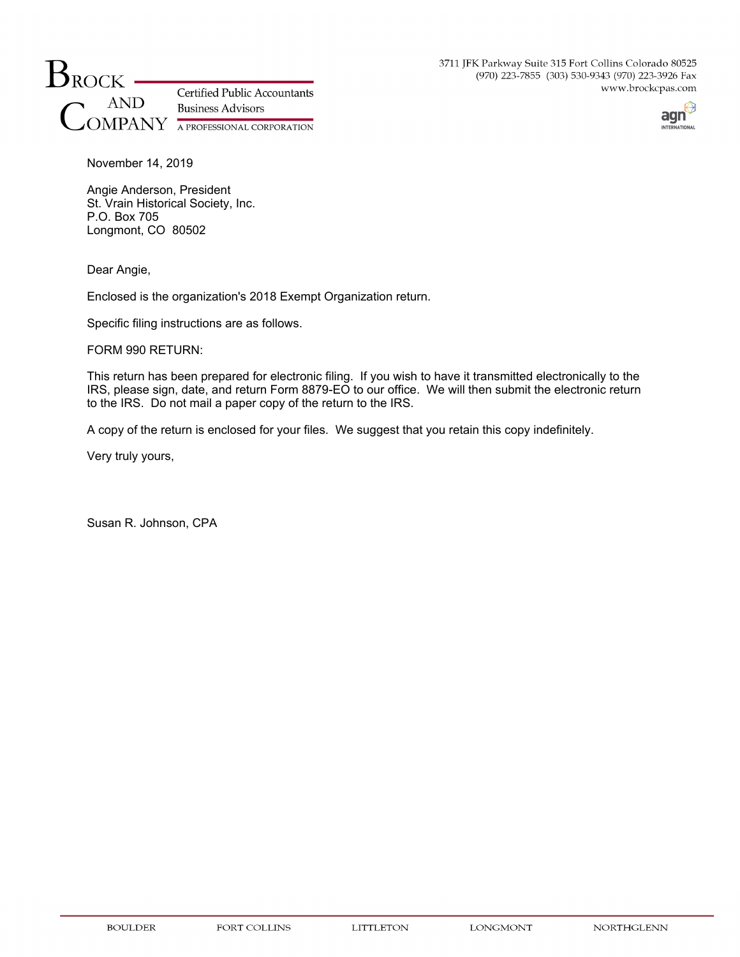3711 JFK Parkway Suite 315 Fort Collins Colorado 80525 (970) 223-7855 (303) 530-9343 (970) 223-3926 Fax www.brockcpas.com





November 14, 2019

Angie Anderson, President St. Vrain Historical Society, Inc. P.O. Box 705 Longmont, CO 80502

Dear Angie,

Enclosed is the organization's 2018 Exempt Organization return.

Specific filing instructions are as follows.

## FORM 990 RETURN:

This return has been prepared for electronic filing. If you wish to have it transmitted electronically to the IRS, please sign, date, and return Form 8879-EO to our office. We will then submit the electronic return to the IRS. Do not mail a paper copy of the return to the IRS.

A copy of the return is enclosed for your files. We suggest that you retain this copy indefinitely.

Very truly yours,

Susan R. Johnson, CPA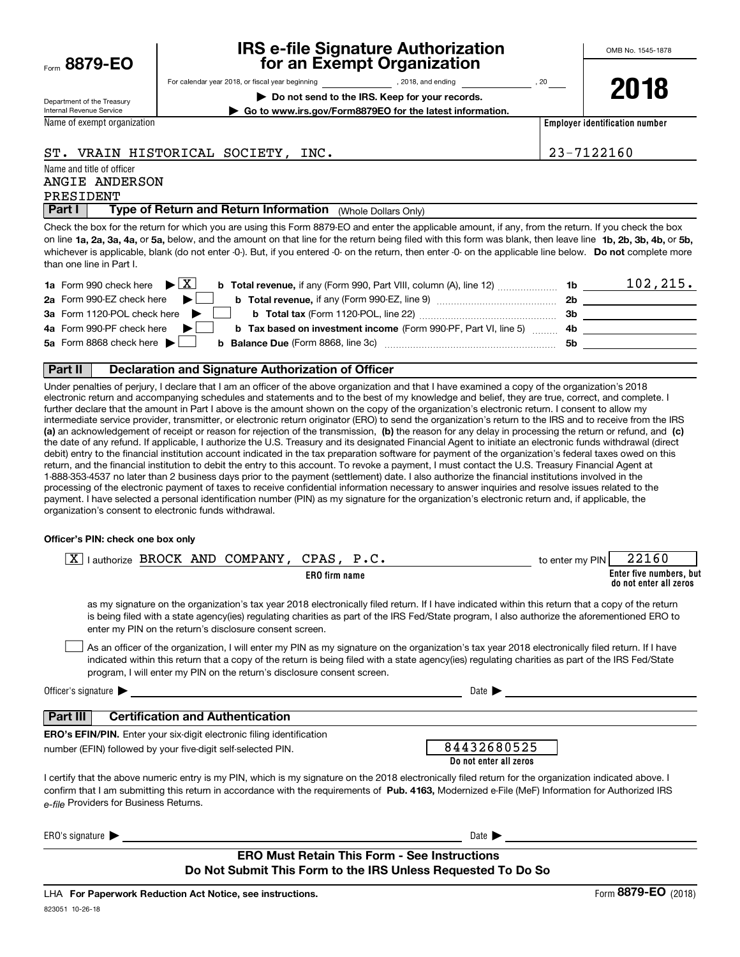| Form $8879$ -EO |  |  |
|-----------------|--|--|
|                 |  |  |

## **IRS e-file Signature Authorization for an Exempt Organization**

**| Go to www.irs.gov/Form8879EO for the latest information.**

Department of the Treasury

For calendar year 2018, or fiscal year beginning and the state of the state of 2018, and ending calendary pear of 20

**| Do not send to the IRS. Keep for your records.**

**2018**

Internal Revenue Service

Name of exempt organization

**Employer identification number**

ST. VRAIN HISTORICAL SOCIETY, INC. 23-7122160

## Name and title of officer PRESIDENT ANGIE ANDERSON

**Part I** | Type of Return and Return Information (Whole Dollars Only)

on line **1a, 2a, 3a, 4a,** or **5a,** below, and the amount on that line for the return being filed with this form was blank, then leave line **1b, 2b, 3b, 4b,** or **5b,** whichever is applicable, blank (do not enter -0-). But, if you entered -0- on the return, then enter -0- on the applicable line below. **Do not** complete more Check the box for the return for which you are using this Form 8879-EO and enter the applicable amount, if any, from the return. If you check the box than one line in Part I.

| <b>1a</b> Form 990 check here $\blacktriangleright \boxed{X}$                                          | 1b        | 102, 215. |
|--------------------------------------------------------------------------------------------------------|-----------|-----------|
| 2a Form 990-EZ check here                                                                              | <b>2b</b> |           |
| 3a Form 1120-POL check here                                                                            | 3b        |           |
| 4a Form 990-PF check here<br><b>b</b> Tax based on investment income (Form 990-PF, Part VI, line 5) 4b |           |           |
| 5a Form 8868 check here $\blacktriangleright$<br><b>b</b> Balance Due (Form 8868, line 3c)             | .5b       |           |
|                                                                                                        |           |           |

### **Part II Declaration and Signature Authorization of Officer**

**(a)** an acknowledgement of receipt or reason for rejection of the transmission, (b) the reason for any delay in processing the return or refund, and (c) Under penalties of perjury, I declare that I am an officer of the above organization and that I have examined a copy of the organization's 2018 electronic return and accompanying schedules and statements and to the best of my knowledge and belief, they are true, correct, and complete. I further declare that the amount in Part I above is the amount shown on the copy of the organization's electronic return. I consent to allow my intermediate service provider, transmitter, or electronic return originator (ERO) to send the organization's return to the IRS and to receive from the IRS the date of any refund. If applicable, I authorize the U.S. Treasury and its designated Financial Agent to initiate an electronic funds withdrawal (direct debit) entry to the financial institution account indicated in the tax preparation software for payment of the organization's federal taxes owed on this return, and the financial institution to debit the entry to this account. To revoke a payment, I must contact the U.S. Treasury Financial Agent at 1-888-353-4537 no later than 2 business days prior to the payment (settlement) date. I also authorize the financial institutions involved in the processing of the electronic payment of taxes to receive confidential information necessary to answer inquiries and resolve issues related to the payment. I have selected a personal identification number (PIN) as my signature for the organization's electronic return and, if applicable, the organization's consent to electronic funds withdrawal.

### **Officer's PIN: check one box only**

| lauthorize BROCK AND COMPANY, CPAS, P.C.<br>X                                                                                                                                                                                                                                                                                                                                    | 22160<br>to enter my PIN                          |
|----------------------------------------------------------------------------------------------------------------------------------------------------------------------------------------------------------------------------------------------------------------------------------------------------------------------------------------------------------------------------------|---------------------------------------------------|
| <b>ERO</b> firm name                                                                                                                                                                                                                                                                                                                                                             | Enter five numbers, but<br>do not enter all zeros |
| as my signature on the organization's tax year 2018 electronically filed return. If I have indicated within this return that a copy of the return<br>is being filed with a state agency(ies) regulating charities as part of the IRS Fed/State program, I also authorize the aforementioned ERO to<br>enter my PIN on the return's disclosure consent screen.                    |                                                   |
| As an officer of the organization, I will enter my PIN as my signature on the organization's tax year 2018 electronically filed return. If I have<br>indicated within this return that a copy of the return is being filed with a state agency(ies) regulating charities as part of the IRS Fed/State<br>program, I will enter my PIN on the return's disclosure consent screen. |                                                   |
| Officer's signature $\blacktriangleright$<br>and the state of the state of the state of the state of the state of the state of the state of the state of the                                                                                                                                                                                                                     | Date $\blacktriangleright$                        |
| <b>Certification and Authentication</b><br>Part III                                                                                                                                                                                                                                                                                                                              |                                                   |
| <b>ERO's EFIN/PIN.</b> Enter your six-digit electronic filing identification                                                                                                                                                                                                                                                                                                     |                                                   |
| number (EFIN) followed by your five-digit self-selected PIN.                                                                                                                                                                                                                                                                                                                     | 84432680525                                       |
|                                                                                                                                                                                                                                                                                                                                                                                  | Do not enter all zeros                            |
| I certify that the above numeric entry is my PIN, which is my signature on the 2018 electronically filed return for the organization indicated above. I<br>confirm that I am submitting this return in accordance with the requirements of Pub. 4163, Modernized e-File (MeF) Information for Authorized IRS<br>e-file Providers for Business Returns.                           |                                                   |
| ERO's signature<br><u> 1980 - John Stein, Amerikaansk politiker (</u>                                                                                                                                                                                                                                                                                                            | Date $\blacktriangleright$                        |
| <b>ERO Must Retain This Form - See Instructions</b><br>Do Not Submit This Form to the IRS Unless Requested To Do So                                                                                                                                                                                                                                                              |                                                   |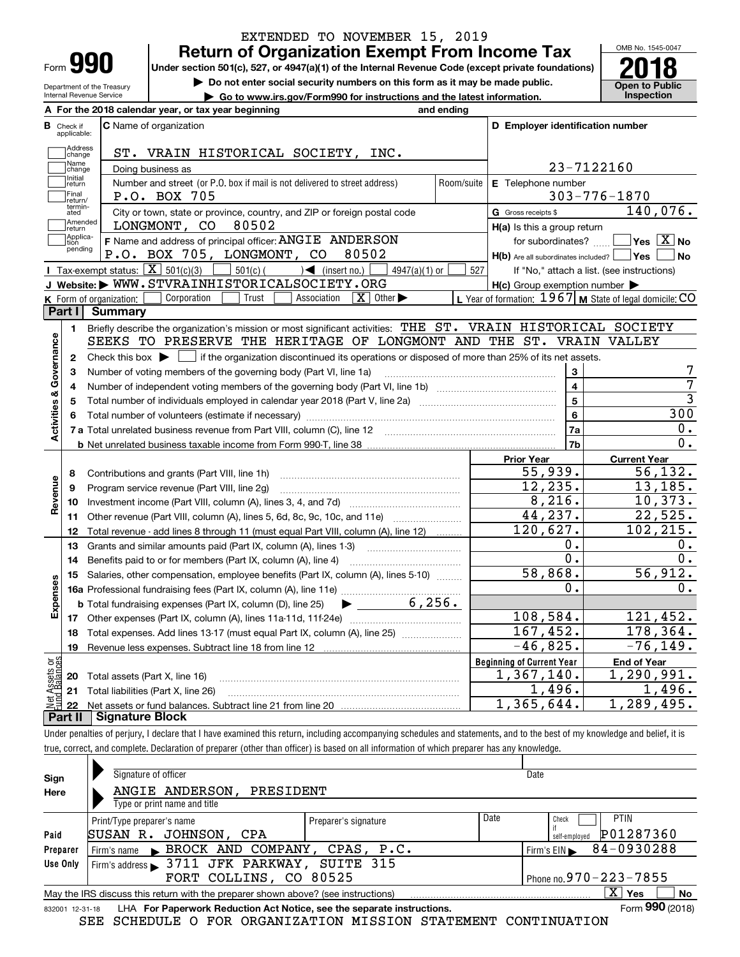**A**

Department of the Treasury Internal Revenue Service

## **Return of Organization Exempt From Income Tax** EXTENDED TO NOVEMBER 15, 2019

Under section 501(c), 527, or 4947(a)(1) of the Internal Revenue Code (except private foundations) **2018** 

**| Do not enter social security numbers on this form as it may be made public.**

**| Go to www.irs.gov/Form990 for instructions and the latest information. Inspection**



|                         |                             | A For the 2018 calendar year, or tax year beginning                                                                                                      | and ending     |                                                                                |                                                           |
|-------------------------|-----------------------------|----------------------------------------------------------------------------------------------------------------------------------------------------------|----------------|--------------------------------------------------------------------------------|-----------------------------------------------------------|
| В                       | Check if<br>applicable:     | <b>C</b> Name of organization                                                                                                                            |                | D Employer identification number                                               |                                                           |
|                         | Address<br>change           | ST. VRAIN HISTORICAL SOCIETY, INC.                                                                                                                       |                |                                                                                |                                                           |
|                         | Name<br>change              | Doing business as                                                                                                                                        |                |                                                                                | 23-7122160                                                |
|                         | Initial<br>return           | Number and street (or P.O. box if mail is not delivered to street address)                                                                               | Room/suite     | E Telephone number                                                             |                                                           |
|                         | Final                       | P.O. BOX 705                                                                                                                                             |                |                                                                                | $303 - 776 - 1870$                                        |
|                         | return/<br>termin-<br>ated  | City or town, state or province, country, and ZIP or foreign postal code                                                                                 |                | G Gross receipts \$                                                            | 140,076.                                                  |
|                         | Amended<br>İreturn          | LONGMONT, CO<br>80502                                                                                                                                    |                | $H(a)$ is this a group return                                                  |                                                           |
|                         | Applica-<br>tion<br>pending | F Name and address of principal officer: ANGIE ANDERSON<br>P.O. BOX 705, LONGMONT, CO<br>80502                                                           |                | for subordinates?<br>$H(b)$ Are all subordinates included? $\vert$ Yes $\vert$ | $\overline{\ }$ Yes $\overline{\phantom{X}}$ No<br>  No   |
|                         |                             | Tax-exempt status: $\boxed{\mathbf{X}}$ 501(c)(3) $\boxed{\mathbf{X}}$<br>$\frac{1}{2}$ 501(c) ( $\rightarrow$ (insert no.)<br>4947(a)(1) or             | 527            |                                                                                | If "No," attach a list. (see instructions)                |
|                         |                             | J Website: WWW.STVRAINHISTORICALSOCIETY.ORG                                                                                                              |                | $H(c)$ Group exemption number $\blacktriangleright$                            |                                                           |
|                         |                             | Corporation<br>Trust<br>Association<br>$\mid X \mid$ Other $\blacktriangleright$<br>K Form of organization:                                              |                |                                                                                | L Year of formation: $1967$ M State of legal domicile: CO |
|                         | Part I                      | Summary                                                                                                                                                  |                |                                                                                |                                                           |
|                         | 1.                          | Briefly describe the organization's mission or most significant activities: THE ST. VRAIN HISTORICAL SOCIETY                                             |                |                                                                                |                                                           |
|                         |                             | SEEKS TO PRESERVE THE HERITAGE OF LONGMONT AND THE ST. VRAIN VALLEY                                                                                      |                |                                                                                |                                                           |
| Activities & Governance | $\mathbf{2}$                | Check this box $\blacktriangleright$ $\Box$ if the organization discontinued its operations or disposed of more than 25% of its net assets.              |                |                                                                                |                                                           |
|                         | 3                           | Number of voting members of the governing body (Part VI, line 1a)                                                                                        |                | 3                                                                              | 7                                                         |
|                         | 4                           |                                                                                                                                                          |                | $\overline{4}$                                                                 | 7                                                         |
|                         | 5                           | Total number of individuals employed in calendar year 2018 (Part V, line 2a) manufacture of individuals employed in calendar year 2018 (Part V, line 2a) | $\overline{5}$ | $\overline{3}$                                                                 |                                                           |
|                         | 6                           |                                                                                                                                                          | 6              | 300                                                                            |                                                           |
|                         |                             |                                                                                                                                                          |                | 7a                                                                             | 0.                                                        |
|                         |                             |                                                                                                                                                          |                | 7b                                                                             | 0.                                                        |
|                         |                             |                                                                                                                                                          |                | <b>Prior Year</b>                                                              | <b>Current Year</b>                                       |
|                         | 8                           | Contributions and grants (Part VIII, line 1h)                                                                                                            |                | 55,939.                                                                        | 56, 132.                                                  |
|                         | 9                           | Program service revenue (Part VIII, line 2g)                                                                                                             |                | 12, 235.                                                                       | 13, 185.                                                  |
| Revenue                 | 10                          |                                                                                                                                                          |                | 8,216.                                                                         | 10,373.                                                   |
|                         | 11                          | Other revenue (Part VIII, column (A), lines 5, 6d, 8c, 9c, 10c, and 11e)                                                                                 |                | 44,237.                                                                        | 22,525.                                                   |
|                         | 12                          | Total revenue - add lines 8 through 11 (must equal Part VIII, column (A), line 12)                                                                       |                | 120,627.                                                                       | 102,215.                                                  |
|                         | 13                          | Grants and similar amounts paid (Part IX, column (A), lines 1-3)                                                                                         |                | ο.                                                                             | 0.                                                        |
|                         | 14                          | Benefits paid to or for members (Part IX, column (A), line 4)                                                                                            |                | $0$ .                                                                          | $\overline{0}$ .                                          |
|                         | 15                          | Salaries, other compensation, employee benefits (Part IX, column (A), lines 5-10)                                                                        |                | 58,868.                                                                        | 56,912.                                                   |
|                         |                             |                                                                                                                                                          |                | $\overline{0}$ .                                                               | 0.                                                        |
| Expenses                |                             | 6,256.<br><b>b</b> Total fundraising expenses (Part IX, column (D), line 25)                                                                             |                |                                                                                |                                                           |
|                         |                             |                                                                                                                                                          |                | 108,584.                                                                       | 121,452.                                                  |
|                         | 18                          | Total expenses. Add lines 13-17 (must equal Part IX, column (A), line 25)                                                                                |                | 167,452.                                                                       | 178,364.                                                  |
|                         | 19                          |                                                                                                                                                          |                | $-46,825.$                                                                     | $-76, 149.$                                               |
| ăğ                      |                             |                                                                                                                                                          |                | <b>Beginning of Current Year</b>                                               | End of Year                                               |
| Assets<br>Balanc        |                             | <b>20</b> Total assets (Part X, line 16)                                                                                                                 |                | 1,367,140.                                                                     | 1,290,991.                                                |
|                         |                             | 21 Total liabilities (Part X, line 26)                                                                                                                   |                | 1,496.                                                                         | 1,496.                                                    |
|                         |                             |                                                                                                                                                          |                | 1,365,644.                                                                     | 1,289,495.                                                |

**Part II Signature Block**

Under penalties of perjury, I declare that I have examined this return, including accompanying schedules and statements, and to the best of my knowledge and belief, it is true, correct, and complete. Declaration of preparer (other than officer) is based on all information of which preparer has any knowledge.

|                 | Signature of officer                                                                                                   |                      |      | Date                       |  |  |  |  |  |
|-----------------|------------------------------------------------------------------------------------------------------------------------|----------------------|------|----------------------------|--|--|--|--|--|
| Sign            |                                                                                                                        |                      |      |                            |  |  |  |  |  |
| Here            | ANGIE ANDERSON,<br>PRESIDENT                                                                                           |                      |      |                            |  |  |  |  |  |
|                 | Type or print name and title                                                                                           |                      |      |                            |  |  |  |  |  |
|                 | Print/Type preparer's name                                                                                             | Preparer's signature | Date | <b>PTIN</b><br>Check       |  |  |  |  |  |
| Paid            | ISUSAN R.<br>JOHNSON,<br>CPA                                                                                           |                      |      | P01287360<br>self-employed |  |  |  |  |  |
| Preparer        | Firm's name BROCK AND COMPANY, CPAS, P.C.                                                                              |                      |      | 84-0930288<br>Firm's $EIN$ |  |  |  |  |  |
| Use Only        | Firm's address $\sim$ 3711 JFK PARKWAY,                                                                                | SUITE 315            |      |                            |  |  |  |  |  |
|                 | Phone no. 970 - 223 - 7855<br>FORT COLLINS, CO 80525                                                                   |                      |      |                            |  |  |  |  |  |
|                 | $\overline{\mathrm{X}}$ Yes<br>No<br>May the IRS discuss this return with the preparer shown above? (see instructions) |                      |      |                            |  |  |  |  |  |
| 832001 12-31-18 | LHA For Paperwork Reduction Act Notice, see the separate instructions.                                                 |                      |      | Form 990 (2018)            |  |  |  |  |  |

SEE SCHEDULE O FOR ORGANIZATION MISSION STATEMENT CONTINUATION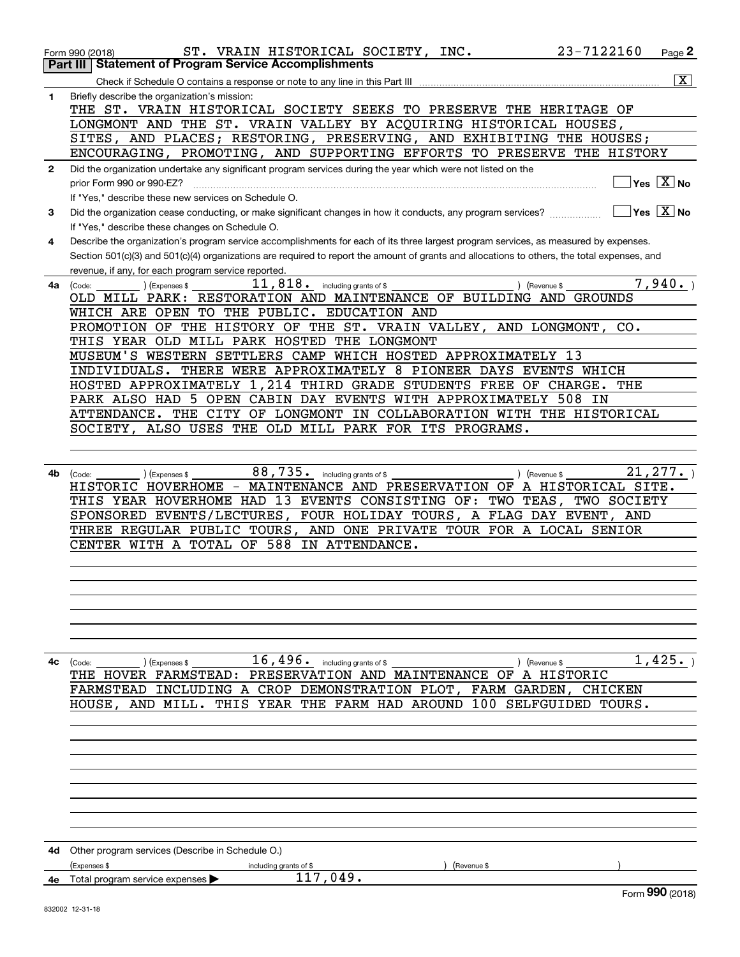|              | 23-7122160<br>ST. VRAIN HISTORICAL SOCIETY, INC.<br>Form 990 (2018)                                                                          | Page <sup>2</sup>                      |
|--------------|----------------------------------------------------------------------------------------------------------------------------------------------|----------------------------------------|
|              | <b>Statement of Program Service Accomplishments</b><br>Part III                                                                              |                                        |
|              |                                                                                                                                              | $\overline{\mathbf{X}}$                |
| 1            | Briefly describe the organization's mission:<br>THE ST. VRAIN HISTORICAL SOCIETY SEEKS TO PRESERVE THE HERITAGE OF                           |                                        |
|              | LONGMONT AND THE ST. VRAIN VALLEY BY ACQUIRING HISTORICAL HOUSES,                                                                            |                                        |
|              | SITES, AND PLACES; RESTORING, PRESERVING, AND EXHIBITING THE HOUSES;                                                                         |                                        |
|              | ENCOURAGING, PROMOTING, AND SUPPORTING EFFORTS TO PRESERVE THE HISTORY                                                                       |                                        |
| $\mathbf{2}$ | Did the organization undertake any significant program services during the year which were not listed on the                                 |                                        |
|              | prior Form 990 or 990-EZ?<br>If "Yes," describe these new services on Schedule O.                                                            | Yes $\boxed{\text{X}}$ No              |
| 3            | Did the organization cease conducting, or make significant changes in how it conducts, any program services?                                 | $\sqrt{}$ Yes $\sqrt{}$ X $\sqrt{}$ No |
|              | If "Yes," describe these changes on Schedule O.                                                                                              |                                        |
| 4            | Describe the organization's program service accomplishments for each of its three largest program services, as measured by expenses.         |                                        |
|              | Section 501(c)(3) and 501(c)(4) organizations are required to report the amount of grants and allocations to others, the total expenses, and |                                        |
|              | revenue, if any, for each program service reported.                                                                                          |                                        |
| 4a l         | $11,818$ . including grants of \$<br>) (Revenue \$<br>) (Expenses \$<br>(Code:                                                               | 7,940.                                 |
|              | OLD MILL PARK: RESTORATION AND MAINTENANCE OF BUILDING AND GROUNDS<br>WHICH ARE OPEN TO THE PUBLIC. EDUCATION AND                            |                                        |
|              | PROMOTION OF THE HISTORY OF THE ST. VRAIN VALLEY, AND LONGMONT, CO.                                                                          |                                        |
|              | THIS YEAR OLD MILL PARK HOSTED THE LONGMONT                                                                                                  |                                        |
|              | MUSEUM'S WESTERN SETTLERS CAMP WHICH HOSTED APPROXIMATELY 13                                                                                 |                                        |
|              | INDIVIDUALS. THERE WERE APPROXIMATELY 8 PIONEER DAYS EVENTS WHICH                                                                            |                                        |
|              | HOSTED APPROXIMATELY 1, 214 THIRD GRADE STUDENTS FREE OF CHARGE.                                                                             | THE                                    |
|              | PARK ALSO HAD 5 OPEN CABIN DAY EVENTS WITH APPROXIMATELY 508 IN                                                                              |                                        |
|              | ATTENDANCE. THE CITY OF LONGMONT IN COLLABORATION WITH THE HISTORICAL<br>SOCIETY, ALSO USES THE OLD MILL PARK FOR ITS PROGRAMS.              |                                        |
|              |                                                                                                                                              |                                        |
|              |                                                                                                                                              |                                        |
| 4b           | 88,735. including grants of \$<br>) (Revenue \$<br>(Code:<br>(Expenses \$                                                                    | 21, 277.                               |
|              | HISTORIC HOVERHOME - MAINTENANCE AND PRESERVATION OF A HISTORICAL SITE.                                                                      |                                        |
|              | THIS YEAR HOVERHOME HAD 13 EVENTS CONSISTING OF: TWO TEAS,<br>TWO SOCIETY                                                                    |                                        |
|              | SPONSORED EVENTS/LECTURES, FOUR HOLIDAY TOURS, A FLAG DAY EVENT, AND<br>THREE REGULAR PUBLIC TOURS, AND ONE PRIVATE TOUR FOR A LOCAL SENIOR  |                                        |
|              | CENTER WITH A TOTAL OF 588 IN ATTENDANCE.                                                                                                    |                                        |
|              |                                                                                                                                              |                                        |
|              |                                                                                                                                              |                                        |
|              |                                                                                                                                              |                                        |
|              |                                                                                                                                              |                                        |
|              |                                                                                                                                              |                                        |
|              |                                                                                                                                              |                                        |
| 4с           | $16,496$ . including grants of \$<br>(Code:<br>(Expenses \$<br>) (Revenue \$                                                                 | 1,425.                                 |
|              | THE HOVER FARMSTEAD: PRESERVATION AND MAINTENANCE OF A HISTORIC                                                                              |                                        |
|              | FARMSTEAD INCLUDING A CROP DEMONSTRATION PLOT, FARM GARDEN, CHICKEN                                                                          |                                        |
|              | HOUSE, AND MILL. THIS YEAR THE FARM HAD AROUND 100 SELFGUIDED TOURS.                                                                         |                                        |
|              |                                                                                                                                              |                                        |
|              |                                                                                                                                              |                                        |
|              |                                                                                                                                              |                                        |
|              |                                                                                                                                              |                                        |
|              |                                                                                                                                              |                                        |
|              |                                                                                                                                              |                                        |
|              |                                                                                                                                              |                                        |
|              |                                                                                                                                              |                                        |
|              | 4d Other program services (Describe in Schedule O.)                                                                                          |                                        |
|              | (Expenses \$<br>(Revenue \$<br>including grants of \$<br>117,049.<br>4e Total program service expenses                                       |                                        |
|              |                                                                                                                                              | Form 990 (2018)                        |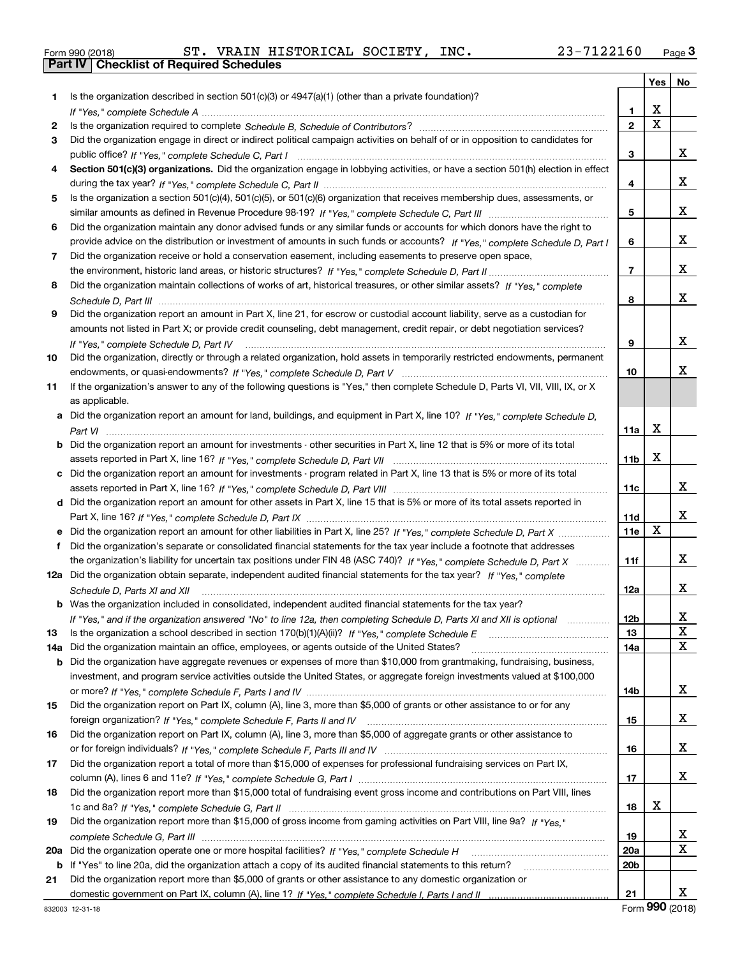| Form 990 (2018) |  |  |
|-----------------|--|--|

Form 990 (2018) ST. VRAIN HISTORICAL SOCIETY , INC. 23-7122160 <sub>Page</sub> 3<br>**Part IV | Checklist of Required Schedules** 

|           |                                                                                                                                  |                 | Yes         | No          |
|-----------|----------------------------------------------------------------------------------------------------------------------------------|-----------------|-------------|-------------|
| 1         | Is the organization described in section $501(c)(3)$ or $4947(a)(1)$ (other than a private foundation)?                          |                 |             |             |
|           |                                                                                                                                  | 1.              | X           |             |
| 2         |                                                                                                                                  | $\overline{2}$  | $\mathbf x$ |             |
| 3         | Did the organization engage in direct or indirect political campaign activities on behalf of or in opposition to candidates for  |                 |             |             |
|           |                                                                                                                                  | 3               |             | x           |
| 4         | Section 501(c)(3) organizations. Did the organization engage in lobbying activities, or have a section 501(h) election in effect |                 |             |             |
|           |                                                                                                                                  | 4               |             | x           |
| 5         | Is the organization a section 501(c)(4), 501(c)(5), or 501(c)(6) organization that receives membership dues, assessments, or     |                 |             |             |
|           |                                                                                                                                  | 5               |             | x           |
| 6         | Did the organization maintain any donor advised funds or any similar funds or accounts for which donors have the right to        |                 |             |             |
|           | provide advice on the distribution or investment of amounts in such funds or accounts? If "Yes," complete Schedule D, Part I     | 6               |             | x           |
| 7         | Did the organization receive or hold a conservation easement, including easements to preserve open space,                        |                 |             |             |
|           |                                                                                                                                  | $\overline{7}$  |             | X.          |
| 8         | Did the organization maintain collections of works of art, historical treasures, or other similar assets? If "Yes," complete     |                 |             |             |
|           |                                                                                                                                  | 8               |             | X.          |
| 9         | Did the organization report an amount in Part X, line 21, for escrow or custodial account liability, serve as a custodian for    |                 |             |             |
|           | amounts not listed in Part X; or provide credit counseling, debt management, credit repair, or debt negotiation services?        |                 |             |             |
|           | If "Yes," complete Schedule D, Part IV                                                                                           | 9               |             | x           |
| 10        | Did the organization, directly or through a related organization, hold assets in temporarily restricted endowments, permanent    |                 |             |             |
|           |                                                                                                                                  | 10              |             | x           |
| 11        | If the organization's answer to any of the following questions is "Yes," then complete Schedule D, Parts VI, VII, VIII, IX, or X |                 |             |             |
|           | as applicable.                                                                                                                   |                 |             |             |
|           | a Did the organization report an amount for land, buildings, and equipment in Part X, line 10? If "Yes," complete Schedule D,    |                 |             |             |
|           |                                                                                                                                  | 11a             | X           |             |
| b         | Did the organization report an amount for investments - other securities in Part X, line 12 that is 5% or more of its total      |                 |             |             |
|           |                                                                                                                                  | 11 <sub>b</sub> | х           |             |
| c         | Did the organization report an amount for investments - program related in Part X, line 13 that is 5% or more of its total       |                 |             |             |
|           |                                                                                                                                  | 11c             |             | x           |
|           | d Did the organization report an amount for other assets in Part X, line 15 that is 5% or more of its total assets reported in   |                 |             | x           |
|           |                                                                                                                                  | <b>11d</b>      | х           |             |
|           |                                                                                                                                  | 11e             |             |             |
| f         | Did the organization's separate or consolidated financial statements for the tax year include a footnote that addresses          |                 |             | x           |
|           | the organization's liability for uncertain tax positions under FIN 48 (ASC 740)? If "Yes," complete Schedule D, Part X           | 11f             |             |             |
|           | 12a Did the organization obtain separate, independent audited financial statements for the tax year? If "Yes," complete          |                 |             | X.          |
|           | Schedule D, Parts XI and XII                                                                                                     | 12a             |             |             |
|           | <b>b</b> Was the organization included in consolidated, independent audited financial statements for the tax year?               |                 |             | Χ           |
|           | If "Yes," and if the organization answered "No" to line 12a, then completing Schedule D, Parts XI and XII is optional            | 12b<br>13       |             | $\mathbf X$ |
| 13<br>14a | Did the organization maintain an office, employees, or agents outside of the United States?                                      | 14a             |             | х           |
| b         | Did the organization have aggregate revenues or expenses of more than \$10,000 from grantmaking, fundraising, business,          |                 |             |             |
|           | investment, and program service activities outside the United States, or aggregate foreign investments valued at \$100,000       |                 |             |             |
|           |                                                                                                                                  | 14b             |             | x           |
| 15        | Did the organization report on Part IX, column (A), line 3, more than \$5,000 of grants or other assistance to or for any        |                 |             |             |
|           |                                                                                                                                  | 15              |             | x           |
| 16        | Did the organization report on Part IX, column (A), line 3, more than \$5,000 of aggregate grants or other assistance to         |                 |             |             |
|           |                                                                                                                                  | 16              |             | x           |
| 17        | Did the organization report a total of more than \$15,000 of expenses for professional fundraising services on Part IX,          |                 |             |             |
|           |                                                                                                                                  | 17              |             | x           |
| 18        | Did the organization report more than \$15,000 total of fundraising event gross income and contributions on Part VIII, lines     |                 |             |             |
|           |                                                                                                                                  | 18              | х           |             |
| 19        | Did the organization report more than \$15,000 of gross income from gaming activities on Part VIII, line 9a? If "Yes."           |                 |             |             |
|           |                                                                                                                                  | 19              |             | X.          |
| 20a       |                                                                                                                                  | <b>20a</b>      |             | X           |
| b         | If "Yes" to line 20a, did the organization attach a copy of its audited financial statements to this return?                     | 20 <sub>b</sub> |             |             |
| 21        | Did the organization report more than \$5,000 of grants or other assistance to any domestic organization or                      |                 |             |             |
|           |                                                                                                                                  | 21              |             | x           |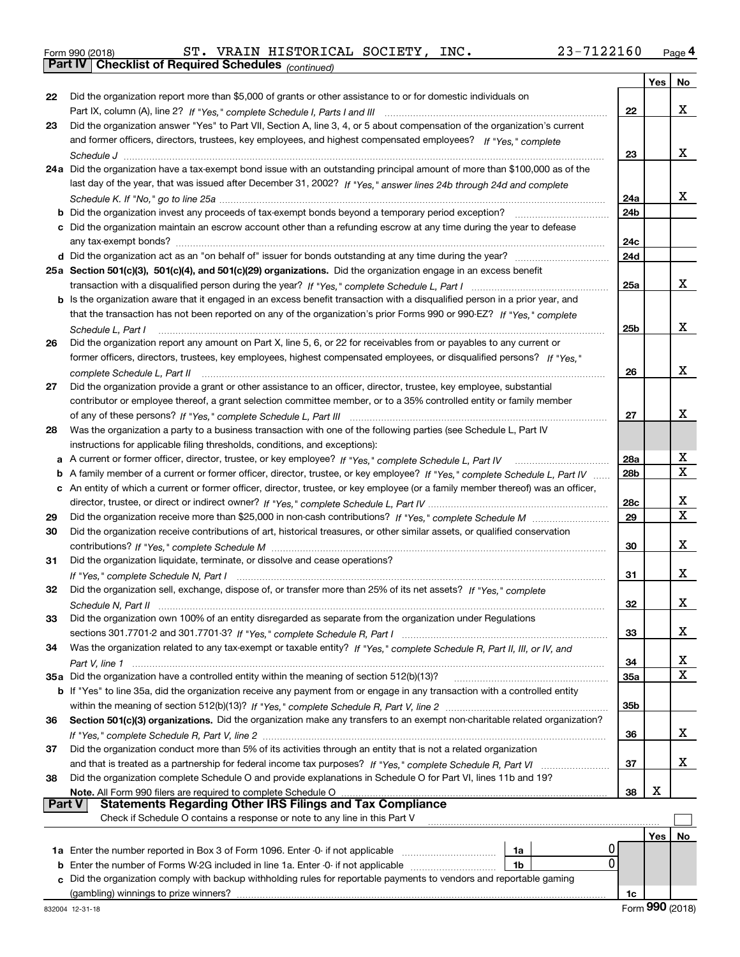|  | Form 990 (2018) |
|--|-----------------|
|  |                 |

Form 990 (2018) ST. VRAIN HISTORICAL SOCIETY, INC. 23-7122160 <sub>Page</sub> 4<br>**Part IV | Checklist of Required Schedules** <sub>(continued)</sub>

*(continued)*

|        |                                                                                                                                 |                 | Yes | No                      |
|--------|---------------------------------------------------------------------------------------------------------------------------------|-----------------|-----|-------------------------|
| 22     | Did the organization report more than \$5,000 of grants or other assistance to or for domestic individuals on                   |                 |     |                         |
|        |                                                                                                                                 | 22              |     | x                       |
| 23     | Did the organization answer "Yes" to Part VII, Section A, line 3, 4, or 5 about compensation of the organization's current      |                 |     |                         |
|        | and former officers, directors, trustees, key employees, and highest compensated employees? If "Yes," complete                  |                 |     |                         |
|        |                                                                                                                                 | 23              |     | x                       |
|        | 24a Did the organization have a tax-exempt bond issue with an outstanding principal amount of more than \$100,000 as of the     |                 |     |                         |
|        | last day of the year, that was issued after December 31, 2002? If "Yes," answer lines 24b through 24d and complete              |                 |     |                         |
|        |                                                                                                                                 | 24a             |     | x                       |
|        | <b>b</b> Did the organization invest any proceeds of tax-exempt bonds beyond a temporary period exception?                      | 24 <sub>b</sub> |     |                         |
|        | c Did the organization maintain an escrow account other than a refunding escrow at any time during the year to defease          |                 |     |                         |
|        | any tax-exempt bonds?                                                                                                           | 24c             |     |                         |
|        |                                                                                                                                 | 24d             |     |                         |
|        | 25a Section 501(c)(3), 501(c)(4), and 501(c)(29) organizations. Did the organization engage in an excess benefit                |                 |     |                         |
|        |                                                                                                                                 | 25a             |     | x                       |
|        | b Is the organization aware that it engaged in an excess benefit transaction with a disqualified person in a prior year, and    |                 |     |                         |
|        | that the transaction has not been reported on any of the organization's prior Forms 990 or 990-EZ? If "Yes," complete           |                 |     |                         |
|        | Schedule L. Part I                                                                                                              | 25b             |     | x                       |
| 26     | Did the organization report any amount on Part X, line 5, 6, or 22 for receivables from or payables to any current or           |                 |     |                         |
|        | former officers, directors, trustees, key employees, highest compensated employees, or disqualified persons? If "Yes."          |                 |     |                         |
|        | complete Schedule L, Part II                                                                                                    | 26              |     | x                       |
| 27     | Did the organization provide a grant or other assistance to an officer, director, trustee, key employee, substantial            |                 |     |                         |
|        | contributor or employee thereof, a grant selection committee member, or to a 35% controlled entity or family member             |                 |     |                         |
|        |                                                                                                                                 | 27              |     | x                       |
| 28     | Was the organization a party to a business transaction with one of the following parties (see Schedule L, Part IV               |                 |     |                         |
|        | instructions for applicable filing thresholds, conditions, and exceptions):                                                     |                 |     |                         |
| а      | A current or former officer, director, trustee, or key employee? If "Yes," complete Schedule L, Part IV                         | 28a             |     | X                       |
| b      | A family member of a current or former officer, director, trustee, or key employee? If "Yes," complete Schedule L, Part IV      | 28 <sub>b</sub> |     | $\overline{\mathbf{x}}$ |
| c      | An entity of which a current or former officer, director, trustee, or key employee (or a family member thereof) was an officer, |                 |     |                         |
|        |                                                                                                                                 | 28c             |     | X                       |
| 29     |                                                                                                                                 | 29              |     | X                       |
| 30     | Did the organization receive contributions of art, historical treasures, or other similar assets, or qualified conservation     |                 |     |                         |
|        |                                                                                                                                 | 30              |     | х                       |
| 31     | Did the organization liquidate, terminate, or dissolve and cease operations?                                                    |                 |     |                         |
|        |                                                                                                                                 | 31              |     | х                       |
| 32     | Did the organization sell, exchange, dispose of, or transfer more than 25% of its net assets? If "Yes," complete                |                 |     |                         |
|        |                                                                                                                                 | 32              |     | х                       |
| 33     | Did the organization own 100% of an entity disregarded as separate from the organization under Regulations                      |                 |     |                         |
|        |                                                                                                                                 | 33              |     | x                       |
| 34     | Was the organization related to any tax-exempt or taxable entity? If "Yes," complete Schedule R, Part II, III, or IV, and       |                 |     |                         |
|        |                                                                                                                                 | 34              |     | X                       |
|        | 35a Did the organization have a controlled entity within the meaning of section 512(b)(13)?                                     | <b>35a</b>      |     | X                       |
|        | b If "Yes" to line 35a, did the organization receive any payment from or engage in any transaction with a controlled entity     |                 |     |                         |
|        |                                                                                                                                 | 35 <sub>b</sub> |     |                         |
| 36     | Section 501(c)(3) organizations. Did the organization make any transfers to an exempt non-charitable related organization?      |                 |     |                         |
|        |                                                                                                                                 | 36              |     | x                       |
| 37     | Did the organization conduct more than 5% of its activities through an entity that is not a related organization                |                 |     |                         |
|        |                                                                                                                                 | 37              |     | x                       |
| 38     | Did the organization complete Schedule O and provide explanations in Schedule O for Part VI, lines 11b and 19?                  |                 |     |                         |
|        | Note. All Form 990 filers are required to complete Schedule O                                                                   | 38              | х   |                         |
| Part V | <b>Statements Regarding Other IRS Filings and Tax Compliance</b>                                                                |                 |     |                         |
|        | Check if Schedule O contains a response or note to any line in this Part V                                                      |                 |     |                         |
|        |                                                                                                                                 |                 | Yes | No                      |
|        | U<br>1a                                                                                                                         |                 |     |                         |
| b      | 0<br>Enter the number of Forms W-2G included in line 1a. Enter -0- if not applicable<br>1b                                      |                 |     |                         |
| с      | Did the organization comply with backup withholding rules for reportable payments to vendors and reportable gaming              |                 |     |                         |
|        |                                                                                                                                 | 1c              |     |                         |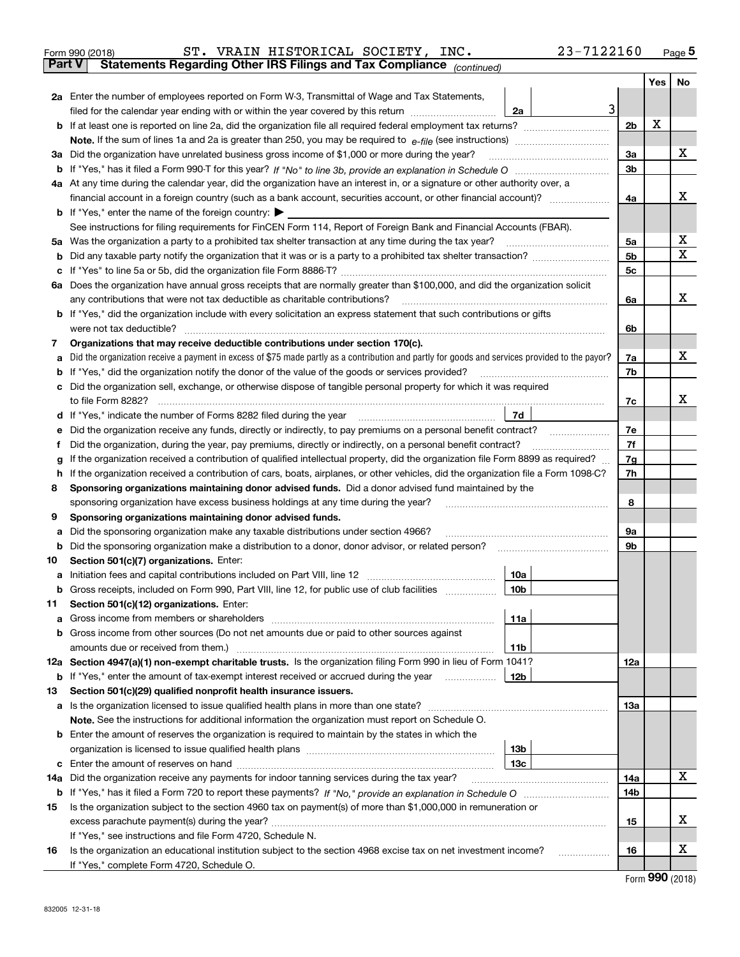| Form 990 (2018) |  | ST. VRAIN HISTORICAL SOCIETY, INC.                                                             |  | 23-7122160 | Page ${\bf 5}$ |
|-----------------|--|------------------------------------------------------------------------------------------------|--|------------|----------------|
|                 |  | <b>Part V</b> Statements Regarding Other IRS Filings and Tax Compliance <sub>(continued)</sub> |  |            |                |

| rai l V | Statements Regarding Other IRS Fillings and Tax Compilance $_{(continued)}$                                                                                |                |     |    |  |  |
|---------|------------------------------------------------------------------------------------------------------------------------------------------------------------|----------------|-----|----|--|--|
|         | <b>2a</b> Enter the number of employees reported on Form W-3, Transmittal of Wage and Tax Statements,                                                      |                | Yes | No |  |  |
|         | 3<br>filed for the calendar year ending with or within the year covered by this return <i>manumumumum</i><br>2a                                            |                |     |    |  |  |
|         |                                                                                                                                                            | 2 <sub>b</sub> | X   |    |  |  |
|         |                                                                                                                                                            |                |     |    |  |  |
|         | 3a Did the organization have unrelated business gross income of \$1,000 or more during the year?                                                           | За             |     | x  |  |  |
|         |                                                                                                                                                            | 3b             |     |    |  |  |
|         | 4a At any time during the calendar year, did the organization have an interest in, or a signature or other authority over, a                               |                |     |    |  |  |
|         |                                                                                                                                                            | 4a             |     | x  |  |  |
|         | <b>b</b> If "Yes," enter the name of the foreign country: $\triangleright$                                                                                 |                |     |    |  |  |
|         | See instructions for filing requirements for FinCEN Form 114, Report of Foreign Bank and Financial Accounts (FBAR).                                        |                |     |    |  |  |
|         | 5a Was the organization a party to a prohibited tax shelter transaction at any time during the tax year?                                                   | 5a             |     | х  |  |  |
|         |                                                                                                                                                            | 5b             |     | X  |  |  |
|         |                                                                                                                                                            |                |     |    |  |  |
|         | 6a Does the organization have annual gross receipts that are normally greater than \$100,000, and did the organization solicit                             | 5c             |     |    |  |  |
|         | any contributions that were not tax deductible as charitable contributions?                                                                                | 6a             |     | x  |  |  |
|         | <b>b</b> If "Yes," did the organization include with every solicitation an express statement that such contributions or gifts                              |                |     |    |  |  |
|         | were not tax deductible?                                                                                                                                   | 6b             |     |    |  |  |
| 7       | Organizations that may receive deductible contributions under section 170(c).                                                                              |                |     |    |  |  |
| а       | Did the organization receive a payment in excess of \$75 made partly as a contribution and partly for goods and services provided to the payor?            | 7a             |     | x  |  |  |
|         | <b>b</b> If "Yes," did the organization notify the donor of the value of the goods or services provided?                                                   | 7b             |     |    |  |  |
|         | c Did the organization sell, exchange, or otherwise dispose of tangible personal property for which it was required                                        |                |     |    |  |  |
|         | to file Form 8282?                                                                                                                                         | 7c             |     | x  |  |  |
|         | 7d<br>d If "Yes," indicate the number of Forms 8282 filed during the year                                                                                  |                |     |    |  |  |
|         | e Did the organization receive any funds, directly or indirectly, to pay premiums on a personal benefit contract?                                          | 7е             |     |    |  |  |
|         | Did the organization, during the year, pay premiums, directly or indirectly, on a personal benefit contract?                                               | 7f             |     |    |  |  |
| g       | If the organization received a contribution of qualified intellectual property, did the organization file Form 8899 as required?                           | 7g             |     |    |  |  |
|         | h If the organization received a contribution of cars, boats, airplanes, or other vehicles, did the organization file a Form 1098-C?                       | 7h             |     |    |  |  |
| 8       | Sponsoring organizations maintaining donor advised funds. Did a donor advised fund maintained by the                                                       |                |     |    |  |  |
|         | sponsoring organization have excess business holdings at any time during the year?                                                                         | 8              |     |    |  |  |
| 9       | Sponsoring organizations maintaining donor advised funds.                                                                                                  |                |     |    |  |  |
|         | a Did the sponsoring organization make any taxable distributions under section 4966?                                                                       | 9а             |     |    |  |  |
|         | <b>b</b> Did the sponsoring organization make a distribution to a donor, donor advisor, or related person?                                                 | 9b             |     |    |  |  |
| 10      | Section 501(c)(7) organizations. Enter:                                                                                                                    |                |     |    |  |  |
|         | 10a                                                                                                                                                        |                |     |    |  |  |
|         | b Gross receipts, included on Form 990, Part VIII, line 12, for public use of club facilities<br>10b                                                       |                |     |    |  |  |
| 11.     | Section 501(c)(12) organizations. Enter:                                                                                                                   |                |     |    |  |  |
|         | 11a                                                                                                                                                        |                |     |    |  |  |
|         | <b>b</b> Gross income from other sources (Do not net amounts due or paid to other sources against                                                          |                |     |    |  |  |
|         | 11b<br>12a Section 4947(a)(1) non-exempt charitable trusts. Is the organization filing Form 990 in lieu of Form 1041?                                      |                |     |    |  |  |
|         | 12b<br><b>b</b> If "Yes," enter the amount of tax-exempt interest received or accrued during the year                                                      | 12a            |     |    |  |  |
|         |                                                                                                                                                            |                |     |    |  |  |
| 13      | Section 501(c)(29) qualified nonprofit health insurance issuers.<br>a Is the organization licensed to issue qualified health plans in more than one state? | 13а            |     |    |  |  |
|         | Note. See the instructions for additional information the organization must report on Schedule O.                                                          |                |     |    |  |  |
|         | <b>b</b> Enter the amount of reserves the organization is required to maintain by the states in which the                                                  |                |     |    |  |  |
|         | 13 <sub>b</sub>                                                                                                                                            |                |     |    |  |  |
|         | 13с                                                                                                                                                        |                |     |    |  |  |
|         | 14a Did the organization receive any payments for indoor tanning services during the tax year?                                                             | 14a            |     | X  |  |  |
|         |                                                                                                                                                            | 14b            |     |    |  |  |
| 15      | Is the organization subject to the section 4960 tax on payment(s) of more than \$1,000,000 in remuneration or                                              |                |     |    |  |  |
|         |                                                                                                                                                            | 15             |     | х  |  |  |
|         | If "Yes," see instructions and file Form 4720, Schedule N.                                                                                                 |                |     |    |  |  |
| 16      | Is the organization an educational institution subject to the section 4968 excise tax on net investment income?                                            | 16             |     | x  |  |  |
|         | If "Yes," complete Form 4720, Schedule O.                                                                                                                  |                |     |    |  |  |

Form (2018) **990**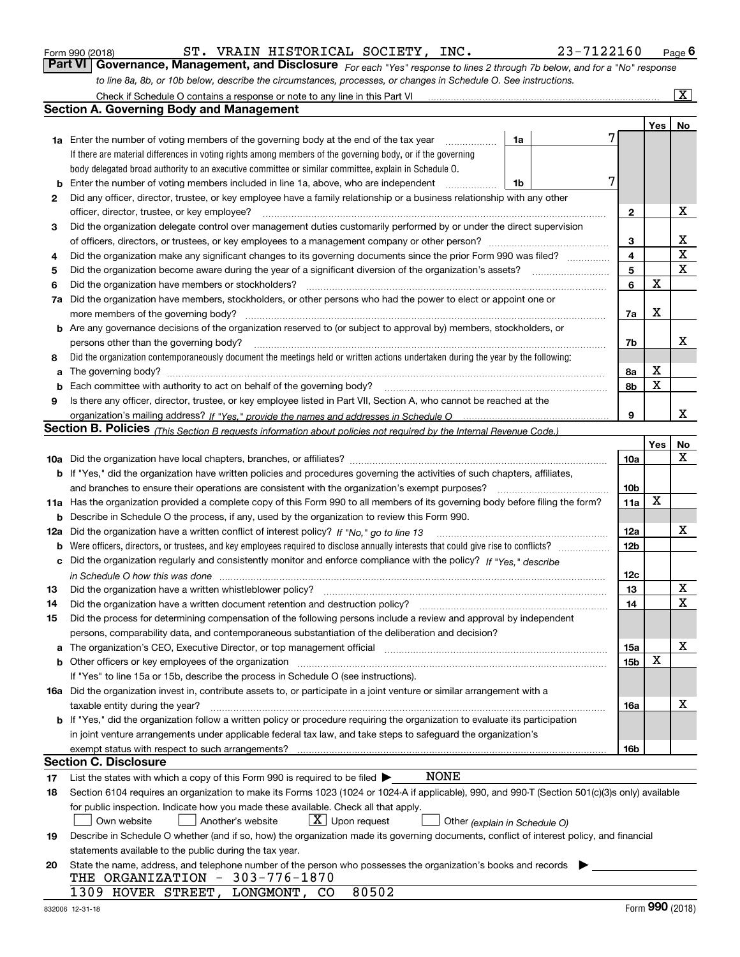|    | 23-7122160<br>ST. VRAIN HISTORICAL SOCIETY, INC.<br>Form 990 (2018)                                                                                                                                                            |                 |     | <u>Page</u> 6   |
|----|--------------------------------------------------------------------------------------------------------------------------------------------------------------------------------------------------------------------------------|-----------------|-----|-----------------|
|    | Part VI<br>Governance, Management, and Disclosure For each "Yes" response to lines 2 through 7b below, and for a "No" response                                                                                                 |                 |     |                 |
|    | to line 8a, 8b, or 10b below, describe the circumstances, processes, or changes in Schedule O. See instructions.                                                                                                               |                 |     |                 |
|    | Check if Schedule O contains a response or note to any line in this Part VI [11] [12] Check if Schedule O contains a response or note to any line in this Part VI                                                              |                 |     | $\vert X \vert$ |
|    | <b>Section A. Governing Body and Management</b>                                                                                                                                                                                |                 |     |                 |
|    |                                                                                                                                                                                                                                |                 | Yes | No              |
|    | <b>1a</b> Enter the number of voting members of the governing body at the end of the tax year<br>1a<br>.                                                                                                                       | 7               |     |                 |
|    | If there are material differences in voting rights among members of the governing body, or if the governing                                                                                                                    |                 |     |                 |
|    | body delegated broad authority to an executive committee or similar committee, explain in Schedule O.                                                                                                                          |                 |     |                 |
| b  | Enter the number of voting members included in line 1a, above, who are independent<br>1b                                                                                                                                       | 7               |     |                 |
| 2  | Did any officer, director, trustee, or key employee have a family relationship or a business relationship with any other                                                                                                       |                 |     |                 |
|    | officer, director, trustee, or key employee?                                                                                                                                                                                   | 2               |     | х               |
| з  | Did the organization delegate control over management duties customarily performed by or under the direct supervision                                                                                                          |                 |     |                 |
|    |                                                                                                                                                                                                                                | 3               |     | х               |
| 4  | Did the organization make any significant changes to its governing documents since the prior Form 990 was filed?                                                                                                               | 4               |     | $\mathbf X$     |
| 5  |                                                                                                                                                                                                                                | 5               |     | $\mathbf X$     |
| 6  | Did the organization have members or stockholders?                                                                                                                                                                             | 6               | X   |                 |
| 7a | Did the organization have members, stockholders, or other persons who had the power to elect or appoint one or                                                                                                                 |                 |     |                 |
|    |                                                                                                                                                                                                                                | 7a              | х   |                 |
|    | b Are any governance decisions of the organization reserved to (or subject to approval by) members, stockholders, or                                                                                                           |                 |     |                 |
|    | persons other than the governing body?                                                                                                                                                                                         | 7b              |     | x               |
| 8  | Did the organization contemporaneously document the meetings held or written actions undertaken during the year by the following:                                                                                              |                 |     |                 |
| a  |                                                                                                                                                                                                                                | 8a              | х   |                 |
| b  | Each committee with authority to act on behalf of the governing body? [11] manufacture manufacture with authority to act on behalf of the governing body? [11] manufacture manufacture with authority of the state with an int | 8b              | X   |                 |
| 9  | Is there any officer, director, trustee, or key employee listed in Part VII, Section A, who cannot be reached at the                                                                                                           |                 |     |                 |
|    |                                                                                                                                                                                                                                | 9               |     | x               |
|    | Section B. Policies (This Section B requests information about policies not required by the Internal Revenue Code.)                                                                                                            |                 |     |                 |
|    |                                                                                                                                                                                                                                |                 | Yes | No              |
|    |                                                                                                                                                                                                                                | 10a             |     | х               |
|    | <b>b</b> If "Yes," did the organization have written policies and procedures governing the activities of such chapters, affiliates,                                                                                            |                 |     |                 |
|    | and branches to ensure their operations are consistent with the organization's exempt purposes?                                                                                                                                | 10 <sub>b</sub> |     |                 |
|    | 11a Has the organization provided a complete copy of this Form 990 to all members of its governing body before filing the form?                                                                                                | 11a             | X   |                 |
|    | <b>b</b> Describe in Schedule O the process, if any, used by the organization to review this Form 990.                                                                                                                         |                 |     |                 |
|    | 12a Did the organization have a written conflict of interest policy? If "No," go to line 13                                                                                                                                    | 12a             |     | х               |
|    |                                                                                                                                                                                                                                | <b>12b</b>      |     |                 |
|    | c Did the organization regularly and consistently monitor and enforce compliance with the policy? If "Yes," describe                                                                                                           |                 |     |                 |
|    | in Schedule O how this was done manufactured and contain an according to the state of the state of the state o                                                                                                                 | 12c             |     |                 |
|    |                                                                                                                                                                                                                                | 13              |     | X               |
| 14 | Did the organization have a written document retention and destruction policy?                                                                                                                                                 | 14              |     | X               |
| 15 | Did the process for determining compensation of the following persons include a review and approval by independent                                                                                                             |                 |     |                 |
|    | persons, comparability data, and contemporaneous substantiation of the deliberation and decision?                                                                                                                              |                 |     |                 |
|    |                                                                                                                                                                                                                                | 15a             |     | х               |
|    |                                                                                                                                                                                                                                | 15b             | X   |                 |
|    | If "Yes" to line 15a or 15b, describe the process in Schedule O (see instructions).                                                                                                                                            |                 |     |                 |
|    | 16a Did the organization invest in, contribute assets to, or participate in a joint venture or similar arrangement with a                                                                                                      |                 |     |                 |
|    | taxable entity during the year?                                                                                                                                                                                                | 16a             |     | х               |
|    | b If "Yes," did the organization follow a written policy or procedure requiring the organization to evaluate its participation                                                                                                 |                 |     |                 |
|    | in joint venture arrangements under applicable federal tax law, and take steps to safeguard the organization's                                                                                                                 |                 |     |                 |
|    |                                                                                                                                                                                                                                | 16b             |     |                 |
|    | <b>Section C. Disclosure</b>                                                                                                                                                                                                   |                 |     |                 |
| 17 | NONE<br>List the states with which a copy of this Form 990 is required to be filed $\blacktriangleright$                                                                                                                       |                 |     |                 |
| 18 | Section 6104 requires an organization to make its Forms 1023 (1024 or 1024 A if applicable), 990, and 990 T (Section 501(c)(3)s only) available                                                                                |                 |     |                 |
|    | for public inspection. Indicate how you made these available. Check all that apply.                                                                                                                                            |                 |     |                 |
|    | $X$ Upon request<br>Another's website<br>Own website<br>Other (explain in Schedule O)                                                                                                                                          |                 |     |                 |
| 19 | Describe in Schedule O whether (and if so, how) the organization made its governing documents, conflict of interest policy, and financial                                                                                      |                 |     |                 |
|    | statements available to the public during the tax year.                                                                                                                                                                        |                 |     |                 |
| 20 | State the name, address, and telephone number of the person who possesses the organization's books and records                                                                                                                 |                 |     |                 |
|    | THE ORGANIZATION - 303-776-1870                                                                                                                                                                                                |                 |     |                 |
|    | 80502<br>1309 HOVER STREET, LONGMONT, CO                                                                                                                                                                                       |                 |     |                 |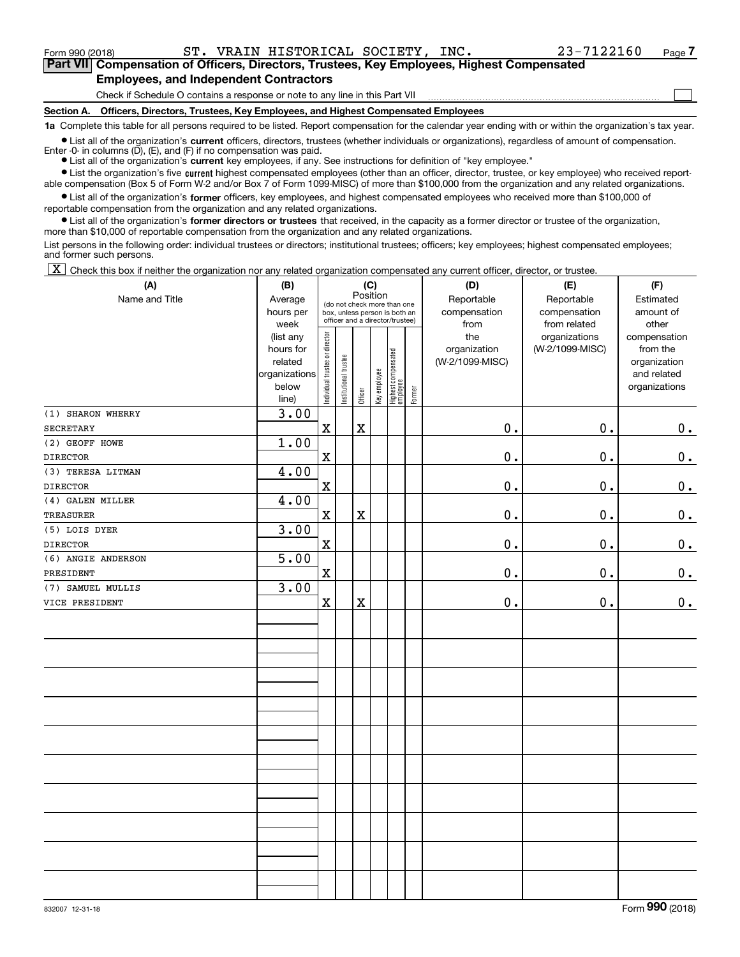Form 990 (2018) ST. VRAIN HISTORICAL SOCIETY, INC. 23-7122160 <sub>Page</sub>

 $\mathcal{L}^{\text{max}}$ 

**7Part VII Compensation of Officers, Directors, Trustees, Key Employees, Highest Compensated Employees, and Independent Contractors**

Check if Schedule O contains a response or note to any line in this Part VII

**Section A. Officers, Directors, Trustees, Key Employees, and Highest Compensated Employees**

**1a**  Complete this table for all persons required to be listed. Report compensation for the calendar year ending with or within the organization's tax year.

**•** List all of the organization's current officers, directors, trustees (whether individuals or organizations), regardless of amount of compensation. Enter  $-0$ - in columns  $(D)$ ,  $(E)$ , and  $(F)$  if no compensation was paid.

● List all of the organization's **current** key employees, if any. See instructions for definition of "key employee."

**•** List the organization's five current highest compensated employees (other than an officer, director, trustee, or key employee) who received reportable compensation (Box 5 of Form W-2 and/or Box 7 of Form 1099-MISC) of more than \$100,000 from the organization and any related organizations.

 $\bullet$  List all of the organization's **former** officers, key employees, and highest compensated employees who received more than \$100,000 of reportable compensation from the organization and any related organizations.

**•** List all of the organization's former directors or trustees that received, in the capacity as a former director or trustee of the organization, more than \$10,000 of reportable compensation from the organization and any related organizations.

List persons in the following order: individual trustees or directors; institutional trustees; officers; key employees; highest compensated employees; and former such persons.

 $\boxed{\textbf{X}}$  Check this box if neither the organization nor any related organization compensated any current officer, director, or trustee.

| (A)                | (B)           |                                |                       |                         | (C)          |                                  |        | (D)             | (E)             | (F)           |
|--------------------|---------------|--------------------------------|-----------------------|-------------------------|--------------|----------------------------------|--------|-----------------|-----------------|---------------|
| Name and Title     | Average       |                                |                       | Position                |              | (do not check more than one      |        | Reportable      | Reportable      | Estimated     |
|                    | hours per     |                                |                       |                         |              | box, unless person is both an    |        | compensation    | compensation    | amount of     |
|                    | week          |                                |                       |                         |              | officer and a director/trustee)  |        | from            | from related    | other         |
|                    | (list any     |                                |                       |                         |              |                                  |        | the             | organizations   | compensation  |
|                    | hours for     |                                |                       |                         |              |                                  |        | organization    | (W-2/1099-MISC) | from the      |
|                    | related       |                                |                       |                         |              |                                  |        | (W-2/1099-MISC) |                 | organization  |
|                    | organizations |                                |                       |                         |              |                                  |        |                 |                 | and related   |
|                    | below         | Individual trustee or director | Institutional trustee | Officer                 | Key employee | Highest compensated<br> employee | Former |                 |                 | organizations |
|                    | line)         |                                |                       |                         |              |                                  |        |                 |                 |               |
| (1) SHARON WHERRY  | 3.00          |                                |                       |                         |              |                                  |        |                 |                 |               |
| <b>SECRETARY</b>   |               | $\mathbf x$                    |                       | $\mathbf X$             |              |                                  |        | $\mathbf 0$ .   | 0.              | 0.            |
| (2) GEOFF HOWE     | 1.00          |                                |                       |                         |              |                                  |        |                 |                 |               |
| <b>DIRECTOR</b>    |               | $\mathbf X$                    |                       |                         |              |                                  |        | 0.              | 0.              | $0_{.}$       |
| (3) TERESA LITMAN  | 4.00          |                                |                       |                         |              |                                  |        |                 |                 |               |
| <b>DIRECTOR</b>    |               | $\mathbf x$                    |                       |                         |              |                                  |        | 0.              | 0.              | $\mathbf 0$ . |
| (4) GALEN MILLER   | 4.00          |                                |                       |                         |              |                                  |        |                 |                 |               |
| <b>TREASURER</b>   |               | $\mathbf X$                    |                       | $\mathbf X$             |              |                                  |        | $0$ .           | 0.              | $0_{\cdot}$   |
| (5) LOIS DYER      | 3.00          |                                |                       |                         |              |                                  |        |                 |                 |               |
| <b>DIRECTOR</b>    |               | $\mathbf x$                    |                       |                         |              |                                  |        | $0$ .           | 0.              | $\mathbf 0$ . |
| (6) ANGIE ANDERSON | 5.00          |                                |                       |                         |              |                                  |        |                 |                 |               |
| PRESIDENT          |               | $\mathbf x$                    |                       |                         |              |                                  |        | $\mathbf 0$ .   | 0.              | 0.            |
| (7) SAMUEL MULLIS  | 3.00          |                                |                       |                         |              |                                  |        |                 |                 |               |
| VICE PRESIDENT     |               | $\mathbf X$                    |                       | $\overline{\textbf{X}}$ |              |                                  |        | $0$ .           | 0.              | $\mathbf 0$ . |
|                    |               |                                |                       |                         |              |                                  |        |                 |                 |               |
|                    |               |                                |                       |                         |              |                                  |        |                 |                 |               |
|                    |               |                                |                       |                         |              |                                  |        |                 |                 |               |
|                    |               |                                |                       |                         |              |                                  |        |                 |                 |               |
|                    |               |                                |                       |                         |              |                                  |        |                 |                 |               |
|                    |               |                                |                       |                         |              |                                  |        |                 |                 |               |
|                    |               |                                |                       |                         |              |                                  |        |                 |                 |               |
|                    |               |                                |                       |                         |              |                                  |        |                 |                 |               |
|                    |               |                                |                       |                         |              |                                  |        |                 |                 |               |
|                    |               |                                |                       |                         |              |                                  |        |                 |                 |               |
|                    |               |                                |                       |                         |              |                                  |        |                 |                 |               |
|                    |               |                                |                       |                         |              |                                  |        |                 |                 |               |
|                    |               |                                |                       |                         |              |                                  |        |                 |                 |               |
|                    |               |                                |                       |                         |              |                                  |        |                 |                 |               |
|                    |               |                                |                       |                         |              |                                  |        |                 |                 |               |
|                    |               |                                |                       |                         |              |                                  |        |                 |                 |               |
|                    |               |                                |                       |                         |              |                                  |        |                 |                 |               |
|                    |               |                                |                       |                         |              |                                  |        |                 |                 |               |
|                    |               |                                |                       |                         |              |                                  |        |                 |                 |               |
|                    |               |                                |                       |                         |              |                                  |        |                 |                 |               |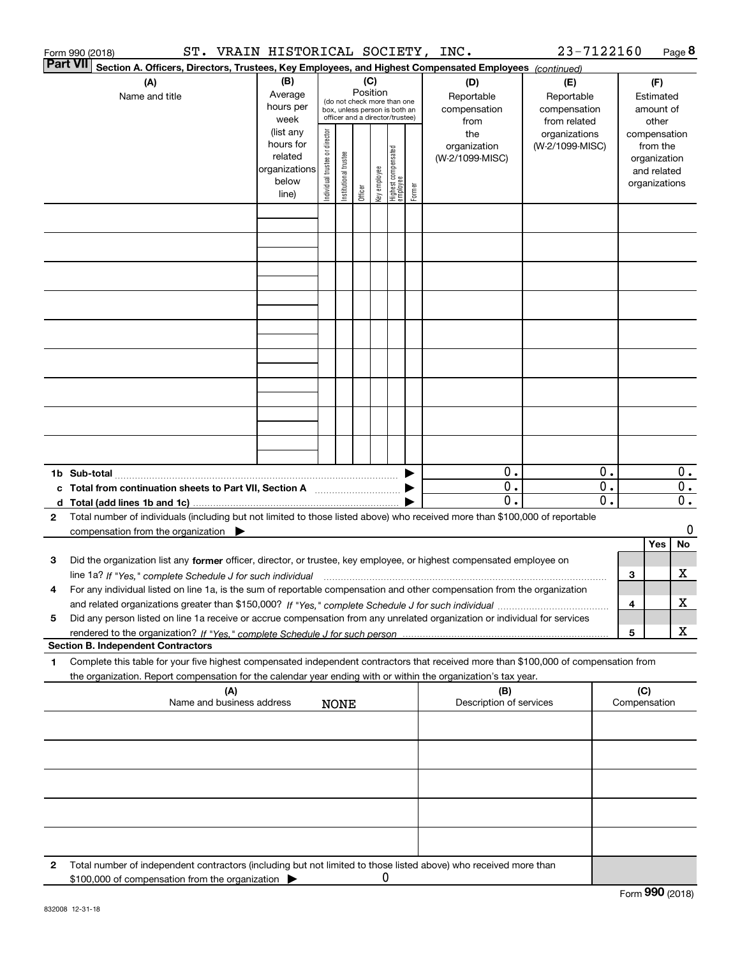|   | ST. VRAIN HISTORICAL SOCIETY, INC.<br>Form 990 (2018)                                                                                                                                                                                      |                                                                      |                                |                       |                 |              |                                                                                                 |        |                                           | 23-7122160                                        |                             |     |                                                                          | Page 8                    |
|---|--------------------------------------------------------------------------------------------------------------------------------------------------------------------------------------------------------------------------------------------|----------------------------------------------------------------------|--------------------------------|-----------------------|-----------------|--------------|-------------------------------------------------------------------------------------------------|--------|-------------------------------------------|---------------------------------------------------|-----------------------------|-----|--------------------------------------------------------------------------|---------------------------|
|   | ∣Part VII<br>Section A. Officers, Directors, Trustees, Key Employees, and Highest Compensated Employees (continued)                                                                                                                        |                                                                      |                                |                       |                 |              |                                                                                                 |        |                                           |                                                   |                             |     |                                                                          |                           |
|   | (A)<br>Name and title                                                                                                                                                                                                                      | (B)<br>Average<br>hours per<br>week                                  |                                |                       | (C)<br>Position |              | (do not check more than one<br>box, unless person is both an<br>officer and a director/trustee) |        | (D)<br>Reportable<br>compensation<br>from | (E)<br>Reportable<br>compensation<br>from related |                             |     | (F)<br>Estimated<br>amount of<br>other                                   |                           |
|   |                                                                                                                                                                                                                                            | (list any<br>hours for<br>related<br>organizations<br>below<br>line) | Individual trustee or director | Institutional trustee | Officer         | key employee | Highest compensated<br>  employee                                                               | Former | the<br>organization<br>(W-2/1099-MISC)    | organizations<br>(W-2/1099-MISC)                  |                             |     | compensation<br>from the<br>organization<br>and related<br>organizations |                           |
|   |                                                                                                                                                                                                                                            |                                                                      |                                |                       |                 |              |                                                                                                 |        |                                           |                                                   |                             |     |                                                                          |                           |
|   |                                                                                                                                                                                                                                            |                                                                      |                                |                       |                 |              |                                                                                                 |        |                                           |                                                   |                             |     |                                                                          |                           |
|   |                                                                                                                                                                                                                                            |                                                                      |                                |                       |                 |              |                                                                                                 |        |                                           |                                                   |                             |     |                                                                          |                           |
|   |                                                                                                                                                                                                                                            |                                                                      |                                |                       |                 |              |                                                                                                 |        |                                           |                                                   |                             |     |                                                                          |                           |
|   |                                                                                                                                                                                                                                            |                                                                      |                                |                       |                 |              |                                                                                                 |        |                                           |                                                   |                             |     |                                                                          |                           |
|   |                                                                                                                                                                                                                                            |                                                                      |                                |                       |                 |              |                                                                                                 |        |                                           |                                                   |                             |     |                                                                          |                           |
|   |                                                                                                                                                                                                                                            |                                                                      |                                |                       |                 |              |                                                                                                 |        |                                           |                                                   |                             |     |                                                                          |                           |
|   |                                                                                                                                                                                                                                            |                                                                      |                                |                       |                 |              |                                                                                                 |        |                                           |                                                   |                             |     |                                                                          |                           |
|   |                                                                                                                                                                                                                                            |                                                                      |                                |                       |                 |              |                                                                                                 |        |                                           |                                                   |                             |     |                                                                          |                           |
|   |                                                                                                                                                                                                                                            |                                                                      |                                |                       |                 |              |                                                                                                 |        |                                           |                                                   |                             |     |                                                                          |                           |
|   |                                                                                                                                                                                                                                            |                                                                      |                                |                       |                 |              |                                                                                                 |        | 0.                                        |                                                   | 0.                          |     |                                                                          | $0$ .                     |
|   | c Total from continuation sheets to Part VII, Section A                                                                                                                                                                                    |                                                                      |                                |                       |                 |              |                                                                                                 |        | $\mathbf{0}$ .                            |                                                   | $\overline{0}$ .            |     |                                                                          | $\overline{0}$ .          |
|   |                                                                                                                                                                                                                                            |                                                                      |                                |                       |                 |              |                                                                                                 |        | $\overline{0}$ .                          |                                                   | $\overline{\mathfrak{0}}$ . |     |                                                                          | $\overline{\mathbf{0}}$ . |
| 2 | Total number of individuals (including but not limited to those listed above) who received more than \$100,000 of reportable<br>compensation from the organization $\blacktriangleright$                                                   |                                                                      |                                |                       |                 |              |                                                                                                 |        |                                           |                                                   |                             |     |                                                                          | 0                         |
|   |                                                                                                                                                                                                                                            |                                                                      |                                |                       |                 |              |                                                                                                 |        |                                           |                                                   |                             |     | Yes                                                                      | No                        |
| з | Did the organization list any former officer, director, or trustee, key employee, or highest compensated employee on                                                                                                                       |                                                                      |                                |                       |                 |              |                                                                                                 |        |                                           |                                                   |                             |     |                                                                          |                           |
| 4 | line 1a? If "Yes," complete Schedule J for such individual material content content to the complete Schedule J<br>For any individual listed on line 1a, is the sum of reportable compensation and other compensation from the organization |                                                                      |                                |                       |                 |              |                                                                                                 |        |                                           |                                                   |                             | 3   |                                                                          | х                         |
| 5 | Did any person listed on line 1a receive or accrue compensation from any unrelated organization or individual for services                                                                                                                 |                                                                      |                                |                       |                 |              |                                                                                                 |        |                                           |                                                   |                             | 4   |                                                                          | х                         |
|   |                                                                                                                                                                                                                                            |                                                                      |                                |                       |                 |              |                                                                                                 |        |                                           |                                                   |                             | 5   |                                                                          | X                         |
| 1 | <b>Section B. Independent Contractors</b><br>Complete this table for your five highest compensated independent contractors that received more than \$100,000 of compensation from                                                          |                                                                      |                                |                       |                 |              |                                                                                                 |        |                                           |                                                   |                             |     |                                                                          |                           |
|   | the organization. Report compensation for the calendar year ending with or within the organization's tax year.                                                                                                                             |                                                                      |                                |                       |                 |              |                                                                                                 |        |                                           |                                                   |                             |     |                                                                          |                           |
|   | (A)<br>Name and business address                                                                                                                                                                                                           |                                                                      |                                | <b>NONE</b>           |                 |              |                                                                                                 |        | (B)<br>Description of services            |                                                   |                             | (C) | Compensation                                                             |                           |
|   |                                                                                                                                                                                                                                            |                                                                      |                                |                       |                 |              |                                                                                                 |        |                                           |                                                   |                             |     |                                                                          |                           |
|   |                                                                                                                                                                                                                                            |                                                                      |                                |                       |                 |              |                                                                                                 |        |                                           |                                                   |                             |     |                                                                          |                           |
|   |                                                                                                                                                                                                                                            |                                                                      |                                |                       |                 |              |                                                                                                 |        |                                           |                                                   |                             |     |                                                                          |                           |
|   |                                                                                                                                                                                                                                            |                                                                      |                                |                       |                 |              |                                                                                                 |        |                                           |                                                   |                             |     |                                                                          |                           |
|   |                                                                                                                                                                                                                                            |                                                                      |                                |                       |                 |              |                                                                                                 |        |                                           |                                                   |                             |     |                                                                          |                           |
| 2 | Total number of independent contractors (including but not limited to those listed above) who received more than<br>\$100,000 of compensation from the organization                                                                        |                                                                      |                                |                       |                 | 0            |                                                                                                 |        |                                           |                                                   |                             |     |                                                                          |                           |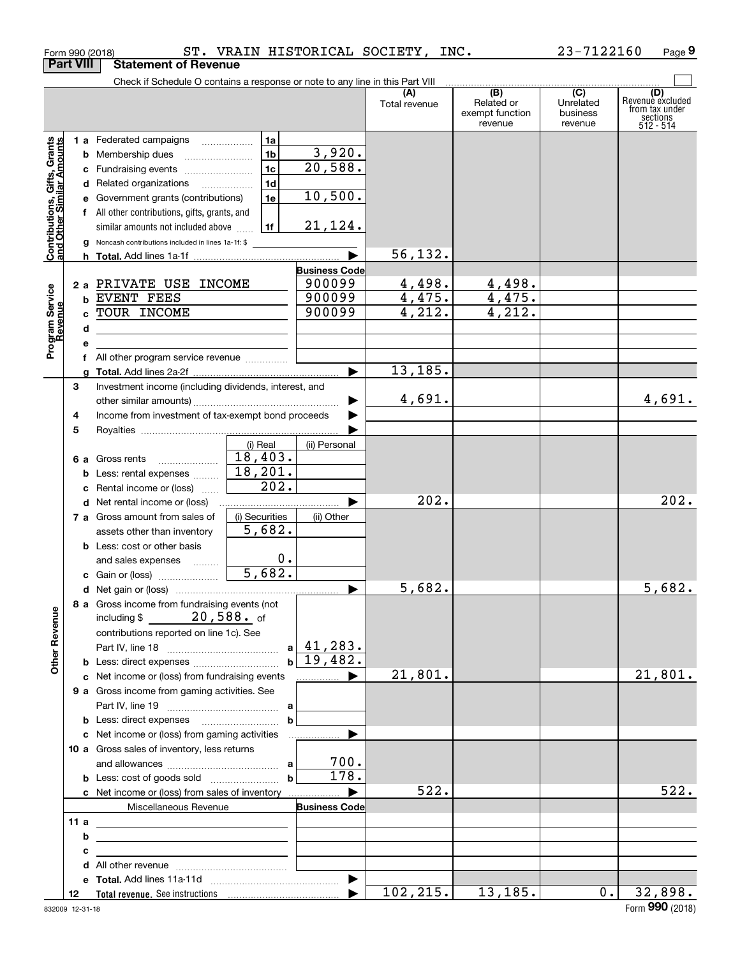|                                                           |                  | Form 990 (2018)                                                                                                     |                |                      | ST. VRAIN HISTORICAL SOCIETY, INC. |                                                 | 23-7122160                                           | Page 9                                                             |
|-----------------------------------------------------------|------------------|---------------------------------------------------------------------------------------------------------------------|----------------|----------------------|------------------------------------|-------------------------------------------------|------------------------------------------------------|--------------------------------------------------------------------|
|                                                           | <b>Part VIII</b> | <b>Statement of Revenue</b>                                                                                         |                |                      |                                    |                                                 |                                                      |                                                                    |
|                                                           |                  | Check if Schedule O contains a response or note to any line in this Part VIII                                       |                |                      |                                    |                                                 |                                                      |                                                                    |
|                                                           |                  |                                                                                                                     |                |                      | (A)<br>Total revenue               | (B)<br>Related or<br>exempt function<br>revenue | $\overline{(C)}$<br>Unrelated<br>business<br>revenue | (D)<br>Revenue excluded<br>from tax under<br>sections<br>512 - 514 |
|                                                           |                  | 1 a Federated campaigns                                                                                             | 1a             |                      |                                    |                                                 |                                                      |                                                                    |
|                                                           |                  | <b>b</b> Membership dues                                                                                            | 1 <sub>b</sub> | 3,920.               |                                    |                                                 |                                                      |                                                                    |
|                                                           |                  | c Fundraising events                                                                                                | 1 <sub>c</sub> | 20,588.              |                                    |                                                 |                                                      |                                                                    |
|                                                           |                  | d Related organizations                                                                                             | 1 <sub>d</sub> |                      |                                    |                                                 |                                                      |                                                                    |
|                                                           |                  | e Government grants (contributions)                                                                                 | 1e             | 10,500.              |                                    |                                                 |                                                      |                                                                    |
|                                                           |                  | f All other contributions, gifts, grants, and                                                                       |                |                      |                                    |                                                 |                                                      |                                                                    |
|                                                           |                  |                                                                                                                     | 1f             | 21,124.              |                                    |                                                 |                                                      |                                                                    |
| Contributions, Gifts, Grants<br>and Other Similar Amounts |                  | similar amounts not included above                                                                                  |                |                      |                                    |                                                 |                                                      |                                                                    |
|                                                           |                  | g Noncash contributions included in lines 1a-1f: \$                                                                 |                |                      | 56, 132.                           |                                                 |                                                      |                                                                    |
|                                                           |                  |                                                                                                                     |                |                      |                                    |                                                 |                                                      |                                                                    |
|                                                           |                  |                                                                                                                     |                | <b>Business Code</b> |                                    |                                                 |                                                      |                                                                    |
|                                                           |                  | 2 a PRIVATE USE INCOME                                                                                              |                | 900099               | 4,498.                             | 4,498.                                          |                                                      |                                                                    |
|                                                           |                  | <b>b EVENT FEES</b>                                                                                                 |                | 900099               | 4,475.                             | 4,475.                                          |                                                      |                                                                    |
| Program Service<br>Revenue                                |                  | c TOUR INCOME                                                                                                       |                | 900099               | 4,212.                             | 4,212.                                          |                                                      |                                                                    |
|                                                           | d                | the control of the control of the control of the control of the control of the control of                           |                |                      |                                    |                                                 |                                                      |                                                                    |
|                                                           | е                |                                                                                                                     |                |                      |                                    |                                                 |                                                      |                                                                    |
|                                                           |                  | f All other program service revenue                                                                                 |                |                      |                                    |                                                 |                                                      |                                                                    |
|                                                           | a                |                                                                                                                     |                |                      | 13,185.                            |                                                 |                                                      |                                                                    |
|                                                           | 3                | Investment income (including dividends, interest, and                                                               |                |                      |                                    |                                                 |                                                      |                                                                    |
|                                                           |                  |                                                                                                                     |                |                      | 4,691.                             |                                                 |                                                      | 4,691.                                                             |
|                                                           | 4                | Income from investment of tax-exempt bond proceeds                                                                  |                |                      |                                    |                                                 |                                                      |                                                                    |
|                                                           | 5                |                                                                                                                     |                |                      |                                    |                                                 |                                                      |                                                                    |
|                                                           |                  |                                                                                                                     | (i) Real       | (ii) Personal        |                                    |                                                 |                                                      |                                                                    |
|                                                           |                  | 6 a Gross rents<br>$\overline{\phantom{a}}$                                                                         | 18,403.        |                      |                                    |                                                 |                                                      |                                                                    |
|                                                           |                  | <b>b</b> Less: rental expenses                                                                                      | 18, 201.       |                      |                                    |                                                 |                                                      |                                                                    |
|                                                           |                  | c Rental income or (loss)                                                                                           | 202.           |                      |                                    |                                                 |                                                      |                                                                    |
|                                                           |                  | <b>d</b> Net rental income or (loss)                                                                                |                |                      | 202.                               |                                                 |                                                      | 202.                                                               |
|                                                           |                  | 7 a Gross amount from sales of                                                                                      | (i) Securities | (ii) Other           |                                    |                                                 |                                                      |                                                                    |
|                                                           |                  | assets other than inventory                                                                                         | 5,682.         |                      |                                    |                                                 |                                                      |                                                                    |
|                                                           |                  | <b>b</b> Less: cost or other basis                                                                                  |                |                      |                                    |                                                 |                                                      |                                                                    |
|                                                           |                  | and sales expenses                                                                                                  | $0$ .          |                      |                                    |                                                 |                                                      |                                                                    |
|                                                           |                  | c Gain or (loss)                                                                                                    | 5,682.         |                      |                                    |                                                 |                                                      |                                                                    |
|                                                           |                  |                                                                                                                     |                |                      | 5,682.                             |                                                 |                                                      | 5,682.                                                             |
|                                                           |                  | 8 a Gross income from fundraising events (not                                                                       |                |                      |                                    |                                                 |                                                      |                                                                    |
|                                                           |                  | including $$ 20,588$ of                                                                                             |                |                      |                                    |                                                 |                                                      |                                                                    |
|                                                           |                  | contributions reported on line 1c). See                                                                             |                |                      |                                    |                                                 |                                                      |                                                                    |
|                                                           |                  |                                                                                                                     |                | $a \mid 41, 283.$    |                                    |                                                 |                                                      |                                                                    |
| <b>Other Revenue</b>                                      |                  |                                                                                                                     |                | $b \mid 19,482.$     |                                    |                                                 |                                                      |                                                                    |
|                                                           |                  | c Net income or (loss) from fundraising events                                                                      |                |                      | 21,801.                            |                                                 |                                                      | 21,801.                                                            |
|                                                           |                  | 9 a Gross income from gaming activities. See                                                                        |                |                      |                                    |                                                 |                                                      |                                                                    |
|                                                           |                  |                                                                                                                     |                |                      |                                    |                                                 |                                                      |                                                                    |
|                                                           |                  |                                                                                                                     |                |                      |                                    |                                                 |                                                      |                                                                    |
|                                                           |                  |                                                                                                                     | $\mathbf b$    | ▶                    |                                    |                                                 |                                                      |                                                                    |
|                                                           |                  | c Net income or (loss) from gaming activities                                                                       |                | .                    |                                    |                                                 |                                                      |                                                                    |
|                                                           |                  | 10 a Gross sales of inventory, less returns                                                                         |                | 700.                 |                                    |                                                 |                                                      |                                                                    |
|                                                           |                  |                                                                                                                     |                | $\overline{178}$ .   |                                    |                                                 |                                                      |                                                                    |
|                                                           |                  |                                                                                                                     | $\mathbf b$    |                      |                                    |                                                 |                                                      |                                                                    |
|                                                           |                  | <b>c</b> Net income or (loss) from sales of inventory                                                               |                | ▶                    | 522.                               |                                                 |                                                      | 522.                                                               |
|                                                           |                  | Miscellaneous Revenue                                                                                               |                | <b>Business Code</b> |                                    |                                                 |                                                      |                                                                    |
|                                                           | 11a              | the control of the control of the control of the control of the control of                                          |                |                      |                                    |                                                 |                                                      |                                                                    |
|                                                           | b                | <u> 1989 - John Harry Harry Harry Harry Harry Harry Harry Harry Harry Harry Harry Harry Harry Harry Harry Harry</u> |                |                      |                                    |                                                 |                                                      |                                                                    |
|                                                           | с                | <u> 1989 - Johann John Stone, markin fizikar (</u>                                                                  |                |                      |                                    |                                                 |                                                      |                                                                    |
|                                                           |                  |                                                                                                                     |                |                      |                                    |                                                 |                                                      |                                                                    |
|                                                           |                  |                                                                                                                     |                |                      |                                    |                                                 |                                                      |                                                                    |
|                                                           | 12               |                                                                                                                     |                |                      | 102, 215.                          | 13, 185.                                        | $0$ .                                                | 32,898.                                                            |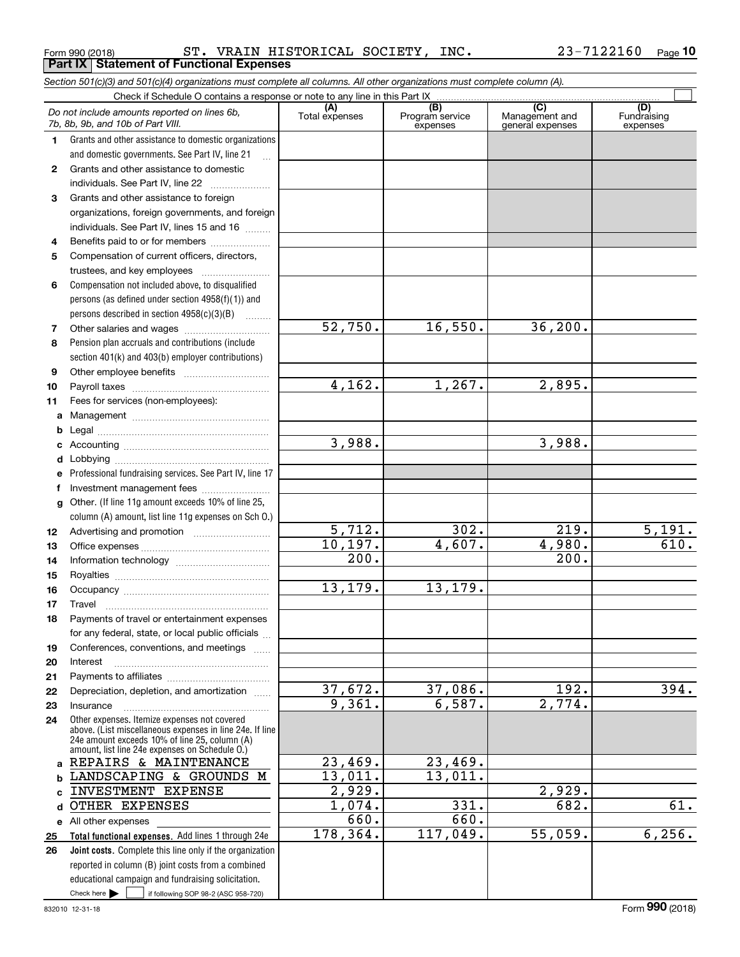Form 990 (2018) ST. VRAIN HISTORICAL SOCIETY, INC. 23-7122160 <sub>Page</sub> **Part IX Statement of Functional Expenses**

#### Check here  $\begin{array}{|c|c|c|c|c|}\hline \text{ } & \text{ if following SOP 98-2 (ASC 958-720)} \hline \end{array}$ **Total functional expenses.**  Add lines 1 through 24e **Joint costs.** Complete this line only if the organization **(A)**<br>Total expenses **(C)** (C) (C)<br>
penses Program service Management and Fundrai<br>
expenses general expenses expen **123** Grants and other assistance to foreign **4567891011abcdefg12131415161718192021222324a**REPAIRS & MAINTENANCE **bc**INVESTMENT EXPENSE **d**OTHER EXPENSES **e** All other expenses **2526***Section 501(c)(3) and 501(c)(4) organizations must complete all columns. All other organizations must complete column (A).* Grants and other assistance to domestic organizations and domestic governments. See Part IV, line 21 Compensation not included above, to disqualified persons (as defined under section 4958(f)(1)) and persons described in section 4958(c)(3)(B)  $\quad \ldots \ldots \ldots$ Pension plan accruals and contributions (include section 401(k) and 403(b) employer contributions) Professional fundraising services. See Part IV, line 17 Other. (If line 11g amount exceeds 10% of line 25, column (A) amount, list line 11g expenses on Sch O.) Other expenses. Itemize expenses not covered above. (List miscellaneous expenses in line 24e. If line 24e amount exceeds 10% of line 25, column (A) amount, list line 24e expenses on Schedule O.) reported in column (B) joint costs from a combined educational campaign and fundraising solicitation. Check if Schedule O contains a response or note to any line in this Part IX (C) (C) (C) (C) (C) (C) Program service expensesFundraising expensesGrants and other assistance to domestic  $individuals. See Part IV, line 22  $_________1$$ organizations, foreign governments, and foreign individuals. See Part IV, lines 15 and 16  $\ldots$ Benefits paid to or for members .................... Compensation of current officers, directors, trustees, and key employees  $\ldots$   $\ldots$   $\ldots$   $\ldots$ Other salaries and wages ~~~~~~~~~~ Other employee benefits ~~~~~~~~~~ Payroll taxes ~~~~~~~~~~~~~~~~ Fees for services (non-employees): Management ~~~~~~~~~~~~~~~~ Legal ~~~~~~~~~~~~~~~~~~~~Accounting ~~~~~~~~~~~~~~~~~ Lobbying ~~~~~~~~~~~~~~~~~~lnvestment management fees ....................... Advertising and promotion www.communication Office expenses ~~~~~~~~~~~~~~~Information technology ~~~~~~~~~~~ Royalties ~~~~~~~~~~~~~~~~~~ Occupancy ~~~~~~~~~~~~~~~~~ Travel ……………………………………………… Payments of travel or entertainment expenses for any federal, state, or local public officials Conferences, conventions, and meetings InterestPayments to affiliates ~~~~~~~~~~~~ Depreciation, depletion, and amortization  $\,\,\ldots\,\,$ Insurance*Do not include amounts reported on lines 6b, 7b, 8b, 9b, and 10b of Part VIII.*  $\mathcal{L}^{\text{max}}$ 52,750. 4,162. 3,988. 5,712. 10,197. 200. 13,179. 37,672. 9,361. 23,469. 13,011. 2,929. 1,074. 660. 178,364. 16,550. 36,200. 1,267. 2,895. 3,988. 302. 219. 5,191. 4,607. 4,980. 610. 200. 13,179. 37,086. 192. 394. 6,587. 2,774. 23,469. 13,011. 2,929.  $331.$  682. 61. 660. 117,049. 55,059. 6,256. LANDSCAPING & GROUNDS M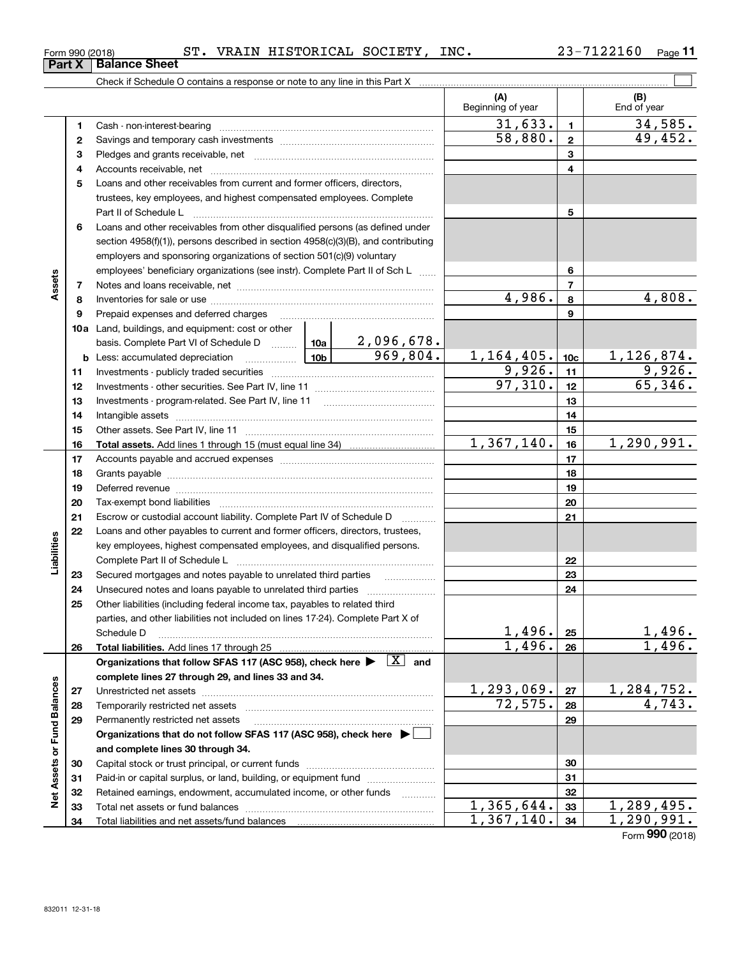| Form 990 (2018) | ST. | VRAIN HISTORICAL SOCIETY, | INC. | 7122160 | Page |
|-----------------|-----|---------------------------|------|---------|------|
|                 |     |                           |      |         |      |

|                             |    |                                                                                                                                                                                                                                |                 |                          | (A)<br>Beginning of year |                 | (B)<br>End of year   |
|-----------------------------|----|--------------------------------------------------------------------------------------------------------------------------------------------------------------------------------------------------------------------------------|-----------------|--------------------------|--------------------------|-----------------|----------------------|
|                             | 1  |                                                                                                                                                                                                                                |                 |                          | 31,633.                  | $\mathbf{1}$    | 34,585.              |
|                             | 2  |                                                                                                                                                                                                                                |                 |                          | 58,880.                  | $\mathbf{2}$    | 49,452.              |
|                             | з  |                                                                                                                                                                                                                                |                 |                          |                          | 3               |                      |
|                             | 4  |                                                                                                                                                                                                                                |                 |                          |                          | 4               |                      |
|                             | 5  | Loans and other receivables from current and former officers, directors,                                                                                                                                                       |                 |                          |                          |                 |                      |
|                             |    | trustees, key employees, and highest compensated employees. Complete                                                                                                                                                           |                 |                          |                          |                 |                      |
|                             |    | Part II of Schedule Law manufacture of the Schedule Law manufacture of the Marian Marian Marian Marian Marian                                                                                                                  |                 |                          |                          | 5               |                      |
|                             | 6  | Loans and other receivables from other disqualified persons (as defined under                                                                                                                                                  |                 |                          |                          |                 |                      |
|                             |    | section 4958(f)(1)), persons described in section 4958(c)(3)(B), and contributing                                                                                                                                              |                 |                          |                          |                 |                      |
|                             |    | employers and sponsoring organizations of section 501(c)(9) voluntary                                                                                                                                                          |                 |                          |                          |                 |                      |
|                             |    | employees' beneficiary organizations (see instr). Complete Part II of Sch L                                                                                                                                                    |                 |                          | 6                        |                 |                      |
| Assets                      | 7  |                                                                                                                                                                                                                                |                 |                          | $\overline{7}$           |                 |                      |
|                             | 8  |                                                                                                                                                                                                                                |                 | 4,986.                   | 8                        | 4,808.          |                      |
|                             | 9  | Prepaid expenses and deferred charges                                                                                                                                                                                          |                 |                          | 9                        |                 |                      |
|                             |    | <b>10a</b> Land, buildings, and equipment: cost or other                                                                                                                                                                       |                 |                          |                          |                 |                      |
|                             |    | basis. Complete Part VI of Schedule D  10a   2,096,678.                                                                                                                                                                        |                 |                          |                          |                 |                      |
|                             |    | <b>b</b> Less: accumulated depreciation                                                                                                                                                                                        | 10 <sub>b</sub> | 969,804.                 | 1,164,405.               | 10 <sub>c</sub> | 1,126,874.           |
|                             | 11 |                                                                                                                                                                                                                                |                 |                          | 9,926.                   | 11              | 9,926.               |
|                             | 12 |                                                                                                                                                                                                                                |                 |                          | 97,310.                  | 12              | 65,346.              |
|                             | 13 |                                                                                                                                                                                                                                |                 |                          |                          | 13              |                      |
|                             | 14 |                                                                                                                                                                                                                                |                 |                          |                          | 14              |                      |
|                             | 15 |                                                                                                                                                                                                                                |                 |                          |                          | 15              |                      |
|                             | 16 |                                                                                                                                                                                                                                |                 |                          | $\overline{1,367,140}$ . | 16              | 1,290,991.           |
|                             | 17 |                                                                                                                                                                                                                                |                 |                          |                          | 17              |                      |
|                             | 18 |                                                                                                                                                                                                                                |                 |                          |                          | 18              |                      |
|                             | 19 | Deferred revenue manual contracts and contracts are all the contracts and contracts are contracted and contracts are contracted and contract are contracted and contract are contracted and contract are contracted and contra |                 |                          |                          | 19              |                      |
|                             | 20 |                                                                                                                                                                                                                                |                 |                          |                          | 20              |                      |
|                             | 21 | Escrow or custodial account liability. Complete Part IV of Schedule D                                                                                                                                                          |                 | $\overline{\phantom{a}}$ |                          | 21              |                      |
|                             | 22 | Loans and other payables to current and former officers, directors, trustees,                                                                                                                                                  |                 |                          |                          |                 |                      |
| Liabilities                 |    | key employees, highest compensated employees, and disqualified persons.                                                                                                                                                        |                 |                          |                          |                 |                      |
|                             |    |                                                                                                                                                                                                                                |                 |                          |                          | 22              |                      |
|                             | 23 | Secured mortgages and notes payable to unrelated third parties                                                                                                                                                                 |                 |                          |                          | 23              |                      |
|                             | 24 |                                                                                                                                                                                                                                |                 |                          |                          | 24              |                      |
|                             | 25 | Other liabilities (including federal income tax, payables to related third                                                                                                                                                     |                 |                          |                          |                 |                      |
|                             |    | parties, and other liabilities not included on lines 17-24). Complete Part X of                                                                                                                                                |                 |                          |                          |                 |                      |
|                             |    | Schedule D                                                                                                                                                                                                                     |                 |                          | 1,496.                   | 25              | <u>1,496.</u>        |
|                             | 26 |                                                                                                                                                                                                                                |                 |                          | 1,496.                   | 26              | 1,496.               |
|                             |    | Organizations that follow SFAS 117 (ASC 958), check here $\blacktriangleright \begin{array}{ c } \hline X & \text{and} \end{array}$                                                                                            |                 |                          |                          |                 |                      |
|                             |    | complete lines 27 through 29, and lines 33 and 34.                                                                                                                                                                             |                 |                          |                          |                 |                      |
|                             | 27 |                                                                                                                                                                                                                                |                 |                          | 1,293,069.               | 27              | 1,284,752.           |
|                             | 28 |                                                                                                                                                                                                                                |                 |                          | 72,575.                  | 28              | $\overline{4,743}$ . |
|                             | 29 | Permanently restricted net assets                                                                                                                                                                                              |                 |                          |                          | 29              |                      |
|                             |    | Organizations that do not follow SFAS 117 (ASC 958), check here ▶ □                                                                                                                                                            |                 |                          |                          |                 |                      |
|                             |    | and complete lines 30 through 34.                                                                                                                                                                                              |                 |                          |                          |                 |                      |
|                             | 30 |                                                                                                                                                                                                                                |                 |                          | 30                       |                 |                      |
|                             | 31 | Paid-in or capital surplus, or land, building, or equipment fund                                                                                                                                                               |                 |                          | 31                       |                 |                      |
| Net Assets or Fund Balances | 32 | Retained earnings, endowment, accumulated income, or other funds                                                                                                                                                               |                 |                          |                          | 32              |                      |
|                             | 33 |                                                                                                                                                                                                                                |                 |                          | 1,365,644.               | 33              | 1,289,495.           |
|                             | 34 |                                                                                                                                                                                                                                |                 |                          | 1,367,140.               | 34              | 1,290,991.           |

**Part X Balance Sheet**

Form (2018) **990**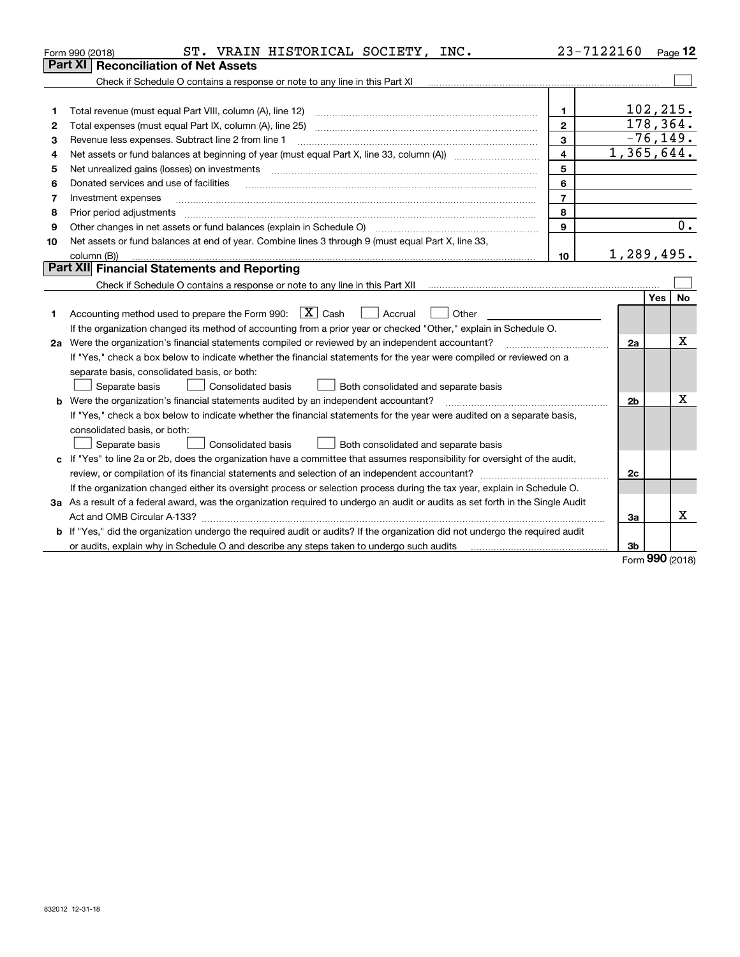| Part XI<br>Check if Schedule O contains a response or note to any line in this Part XI<br>102, 215.<br>$\mathbf{1}$<br>Total revenue (must equal Part VIII, column (A), line 12)<br>1<br>178,364.<br>$\overline{2}$<br>Total expenses (must equal Part IX, column (A), line 25)<br>2<br>$-76, 149.$<br>3<br>Revenue less expenses. Subtract line 2 from line 1<br>з<br>1,365,644.<br>$\overline{\mathbf{4}}$<br>4<br>5<br>Net unrealized gains (losses) on investments<br>5<br>6<br>Donated services and use of facilities<br>6<br>$\overline{7}$<br>Investment expenses<br>7<br>8<br>Prior period adjustments<br>8<br>0.<br>9<br>Other changes in net assets or fund balances (explain in Schedule O)<br>9<br>Net assets or fund balances at end of year. Combine lines 3 through 9 (must equal Part X, line 33,<br>10<br>1,289,495.<br>10<br>column (B))<br>Part XII Financial Statements and Reporting<br>No<br>Yes<br>Accounting method used to prepare the Form 990: $\boxed{X}$ Cash<br>$\vert$ Accrual<br>Other<br>1<br>If the organization changed its method of accounting from a prior year or checked "Other," explain in Schedule O.<br>Χ<br>2a Were the organization's financial statements compiled or reviewed by an independent accountant?<br>2a<br>If "Yes," check a box below to indicate whether the financial statements for the year were compiled or reviewed on a<br>separate basis, consolidated basis, or both:<br>Separate basis<br>Both consolidated and separate basis<br>Consolidated basis<br>Χ<br>Were the organization's financial statements audited by an independent accountant?<br>2b<br>b<br>If "Yes," check a box below to indicate whether the financial statements for the year were audited on a separate basis,<br>consolidated basis, or both:<br>Separate basis<br>Consolidated basis<br>Both consolidated and separate basis<br>c If "Yes" to line 2a or 2b, does the organization have a committee that assumes responsibility for oversight of the audit,<br>2c<br>If the organization changed either its oversight process or selection process during the tax year, explain in Schedule O.<br>3a As a result of a federal award, was the organization required to undergo an audit or audits as set forth in the Single Audit<br>x<br>Act and OMB Circular A-133?<br>За<br>b If "Yes," did the organization undergo the required audit or audits? If the organization did not undergo the required audit<br>3b |  | ST. VRAIN HISTORICAL SOCIETY,<br>INC.<br>Form 990 (2018) |  | 23-7122160 |     | Page 12 |  |
|------------------------------------------------------------------------------------------------------------------------------------------------------------------------------------------------------------------------------------------------------------------------------------------------------------------------------------------------------------------------------------------------------------------------------------------------------------------------------------------------------------------------------------------------------------------------------------------------------------------------------------------------------------------------------------------------------------------------------------------------------------------------------------------------------------------------------------------------------------------------------------------------------------------------------------------------------------------------------------------------------------------------------------------------------------------------------------------------------------------------------------------------------------------------------------------------------------------------------------------------------------------------------------------------------------------------------------------------------------------------------------------------------------------------------------------------------------------------------------------------------------------------------------------------------------------------------------------------------------------------------------------------------------------------------------------------------------------------------------------------------------------------------------------------------------------------------------------------------------------------------------------------------------------------------------------------------------------------------------------------------------------------------------------------------------------------------------------------------------------------------------------------------------------------------------------------------------------------------------------------------------------------------------------------------------------------------------------------------------------------------------------------------------------------------------------------------------------|--|----------------------------------------------------------|--|------------|-----|---------|--|
|                                                                                                                                                                                                                                                                                                                                                                                                                                                                                                                                                                                                                                                                                                                                                                                                                                                                                                                                                                                                                                                                                                                                                                                                                                                                                                                                                                                                                                                                                                                                                                                                                                                                                                                                                                                                                                                                                                                                                                                                                                                                                                                                                                                                                                                                                                                                                                                                                                                                  |  | <b>Reconciliation of Net Assets</b>                      |  |            |     |         |  |
|                                                                                                                                                                                                                                                                                                                                                                                                                                                                                                                                                                                                                                                                                                                                                                                                                                                                                                                                                                                                                                                                                                                                                                                                                                                                                                                                                                                                                                                                                                                                                                                                                                                                                                                                                                                                                                                                                                                                                                                                                                                                                                                                                                                                                                                                                                                                                                                                                                                                  |  |                                                          |  |            |     |         |  |
|                                                                                                                                                                                                                                                                                                                                                                                                                                                                                                                                                                                                                                                                                                                                                                                                                                                                                                                                                                                                                                                                                                                                                                                                                                                                                                                                                                                                                                                                                                                                                                                                                                                                                                                                                                                                                                                                                                                                                                                                                                                                                                                                                                                                                                                                                                                                                                                                                                                                  |  |                                                          |  |            |     |         |  |
|                                                                                                                                                                                                                                                                                                                                                                                                                                                                                                                                                                                                                                                                                                                                                                                                                                                                                                                                                                                                                                                                                                                                                                                                                                                                                                                                                                                                                                                                                                                                                                                                                                                                                                                                                                                                                                                                                                                                                                                                                                                                                                                                                                                                                                                                                                                                                                                                                                                                  |  |                                                          |  |            |     |         |  |
|                                                                                                                                                                                                                                                                                                                                                                                                                                                                                                                                                                                                                                                                                                                                                                                                                                                                                                                                                                                                                                                                                                                                                                                                                                                                                                                                                                                                                                                                                                                                                                                                                                                                                                                                                                                                                                                                                                                                                                                                                                                                                                                                                                                                                                                                                                                                                                                                                                                                  |  |                                                          |  |            |     |         |  |
|                                                                                                                                                                                                                                                                                                                                                                                                                                                                                                                                                                                                                                                                                                                                                                                                                                                                                                                                                                                                                                                                                                                                                                                                                                                                                                                                                                                                                                                                                                                                                                                                                                                                                                                                                                                                                                                                                                                                                                                                                                                                                                                                                                                                                                                                                                                                                                                                                                                                  |  |                                                          |  |            |     |         |  |
|                                                                                                                                                                                                                                                                                                                                                                                                                                                                                                                                                                                                                                                                                                                                                                                                                                                                                                                                                                                                                                                                                                                                                                                                                                                                                                                                                                                                                                                                                                                                                                                                                                                                                                                                                                                                                                                                                                                                                                                                                                                                                                                                                                                                                                                                                                                                                                                                                                                                  |  |                                                          |  |            |     |         |  |
|                                                                                                                                                                                                                                                                                                                                                                                                                                                                                                                                                                                                                                                                                                                                                                                                                                                                                                                                                                                                                                                                                                                                                                                                                                                                                                                                                                                                                                                                                                                                                                                                                                                                                                                                                                                                                                                                                                                                                                                                                                                                                                                                                                                                                                                                                                                                                                                                                                                                  |  |                                                          |  |            |     |         |  |
|                                                                                                                                                                                                                                                                                                                                                                                                                                                                                                                                                                                                                                                                                                                                                                                                                                                                                                                                                                                                                                                                                                                                                                                                                                                                                                                                                                                                                                                                                                                                                                                                                                                                                                                                                                                                                                                                                                                                                                                                                                                                                                                                                                                                                                                                                                                                                                                                                                                                  |  |                                                          |  |            |     |         |  |
|                                                                                                                                                                                                                                                                                                                                                                                                                                                                                                                                                                                                                                                                                                                                                                                                                                                                                                                                                                                                                                                                                                                                                                                                                                                                                                                                                                                                                                                                                                                                                                                                                                                                                                                                                                                                                                                                                                                                                                                                                                                                                                                                                                                                                                                                                                                                                                                                                                                                  |  |                                                          |  |            |     |         |  |
|                                                                                                                                                                                                                                                                                                                                                                                                                                                                                                                                                                                                                                                                                                                                                                                                                                                                                                                                                                                                                                                                                                                                                                                                                                                                                                                                                                                                                                                                                                                                                                                                                                                                                                                                                                                                                                                                                                                                                                                                                                                                                                                                                                                                                                                                                                                                                                                                                                                                  |  |                                                          |  |            |     |         |  |
|                                                                                                                                                                                                                                                                                                                                                                                                                                                                                                                                                                                                                                                                                                                                                                                                                                                                                                                                                                                                                                                                                                                                                                                                                                                                                                                                                                                                                                                                                                                                                                                                                                                                                                                                                                                                                                                                                                                                                                                                                                                                                                                                                                                                                                                                                                                                                                                                                                                                  |  |                                                          |  |            |     |         |  |
|                                                                                                                                                                                                                                                                                                                                                                                                                                                                                                                                                                                                                                                                                                                                                                                                                                                                                                                                                                                                                                                                                                                                                                                                                                                                                                                                                                                                                                                                                                                                                                                                                                                                                                                                                                                                                                                                                                                                                                                                                                                                                                                                                                                                                                                                                                                                                                                                                                                                  |  |                                                          |  |            |     |         |  |
|                                                                                                                                                                                                                                                                                                                                                                                                                                                                                                                                                                                                                                                                                                                                                                                                                                                                                                                                                                                                                                                                                                                                                                                                                                                                                                                                                                                                                                                                                                                                                                                                                                                                                                                                                                                                                                                                                                                                                                                                                                                                                                                                                                                                                                                                                                                                                                                                                                                                  |  |                                                          |  |            |     |         |  |
|                                                                                                                                                                                                                                                                                                                                                                                                                                                                                                                                                                                                                                                                                                                                                                                                                                                                                                                                                                                                                                                                                                                                                                                                                                                                                                                                                                                                                                                                                                                                                                                                                                                                                                                                                                                                                                                                                                                                                                                                                                                                                                                                                                                                                                                                                                                                                                                                                                                                  |  |                                                          |  |            |     |         |  |
|                                                                                                                                                                                                                                                                                                                                                                                                                                                                                                                                                                                                                                                                                                                                                                                                                                                                                                                                                                                                                                                                                                                                                                                                                                                                                                                                                                                                                                                                                                                                                                                                                                                                                                                                                                                                                                                                                                                                                                                                                                                                                                                                                                                                                                                                                                                                                                                                                                                                  |  |                                                          |  |            |     |         |  |
|                                                                                                                                                                                                                                                                                                                                                                                                                                                                                                                                                                                                                                                                                                                                                                                                                                                                                                                                                                                                                                                                                                                                                                                                                                                                                                                                                                                                                                                                                                                                                                                                                                                                                                                                                                                                                                                                                                                                                                                                                                                                                                                                                                                                                                                                                                                                                                                                                                                                  |  |                                                          |  |            |     |         |  |
|                                                                                                                                                                                                                                                                                                                                                                                                                                                                                                                                                                                                                                                                                                                                                                                                                                                                                                                                                                                                                                                                                                                                                                                                                                                                                                                                                                                                                                                                                                                                                                                                                                                                                                                                                                                                                                                                                                                                                                                                                                                                                                                                                                                                                                                                                                                                                                                                                                                                  |  |                                                          |  |            |     |         |  |
|                                                                                                                                                                                                                                                                                                                                                                                                                                                                                                                                                                                                                                                                                                                                                                                                                                                                                                                                                                                                                                                                                                                                                                                                                                                                                                                                                                                                                                                                                                                                                                                                                                                                                                                                                                                                                                                                                                                                                                                                                                                                                                                                                                                                                                                                                                                                                                                                                                                                  |  |                                                          |  |            |     |         |  |
|                                                                                                                                                                                                                                                                                                                                                                                                                                                                                                                                                                                                                                                                                                                                                                                                                                                                                                                                                                                                                                                                                                                                                                                                                                                                                                                                                                                                                                                                                                                                                                                                                                                                                                                                                                                                                                                                                                                                                                                                                                                                                                                                                                                                                                                                                                                                                                                                                                                                  |  |                                                          |  |            |     |         |  |
|                                                                                                                                                                                                                                                                                                                                                                                                                                                                                                                                                                                                                                                                                                                                                                                                                                                                                                                                                                                                                                                                                                                                                                                                                                                                                                                                                                                                                                                                                                                                                                                                                                                                                                                                                                                                                                                                                                                                                                                                                                                                                                                                                                                                                                                                                                                                                                                                                                                                  |  |                                                          |  |            |     |         |  |
|                                                                                                                                                                                                                                                                                                                                                                                                                                                                                                                                                                                                                                                                                                                                                                                                                                                                                                                                                                                                                                                                                                                                                                                                                                                                                                                                                                                                                                                                                                                                                                                                                                                                                                                                                                                                                                                                                                                                                                                                                                                                                                                                                                                                                                                                                                                                                                                                                                                                  |  |                                                          |  |            |     |         |  |
|                                                                                                                                                                                                                                                                                                                                                                                                                                                                                                                                                                                                                                                                                                                                                                                                                                                                                                                                                                                                                                                                                                                                                                                                                                                                                                                                                                                                                                                                                                                                                                                                                                                                                                                                                                                                                                                                                                                                                                                                                                                                                                                                                                                                                                                                                                                                                                                                                                                                  |  |                                                          |  |            |     |         |  |
|                                                                                                                                                                                                                                                                                                                                                                                                                                                                                                                                                                                                                                                                                                                                                                                                                                                                                                                                                                                                                                                                                                                                                                                                                                                                                                                                                                                                                                                                                                                                                                                                                                                                                                                                                                                                                                                                                                                                                                                                                                                                                                                                                                                                                                                                                                                                                                                                                                                                  |  |                                                          |  |            |     |         |  |
|                                                                                                                                                                                                                                                                                                                                                                                                                                                                                                                                                                                                                                                                                                                                                                                                                                                                                                                                                                                                                                                                                                                                                                                                                                                                                                                                                                                                                                                                                                                                                                                                                                                                                                                                                                                                                                                                                                                                                                                                                                                                                                                                                                                                                                                                                                                                                                                                                                                                  |  |                                                          |  |            |     |         |  |
|                                                                                                                                                                                                                                                                                                                                                                                                                                                                                                                                                                                                                                                                                                                                                                                                                                                                                                                                                                                                                                                                                                                                                                                                                                                                                                                                                                                                                                                                                                                                                                                                                                                                                                                                                                                                                                                                                                                                                                                                                                                                                                                                                                                                                                                                                                                                                                                                                                                                  |  |                                                          |  |            |     |         |  |
|                                                                                                                                                                                                                                                                                                                                                                                                                                                                                                                                                                                                                                                                                                                                                                                                                                                                                                                                                                                                                                                                                                                                                                                                                                                                                                                                                                                                                                                                                                                                                                                                                                                                                                                                                                                                                                                                                                                                                                                                                                                                                                                                                                                                                                                                                                                                                                                                                                                                  |  |                                                          |  |            |     |         |  |
|                                                                                                                                                                                                                                                                                                                                                                                                                                                                                                                                                                                                                                                                                                                                                                                                                                                                                                                                                                                                                                                                                                                                                                                                                                                                                                                                                                                                                                                                                                                                                                                                                                                                                                                                                                                                                                                                                                                                                                                                                                                                                                                                                                                                                                                                                                                                                                                                                                                                  |  |                                                          |  |            |     |         |  |
|                                                                                                                                                                                                                                                                                                                                                                                                                                                                                                                                                                                                                                                                                                                                                                                                                                                                                                                                                                                                                                                                                                                                                                                                                                                                                                                                                                                                                                                                                                                                                                                                                                                                                                                                                                                                                                                                                                                                                                                                                                                                                                                                                                                                                                                                                                                                                                                                                                                                  |  |                                                          |  |            |     |         |  |
|                                                                                                                                                                                                                                                                                                                                                                                                                                                                                                                                                                                                                                                                                                                                                                                                                                                                                                                                                                                                                                                                                                                                                                                                                                                                                                                                                                                                                                                                                                                                                                                                                                                                                                                                                                                                                                                                                                                                                                                                                                                                                                                                                                                                                                                                                                                                                                                                                                                                  |  |                                                          |  |            |     |         |  |
|                                                                                                                                                                                                                                                                                                                                                                                                                                                                                                                                                                                                                                                                                                                                                                                                                                                                                                                                                                                                                                                                                                                                                                                                                                                                                                                                                                                                                                                                                                                                                                                                                                                                                                                                                                                                                                                                                                                                                                                                                                                                                                                                                                                                                                                                                                                                                                                                                                                                  |  |                                                          |  |            |     |         |  |
|                                                                                                                                                                                                                                                                                                                                                                                                                                                                                                                                                                                                                                                                                                                                                                                                                                                                                                                                                                                                                                                                                                                                                                                                                                                                                                                                                                                                                                                                                                                                                                                                                                                                                                                                                                                                                                                                                                                                                                                                                                                                                                                                                                                                                                                                                                                                                                                                                                                                  |  |                                                          |  |            |     |         |  |
|                                                                                                                                                                                                                                                                                                                                                                                                                                                                                                                                                                                                                                                                                                                                                                                                                                                                                                                                                                                                                                                                                                                                                                                                                                                                                                                                                                                                                                                                                                                                                                                                                                                                                                                                                                                                                                                                                                                                                                                                                                                                                                                                                                                                                                                                                                                                                                                                                                                                  |  |                                                          |  |            |     |         |  |
|                                                                                                                                                                                                                                                                                                                                                                                                                                                                                                                                                                                                                                                                                                                                                                                                                                                                                                                                                                                                                                                                                                                                                                                                                                                                                                                                                                                                                                                                                                                                                                                                                                                                                                                                                                                                                                                                                                                                                                                                                                                                                                                                                                                                                                                                                                                                                                                                                                                                  |  |                                                          |  |            | 000 |         |  |

Form (2018) **990**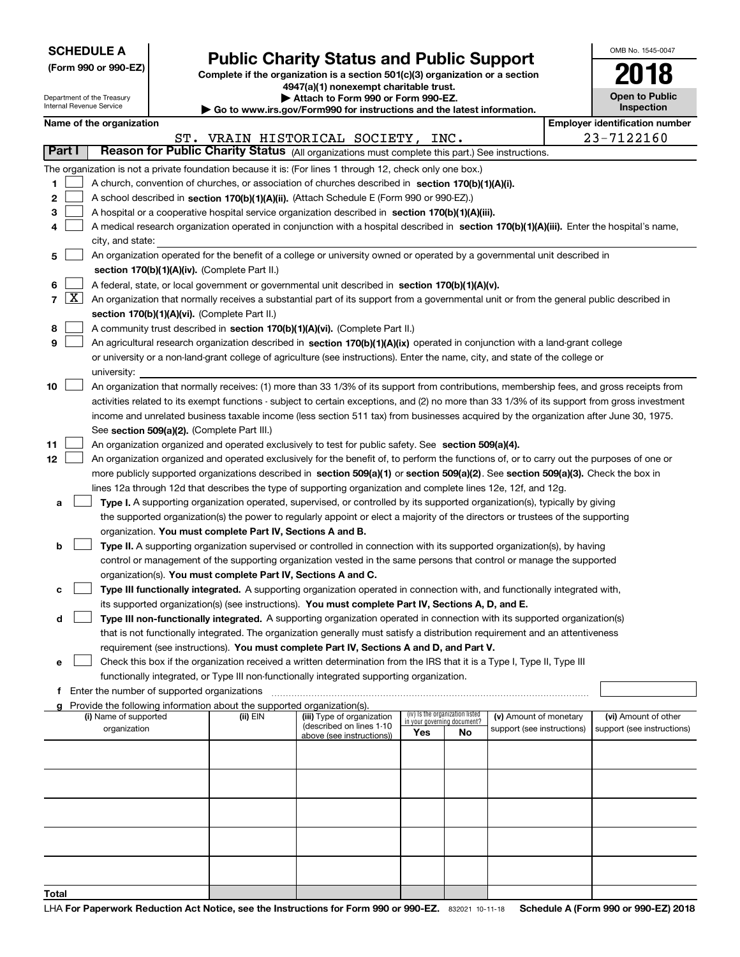| <b>SCHEDULE A</b> |  |  |  |  |  |  |
|-------------------|--|--|--|--|--|--|
|-------------------|--|--|--|--|--|--|

Department of the Treasury Internal Revenue Service

|  |  |  | (Form 990 or 990-EZ) |  |
|--|--|--|----------------------|--|
|--|--|--|----------------------|--|

# **Public Charity Status and Public Support**

**Complete if the organization is a section 501(c)(3) organization or a section 4947(a)(1) nonexempt charitable trust.**

| Attach to Form 990 or Form 990-EZ.                                       |  |
|--------------------------------------------------------------------------|--|
| ► Go to www.irs.gov/Form990 for instructions and the latest information. |  |

**Open to Public Inspection 2018**

OMB No. 1545-0047

|  | Name of the organization |
|--|--------------------------|
|--|--------------------------|

|            | Name of the organization<br><b>Employer identification number</b>                                                                                   |                                                                                                                                                                                                               |          |                                                       |                                                                |     |                            |  |                            |
|------------|-----------------------------------------------------------------------------------------------------------------------------------------------------|---------------------------------------------------------------------------------------------------------------------------------------------------------------------------------------------------------------|----------|-------------------------------------------------------|----------------------------------------------------------------|-----|----------------------------|--|----------------------------|
|            | 23-7122160<br>ST. VRAIN HISTORICAL SOCIETY, INC.<br>Reason for Public Charity Status (All organizations must complete this part.) See instructions. |                                                                                                                                                                                                               |          |                                                       |                                                                |     |                            |  |                            |
| Part I     |                                                                                                                                                     |                                                                                                                                                                                                               |          |                                                       |                                                                |     |                            |  |                            |
|            | The organization is not a private foundation because it is: (For lines 1 through 12, check only one box.)                                           |                                                                                                                                                                                                               |          |                                                       |                                                                |     |                            |  |                            |
| 1          |                                                                                                                                                     | A church, convention of churches, or association of churches described in section 170(b)(1)(A)(i).                                                                                                            |          |                                                       |                                                                |     |                            |  |                            |
| 2          |                                                                                                                                                     | A school described in section 170(b)(1)(A)(ii). (Attach Schedule E (Form 990 or 990-EZ).)                                                                                                                     |          |                                                       |                                                                |     |                            |  |                            |
| з          |                                                                                                                                                     | A hospital or a cooperative hospital service organization described in section 170(b)(1)(A)(iii).                                                                                                             |          |                                                       |                                                                |     |                            |  |                            |
| 4          |                                                                                                                                                     | A medical research organization operated in conjunction with a hospital described in section 170(b)(1)(A)(iii). Enter the hospital's name,                                                                    |          |                                                       |                                                                |     |                            |  |                            |
|            |                                                                                                                                                     | city, and state:                                                                                                                                                                                              |          |                                                       |                                                                |     |                            |  |                            |
| 5          |                                                                                                                                                     | An organization operated for the benefit of a college or university owned or operated by a governmental unit described in                                                                                     |          |                                                       |                                                                |     |                            |  |                            |
|            |                                                                                                                                                     | section 170(b)(1)(A)(iv). (Complete Part II.)                                                                                                                                                                 |          |                                                       |                                                                |     |                            |  |                            |
| 6<br>7   X |                                                                                                                                                     | A federal, state, or local government or governmental unit described in section 170(b)(1)(A)(v).                                                                                                              |          |                                                       |                                                                |     |                            |  |                            |
|            |                                                                                                                                                     | An organization that normally receives a substantial part of its support from a governmental unit or from the general public described in                                                                     |          |                                                       |                                                                |     |                            |  |                            |
|            |                                                                                                                                                     | section 170(b)(1)(A)(vi). (Complete Part II.)                                                                                                                                                                 |          |                                                       |                                                                |     |                            |  |                            |
| 8<br>9     |                                                                                                                                                     | A community trust described in section 170(b)(1)(A)(vi). (Complete Part II.)<br>An agricultural research organization described in section 170(b)(1)(A)(ix) operated in conjunction with a land-grant college |          |                                                       |                                                                |     |                            |  |                            |
|            |                                                                                                                                                     | or university or a non-land-grant college of agriculture (see instructions). Enter the name, city, and state of the college or                                                                                |          |                                                       |                                                                |     |                            |  |                            |
|            |                                                                                                                                                     | university:                                                                                                                                                                                                   |          |                                                       |                                                                |     |                            |  |                            |
| 10         |                                                                                                                                                     | An organization that normally receives: (1) more than 33 1/3% of its support from contributions, membership fees, and gross receipts from                                                                     |          |                                                       |                                                                |     |                            |  |                            |
|            |                                                                                                                                                     | activities related to its exempt functions - subject to certain exceptions, and (2) no more than 33 1/3% of its support from gross investment                                                                 |          |                                                       |                                                                |     |                            |  |                            |
|            |                                                                                                                                                     | income and unrelated business taxable income (less section 511 tax) from businesses acquired by the organization after June 30, 1975.                                                                         |          |                                                       |                                                                |     |                            |  |                            |
|            |                                                                                                                                                     | See section 509(a)(2). (Complete Part III.)                                                                                                                                                                   |          |                                                       |                                                                |     |                            |  |                            |
| 11         |                                                                                                                                                     | An organization organized and operated exclusively to test for public safety. See section 509(a)(4).                                                                                                          |          |                                                       |                                                                |     |                            |  |                            |
| 12         |                                                                                                                                                     | An organization organized and operated exclusively for the benefit of, to perform the functions of, or to carry out the purposes of one or                                                                    |          |                                                       |                                                                |     |                            |  |                            |
|            |                                                                                                                                                     | more publicly supported organizations described in section 509(a)(1) or section 509(a)(2). See section 509(a)(3). Check the box in                                                                            |          |                                                       |                                                                |     |                            |  |                            |
|            |                                                                                                                                                     | lines 12a through 12d that describes the type of supporting organization and complete lines 12e, 12f, and 12g.                                                                                                |          |                                                       |                                                                |     |                            |  |                            |
| а          |                                                                                                                                                     | Type I. A supporting organization operated, supervised, or controlled by its supported organization(s), typically by giving                                                                                   |          |                                                       |                                                                |     |                            |  |                            |
|            |                                                                                                                                                     | the supported organization(s) the power to regularly appoint or elect a majority of the directors or trustees of the supporting                                                                               |          |                                                       |                                                                |     |                            |  |                            |
|            |                                                                                                                                                     | organization. You must complete Part IV, Sections A and B.                                                                                                                                                    |          |                                                       |                                                                |     |                            |  |                            |
| b          |                                                                                                                                                     | Type II. A supporting organization supervised or controlled in connection with its supported organization(s), by having                                                                                       |          |                                                       |                                                                |     |                            |  |                            |
|            |                                                                                                                                                     | control or management of the supporting organization vested in the same persons that control or manage the supported                                                                                          |          |                                                       |                                                                |     |                            |  |                            |
|            |                                                                                                                                                     | organization(s). You must complete Part IV, Sections A and C.                                                                                                                                                 |          |                                                       |                                                                |     |                            |  |                            |
| с          |                                                                                                                                                     | Type III functionally integrated. A supporting organization operated in connection with, and functionally integrated with,                                                                                    |          |                                                       |                                                                |     |                            |  |                            |
|            |                                                                                                                                                     | its supported organization(s) (see instructions). You must complete Part IV, Sections A, D, and E.                                                                                                            |          |                                                       |                                                                |     |                            |  |                            |
| d          |                                                                                                                                                     | Type III non-functionally integrated. A supporting organization operated in connection with its supported organization(s)                                                                                     |          |                                                       |                                                                |     |                            |  |                            |
|            |                                                                                                                                                     | that is not functionally integrated. The organization generally must satisfy a distribution requirement and an attentiveness                                                                                  |          |                                                       |                                                                |     |                            |  |                            |
|            |                                                                                                                                                     | requirement (see instructions). You must complete Part IV, Sections A and D, and Part V.                                                                                                                      |          |                                                       |                                                                |     |                            |  |                            |
| е          |                                                                                                                                                     | Check this box if the organization received a written determination from the IRS that it is a Type I, Type II, Type III                                                                                       |          |                                                       |                                                                |     |                            |  |                            |
|            |                                                                                                                                                     | functionally integrated, or Type III non-functionally integrated supporting organization.                                                                                                                     |          |                                                       |                                                                |     |                            |  |                            |
|            | Enter the number of supported organizations<br>f<br>g Provide the following information about the supported organization(s).                        |                                                                                                                                                                                                               |          |                                                       |                                                                |     |                            |  |                            |
|            |                                                                                                                                                     | (i) Name of supported                                                                                                                                                                                         | (ii) EIN | (iii) Type of organization                            | (iv) Is the organization listed<br>in your governing document? |     | (v) Amount of monetary     |  | (vi) Amount of other       |
|            |                                                                                                                                                     | organization                                                                                                                                                                                                  |          | (described on lines 1-10<br>above (see instructions)) | Yes                                                            | No. | support (see instructions) |  | support (see instructions) |
|            |                                                                                                                                                     |                                                                                                                                                                                                               |          |                                                       |                                                                |     |                            |  |                            |
|            |                                                                                                                                                     |                                                                                                                                                                                                               |          |                                                       |                                                                |     |                            |  |                            |
|            |                                                                                                                                                     |                                                                                                                                                                                                               |          |                                                       |                                                                |     |                            |  |                            |
|            |                                                                                                                                                     |                                                                                                                                                                                                               |          |                                                       |                                                                |     |                            |  |                            |
|            |                                                                                                                                                     |                                                                                                                                                                                                               |          |                                                       |                                                                |     |                            |  |                            |
|            |                                                                                                                                                     |                                                                                                                                                                                                               |          |                                                       |                                                                |     |                            |  |                            |
|            |                                                                                                                                                     |                                                                                                                                                                                                               |          |                                                       |                                                                |     |                            |  |                            |
|            |                                                                                                                                                     |                                                                                                                                                                                                               |          |                                                       |                                                                |     |                            |  |                            |
|            |                                                                                                                                                     |                                                                                                                                                                                                               |          |                                                       |                                                                |     |                            |  |                            |
|            |                                                                                                                                                     |                                                                                                                                                                                                               |          |                                                       |                                                                |     |                            |  |                            |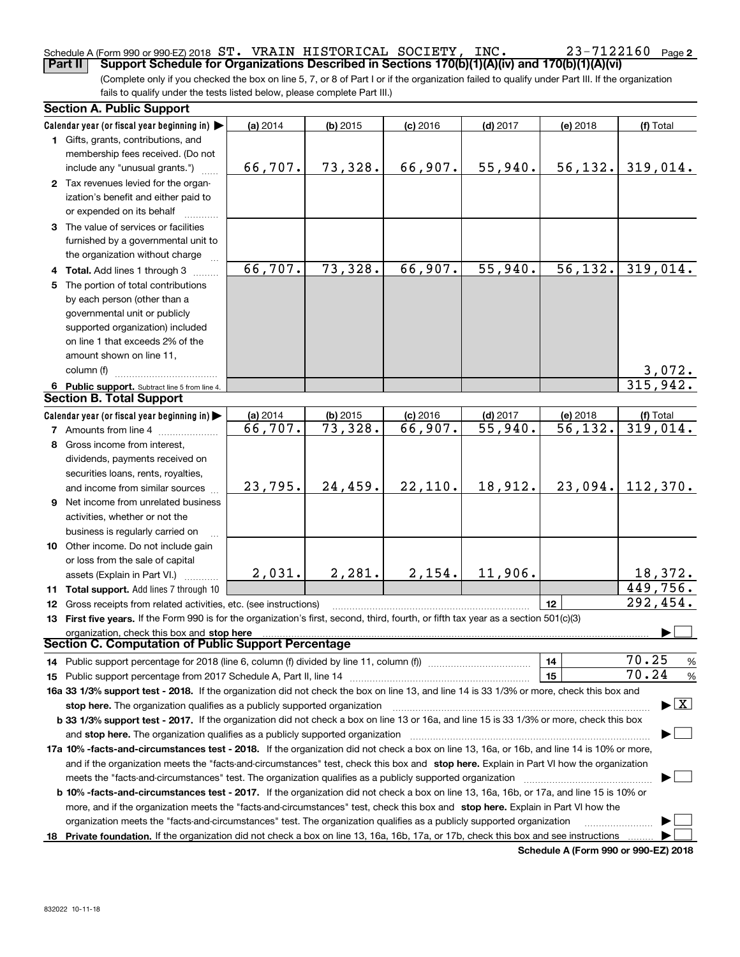## Schedule A (Form 990 or 990-EZ) 2018 Page ST. VRAIN HISTORICAL SOCIETY, INC. 23-7122160

(Complete only if you checked the box on line 5, 7, or 8 of Part I or if the organization failed to qualify under Part III. If the organization **Part II Support Schedule for Organizations Described in Sections 170(b)(1)(A)(iv) and 170(b)(1)(A)(vi)** 

fails to qualify under the tests listed below, please complete Part III.)

|    | <b>Section A. Public Support</b>                                                                                                               |          |            |            |                       |          |                                          |  |
|----|------------------------------------------------------------------------------------------------------------------------------------------------|----------|------------|------------|-----------------------|----------|------------------------------------------|--|
|    | Calendar year (or fiscal year beginning in)                                                                                                    | (a) 2014 | $(b)$ 2015 | $(c)$ 2016 | $(d)$ 2017            | (e) 2018 | (f) Total                                |  |
|    | 1 Gifts, grants, contributions, and                                                                                                            |          |            |            |                       |          |                                          |  |
|    | membership fees received. (Do not                                                                                                              |          |            |            |                       |          |                                          |  |
|    | include any "unusual grants.")                                                                                                                 | 66,707.  | 73,328.    | 66,907.    | 55,940.               | 56, 132. | 319,014.                                 |  |
|    | 2 Tax revenues levied for the organ-                                                                                                           |          |            |            |                       |          |                                          |  |
|    | ization's benefit and either paid to                                                                                                           |          |            |            |                       |          |                                          |  |
|    | or expended on its behalf                                                                                                                      |          |            |            |                       |          |                                          |  |
|    | 3 The value of services or facilities                                                                                                          |          |            |            |                       |          |                                          |  |
|    | furnished by a governmental unit to                                                                                                            |          |            |            |                       |          |                                          |  |
|    | the organization without charge                                                                                                                |          |            |            |                       |          |                                          |  |
|    |                                                                                                                                                | 66,707.  | 73,328.    | 66,907.    | 55,940.               | 56, 132. | 319,014.                                 |  |
|    | 4 Total. Add lines 1 through 3                                                                                                                 |          |            |            |                       |          |                                          |  |
| 5  | The portion of total contributions                                                                                                             |          |            |            |                       |          |                                          |  |
|    | by each person (other than a                                                                                                                   |          |            |            |                       |          |                                          |  |
|    | governmental unit or publicly                                                                                                                  |          |            |            |                       |          |                                          |  |
|    | supported organization) included                                                                                                               |          |            |            |                       |          |                                          |  |
|    | on line 1 that exceeds 2% of the                                                                                                               |          |            |            |                       |          |                                          |  |
|    | amount shown on line 11,                                                                                                                       |          |            |            |                       |          |                                          |  |
|    | column (f)                                                                                                                                     |          |            |            |                       |          | $\frac{3,072}{315,942}$ .                |  |
|    | 6 Public support. Subtract line 5 from line 4.                                                                                                 |          |            |            |                       |          |                                          |  |
|    | <b>Section B. Total Support</b>                                                                                                                |          |            |            |                       |          |                                          |  |
|    | Calendar year (or fiscal year beginning in)                                                                                                    | (a) 2014 | $(b)$ 2015 | $(c)$ 2016 | $(d)$ 2017            | (e) 2018 | (f) Total                                |  |
|    | 7 Amounts from line 4                                                                                                                          | 66,707.  | 73,328.    | 66,907.    | $\overline{55,940}$ . | 56,132.  | $\overline{319,014}$ .                   |  |
|    | 8 Gross income from interest,                                                                                                                  |          |            |            |                       |          |                                          |  |
|    | dividends, payments received on                                                                                                                |          |            |            |                       |          |                                          |  |
|    | securities loans, rents, royalties,                                                                                                            |          |            |            |                       |          |                                          |  |
|    | and income from similar sources                                                                                                                | 23,795.  | 24,459.    | 22,110.    | 18,912.               | 23,094.  | 112,370.                                 |  |
|    | 9 Net income from unrelated business                                                                                                           |          |            |            |                       |          |                                          |  |
|    | activities, whether or not the                                                                                                                 |          |            |            |                       |          |                                          |  |
|    | business is regularly carried on                                                                                                               |          |            |            |                       |          |                                          |  |
|    | 10 Other income. Do not include gain                                                                                                           |          |            |            |                       |          |                                          |  |
|    | or loss from the sale of capital                                                                                                               |          |            |            |                       |          |                                          |  |
|    |                                                                                                                                                | 2,031.   | 2,281.     | 2,154.     | 11,906.               |          | 18,372.                                  |  |
|    | assets (Explain in Part VI.)                                                                                                                   |          |            |            |                       |          | 449,756.                                 |  |
|    | <b>11 Total support.</b> Add lines 7 through 10                                                                                                |          |            |            |                       | 12       | 292,454.                                 |  |
|    | <b>12</b> Gross receipts from related activities, etc. (see instructions)                                                                      |          |            |            |                       |          |                                          |  |
|    | 13 First five years. If the Form 990 is for the organization's first, second, third, fourth, or fifth tax year as a section 501(c)(3)          |          |            |            |                       |          |                                          |  |
|    | organization, check this box and stop here<br>Section C. Computation of Public Support Percentage                                              |          |            |            |                       |          |                                          |  |
|    | 14 Public support percentage for 2018 (line 6, column (f) divided by line 11, column (f) <i>manumeronominimi</i> ng                            |          |            |            |                       | 14       | 70.25<br>%                               |  |
|    |                                                                                                                                                |          |            |            |                       | 15       | 70.24<br>$\%$                            |  |
|    | 16a 33 1/3% support test - 2018. If the organization did not check the box on line 13, and line 14 is 33 1/3% or more, check this box and      |          |            |            |                       |          |                                          |  |
|    |                                                                                                                                                |          |            |            |                       |          | $\blacktriangleright$ $\boxed{\text{X}}$ |  |
|    | stop here. The organization qualifies as a publicly supported organization                                                                     |          |            |            |                       |          |                                          |  |
|    | b 33 1/3% support test - 2017. If the organization did not check a box on line 13 or 16a, and line 15 is 33 1/3% or more, check this box       |          |            |            |                       |          |                                          |  |
|    | and stop here. The organization qualifies as a publicly supported organization                                                                 |          |            |            |                       |          |                                          |  |
|    | 17a 10% -facts-and-circumstances test - 2018. If the organization did not check a box on line 13, 16a, or 16b, and line 14 is 10% or more,     |          |            |            |                       |          |                                          |  |
|    | and if the organization meets the "facts-and-circumstances" test, check this box and stop here. Explain in Part VI how the organization        |          |            |            |                       |          |                                          |  |
|    | meets the "facts-and-circumstances" test. The organization qualifies as a publicly supported organization                                      |          |            |            |                       |          |                                          |  |
|    | <b>b 10% -facts-and-circumstances test - 2017.</b> If the organization did not check a box on line 13, 16a, 16b, or 17a, and line 15 is 10% or |          |            |            |                       |          |                                          |  |
|    | more, and if the organization meets the "facts-and-circumstances" test, check this box and stop here. Explain in Part VI how the               |          |            |            |                       |          |                                          |  |
|    | organization meets the "facts-and-circumstances" test. The organization qualifies as a publicly supported organization                         |          |            |            |                       |          |                                          |  |
| 18 | Private foundation. If the organization did not check a box on line 13, 16a, 16b, 17a, or 17b, check this box and see instructions             |          |            |            |                       |          |                                          |  |

**Schedule A (Form 990 or 990-EZ) 2018**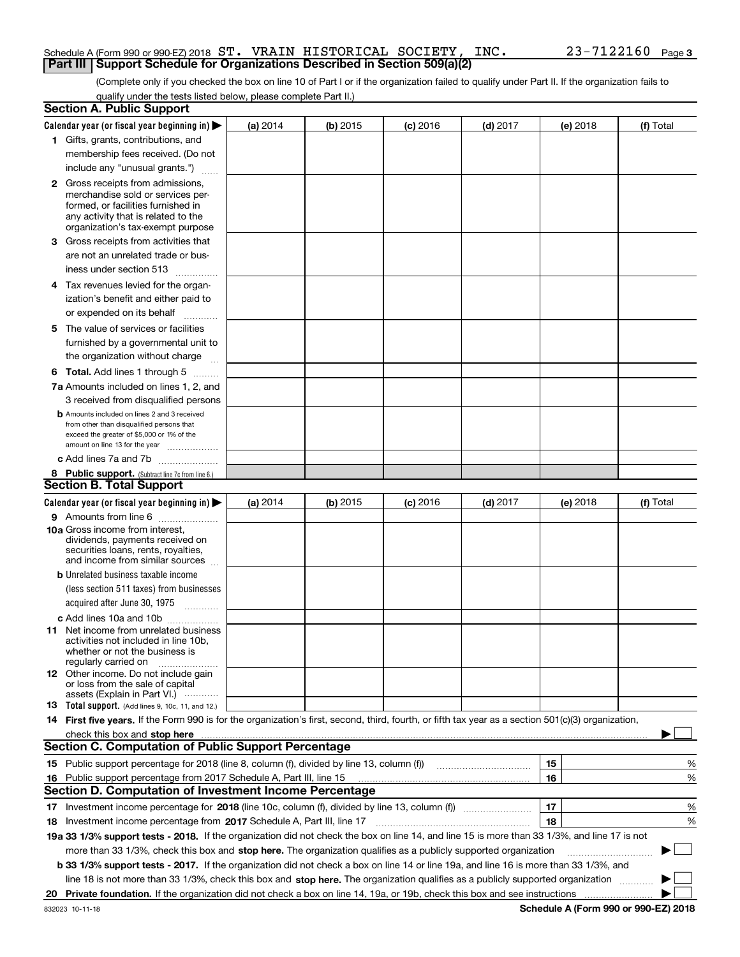### Schedule A (Form 990 or 990-EZ) 2018 Page ST. VRAIN HISTORICAL SOCIETY, INC. 23-7122160**Part III Support Schedule for Organizations Described in Section 509(a)(2)**

(Complete only if you checked the box on line 10 of Part I or if the organization failed to qualify under Part II. If the organization fails to qualify under the tests listed below, please complete Part II.)

|    | <b>Section A. Public Support</b>                                                                                                                                                                                               |          |          |                 |            |          |           |
|----|--------------------------------------------------------------------------------------------------------------------------------------------------------------------------------------------------------------------------------|----------|----------|-----------------|------------|----------|-----------|
|    | Calendar year (or fiscal year beginning in) $\blacktriangleright$                                                                                                                                                              | (a) 2014 | (b) 2015 | <b>(c)</b> 2016 | $(d)$ 2017 | (e) 2018 | (f) Total |
|    | 1 Gifts, grants, contributions, and                                                                                                                                                                                            |          |          |                 |            |          |           |
|    | membership fees received. (Do not                                                                                                                                                                                              |          |          |                 |            |          |           |
|    | include any "unusual grants.")                                                                                                                                                                                                 |          |          |                 |            |          |           |
|    | <b>2</b> Gross receipts from admissions,                                                                                                                                                                                       |          |          |                 |            |          |           |
|    | merchandise sold or services per-                                                                                                                                                                                              |          |          |                 |            |          |           |
|    | formed, or facilities furnished in                                                                                                                                                                                             |          |          |                 |            |          |           |
|    | any activity that is related to the<br>organization's tax-exempt purpose                                                                                                                                                       |          |          |                 |            |          |           |
|    | 3 Gross receipts from activities that                                                                                                                                                                                          |          |          |                 |            |          |           |
|    | are not an unrelated trade or bus-                                                                                                                                                                                             |          |          |                 |            |          |           |
|    | iness under section 513                                                                                                                                                                                                        |          |          |                 |            |          |           |
|    | 4 Tax revenues levied for the organ-                                                                                                                                                                                           |          |          |                 |            |          |           |
|    | ization's benefit and either paid to                                                                                                                                                                                           |          |          |                 |            |          |           |
|    | or expended on its behalf<br>.                                                                                                                                                                                                 |          |          |                 |            |          |           |
|    | 5 The value of services or facilities                                                                                                                                                                                          |          |          |                 |            |          |           |
|    | furnished by a governmental unit to                                                                                                                                                                                            |          |          |                 |            |          |           |
|    | the organization without charge                                                                                                                                                                                                |          |          |                 |            |          |           |
|    | <b>6 Total.</b> Add lines 1 through 5                                                                                                                                                                                          |          |          |                 |            |          |           |
|    | 7a Amounts included on lines 1, 2, and                                                                                                                                                                                         |          |          |                 |            |          |           |
|    | 3 received from disqualified persons                                                                                                                                                                                           |          |          |                 |            |          |           |
|    | <b>b</b> Amounts included on lines 2 and 3 received                                                                                                                                                                            |          |          |                 |            |          |           |
|    | from other than disqualified persons that                                                                                                                                                                                      |          |          |                 |            |          |           |
|    | exceed the greater of \$5,000 or 1% of the<br>amount on line 13 for the year                                                                                                                                                   |          |          |                 |            |          |           |
|    | c Add lines 7a and 7b                                                                                                                                                                                                          |          |          |                 |            |          |           |
|    | 8 Public support. (Subtract line 7c from line 6.)                                                                                                                                                                              |          |          |                 |            |          |           |
|    | <b>Section B. Total Support</b>                                                                                                                                                                                                |          |          |                 |            |          |           |
|    | Calendar year (or fiscal year beginning in)                                                                                                                                                                                    | (a) 2014 | (b) 2015 | <b>(c)</b> 2016 | $(d)$ 2017 | (e) 2018 | (f) Total |
|    | 9 Amounts from line 6                                                                                                                                                                                                          |          |          |                 |            |          |           |
|    | 10a Gross income from interest,                                                                                                                                                                                                |          |          |                 |            |          |           |
|    | dividends, payments received on                                                                                                                                                                                                |          |          |                 |            |          |           |
|    | securities loans, rents, royalties,<br>and income from similar sources                                                                                                                                                         |          |          |                 |            |          |           |
|    | <b>b</b> Unrelated business taxable income                                                                                                                                                                                     |          |          |                 |            |          |           |
|    | (less section 511 taxes) from businesses                                                                                                                                                                                       |          |          |                 |            |          |           |
|    | acquired after June 30, 1975 [10001]                                                                                                                                                                                           |          |          |                 |            |          |           |
|    |                                                                                                                                                                                                                                |          |          |                 |            |          |           |
|    | c Add lines 10a and 10b<br>11 Net income from unrelated business                                                                                                                                                               |          |          |                 |            |          |           |
|    | activities not included in line 10b,                                                                                                                                                                                           |          |          |                 |            |          |           |
|    | whether or not the business is                                                                                                                                                                                                 |          |          |                 |            |          |           |
|    | regularly carried on<br><b>12</b> Other income. Do not include gain                                                                                                                                                            |          |          |                 |            |          |           |
|    | or loss from the sale of capital                                                                                                                                                                                               |          |          |                 |            |          |           |
|    | assets (Explain in Part VI.)                                                                                                                                                                                                   |          |          |                 |            |          |           |
|    | 13 Total support. (Add lines 9, 10c, 11, and 12.)                                                                                                                                                                              |          |          |                 |            |          |           |
|    | 14 First five years. If the Form 990 is for the organization's first, second, third, fourth, or fifth tax year as a section 501(c)(3) organization,                                                                            |          |          |                 |            |          |           |
|    | check this box and stop here measurement content to the state of the state of the state of the state of the state of the state of the state of the state of the state of the state of the state of the state of the state of t |          |          |                 |            |          |           |
|    | <b>Section C. Computation of Public Support Percentage</b>                                                                                                                                                                     |          |          |                 |            |          |           |
|    | 15 Public support percentage for 2018 (line 8, column (f), divided by line 13, column (f))                                                                                                                                     |          |          |                 |            | 15       | %         |
| 16 | Public support percentage from 2017 Schedule A, Part III, line 15                                                                                                                                                              |          |          |                 |            | 16       | %         |
|    | <b>Section D. Computation of Investment Income Percentage</b>                                                                                                                                                                  |          |          |                 |            |          |           |
|    | 17 Investment income percentage for 2018 (line 10c, column (f), divided by line 13, column (f))                                                                                                                                |          |          |                 |            | 17       | %         |
|    | 18 Investment income percentage from 2017 Schedule A, Part III, line 17                                                                                                                                                        |          |          |                 |            | 18       | %         |
|    | 19a 33 1/3% support tests - 2018. If the organization did not check the box on line 14, and line 15 is more than 33 1/3%, and line 17 is not                                                                                   |          |          |                 |            |          |           |
|    | more than 33 1/3%, check this box and stop here. The organization qualifies as a publicly supported organization                                                                                                               |          |          |                 |            |          | $\sim$    |
|    | b 33 1/3% support tests - 2017. If the organization did not check a box on line 14 or line 19a, and line 16 is more than 33 1/3%, and                                                                                          |          |          |                 |            |          |           |
|    | line 18 is not more than 33 1/3%, check this box and stop here. The organization qualifies as a publicly supported organization                                                                                                |          |          |                 |            |          |           |
| 20 |                                                                                                                                                                                                                                |          |          |                 |            |          |           |

**Schedule A (Form 990 or 990-EZ) 2018**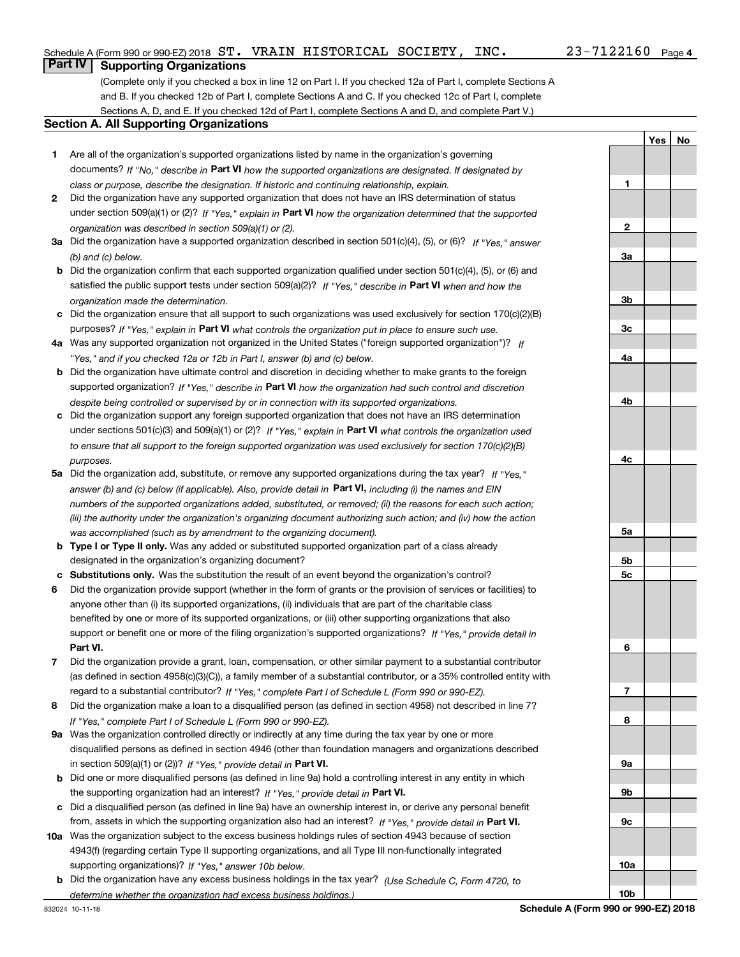**1**

**2**

**3a**

**3b**

**3c**

**4a**

**4b**

**4c**

**5a**

**5b5c**

**6**

**7**

**8**

**9a**

**9b**

**9c**

**10a**

**10b**

**YesNo**

## **Part IV Supporting Organizations**

(Complete only if you checked a box in line 12 on Part I. If you checked 12a of Part I, complete Sections A and B. If you checked 12b of Part I, complete Sections A and C. If you checked 12c of Part I, complete Sections A, D, and E. If you checked 12d of Part I, complete Sections A and D, and complete Part V.)

### **Section A. All Supporting Organizations**

- **1** Are all of the organization's supported organizations listed by name in the organization's governing documents? If "No," describe in **Part VI** how the supported organizations are designated. If designated by *class or purpose, describe the designation. If historic and continuing relationship, explain.*
- **2** Did the organization have any supported organization that does not have an IRS determination of status under section 509(a)(1) or (2)? If "Yes," explain in Part VI how the organization determined that the supported *organization was described in section 509(a)(1) or (2).*
- **3a** Did the organization have a supported organization described in section 501(c)(4), (5), or (6)? If "Yes," answer *(b) and (c) below.*
- **b** Did the organization confirm that each supported organization qualified under section 501(c)(4), (5), or (6) and satisfied the public support tests under section 509(a)(2)? If "Yes," describe in **Part VI** when and how the *organization made the determination.*
- **c**Did the organization ensure that all support to such organizations was used exclusively for section 170(c)(2)(B) purposes? If "Yes," explain in **Part VI** what controls the organization put in place to ensure such use.
- **4a***If* Was any supported organization not organized in the United States ("foreign supported organization")? *"Yes," and if you checked 12a or 12b in Part I, answer (b) and (c) below.*
- **b** Did the organization have ultimate control and discretion in deciding whether to make grants to the foreign supported organization? If "Yes," describe in **Part VI** how the organization had such control and discretion *despite being controlled or supervised by or in connection with its supported organizations.*
- **c** Did the organization support any foreign supported organization that does not have an IRS determination under sections 501(c)(3) and 509(a)(1) or (2)? If "Yes," explain in **Part VI** what controls the organization used *to ensure that all support to the foreign supported organization was used exclusively for section 170(c)(2)(B) purposes.*
- **5a***If "Yes,"* Did the organization add, substitute, or remove any supported organizations during the tax year? answer (b) and (c) below (if applicable). Also, provide detail in **Part VI,** including (i) the names and EIN *numbers of the supported organizations added, substituted, or removed; (ii) the reasons for each such action; (iii) the authority under the organization's organizing document authorizing such action; and (iv) how the action was accomplished (such as by amendment to the organizing document).*
- **b** Type I or Type II only. Was any added or substituted supported organization part of a class already designated in the organization's organizing document?
- **cSubstitutions only.**  Was the substitution the result of an event beyond the organization's control?
- **6** Did the organization provide support (whether in the form of grants or the provision of services or facilities) to **Part VI.** *If "Yes," provide detail in* support or benefit one or more of the filing organization's supported organizations? anyone other than (i) its supported organizations, (ii) individuals that are part of the charitable class benefited by one or more of its supported organizations, or (iii) other supporting organizations that also
- **7**Did the organization provide a grant, loan, compensation, or other similar payment to a substantial contributor *If "Yes," complete Part I of Schedule L (Form 990 or 990-EZ).* regard to a substantial contributor? (as defined in section 4958(c)(3)(C)), a family member of a substantial contributor, or a 35% controlled entity with
- **8** Did the organization make a loan to a disqualified person (as defined in section 4958) not described in line 7? *If "Yes," complete Part I of Schedule L (Form 990 or 990-EZ).*
- **9a** Was the organization controlled directly or indirectly at any time during the tax year by one or more in section 509(a)(1) or (2))? If "Yes," *provide detail in* <code>Part VI.</code> disqualified persons as defined in section 4946 (other than foundation managers and organizations described
- **b** Did one or more disqualified persons (as defined in line 9a) hold a controlling interest in any entity in which the supporting organization had an interest? If "Yes," provide detail in P**art VI**.
- **c**Did a disqualified person (as defined in line 9a) have an ownership interest in, or derive any personal benefit from, assets in which the supporting organization also had an interest? If "Yes," provide detail in P**art VI.**
- **10a** Was the organization subject to the excess business holdings rules of section 4943 because of section supporting organizations)? If "Yes," answer 10b below. 4943(f) (regarding certain Type II supporting organizations, and all Type III non-functionally integrated
- **b** Did the organization have any excess business holdings in the tax year? (Use Schedule C, Form 4720, to *determine whether the organization had excess business holdings.)*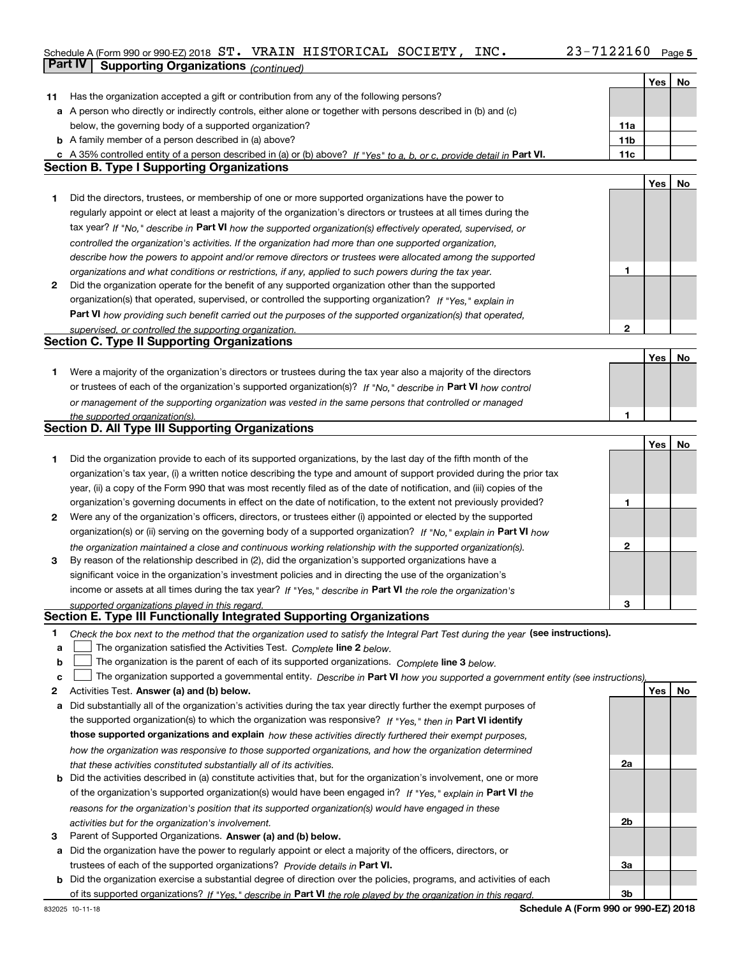## **5** Schedule A (Form 990 or 990-EZ) 2018 Page ST. VRAIN HISTORICAL SOCIETY, INC. 23-7122160**Part IV Supporting Organizations** *(continued)*

|    |                                                                                                                                                                                                                      |                 | Yes | No |
|----|----------------------------------------------------------------------------------------------------------------------------------------------------------------------------------------------------------------------|-----------------|-----|----|
|    | 11 Has the organization accepted a gift or contribution from any of the following persons?                                                                                                                           |                 |     |    |
|    | a A person who directly or indirectly controls, either alone or together with persons described in (b) and (c)                                                                                                       |                 |     |    |
|    | below, the governing body of a supported organization?                                                                                                                                                               | 11a             |     |    |
|    | <b>b</b> A family member of a person described in (a) above?                                                                                                                                                         | 11 <sub>b</sub> |     |    |
|    | c A 35% controlled entity of a person described in (a) or (b) above? If "Yes" to a, b, or c, provide detail in Part VI.                                                                                              | 11c             |     |    |
|    | <b>Section B. Type I Supporting Organizations</b>                                                                                                                                                                    |                 |     |    |
|    |                                                                                                                                                                                                                      |                 | Yes | No |
| 1  | Did the directors, trustees, or membership of one or more supported organizations have the power to                                                                                                                  |                 |     |    |
|    |                                                                                                                                                                                                                      |                 |     |    |
|    | regularly appoint or elect at least a majority of the organization's directors or trustees at all times during the                                                                                                   |                 |     |    |
|    | tax year? If "No," describe in Part VI how the supported organization(s) effectively operated, supervised, or                                                                                                        |                 |     |    |
|    | controlled the organization's activities. If the organization had more than one supported organization,                                                                                                              |                 |     |    |
|    | describe how the powers to appoint and/or remove directors or trustees were allocated among the supported                                                                                                            |                 |     |    |
|    | organizations and what conditions or restrictions, if any, applied to such powers during the tax year.                                                                                                               | 1               |     |    |
| 2  | Did the organization operate for the benefit of any supported organization other than the supported                                                                                                                  |                 |     |    |
|    | organization(s) that operated, supervised, or controlled the supporting organization? If "Yes," explain in                                                                                                           |                 |     |    |
|    | Part VI how providing such benefit carried out the purposes of the supported organization(s) that operated,                                                                                                          |                 |     |    |
|    | supervised, or controlled the supporting organization.                                                                                                                                                               | $\mathbf{2}$    |     |    |
|    | <b>Section C. Type II Supporting Organizations</b>                                                                                                                                                                   |                 |     |    |
|    |                                                                                                                                                                                                                      |                 | Yes | No |
| 1. | Were a majority of the organization's directors or trustees during the tax year also a majority of the directors                                                                                                     |                 |     |    |
|    | or trustees of each of the organization's supported organization(s)? If "No," describe in Part VI how control                                                                                                        |                 |     |    |
|    | or management of the supporting organization was vested in the same persons that controlled or managed                                                                                                               |                 |     |    |
|    | the supported organization(s).                                                                                                                                                                                       | 1               |     |    |
|    | Section D. All Type III Supporting Organizations                                                                                                                                                                     |                 |     |    |
|    |                                                                                                                                                                                                                      |                 | Yes | No |
| 1. | Did the organization provide to each of its supported organizations, by the last day of the fifth month of the                                                                                                       |                 |     |    |
|    | organization's tax year, (i) a written notice describing the type and amount of support provided during the prior tax                                                                                                |                 |     |    |
|    | year, (ii) a copy of the Form 990 that was most recently filed as of the date of notification, and (iii) copies of the                                                                                               |                 |     |    |
|    | organization's governing documents in effect on the date of notification, to the extent not previously provided?                                                                                                     | 1               |     |    |
| 2  | Were any of the organization's officers, directors, or trustees either (i) appointed or elected by the supported                                                                                                     |                 |     |    |
|    | organization(s) or (ii) serving on the governing body of a supported organization? If "No," explain in Part VI how                                                                                                   |                 |     |    |
|    |                                                                                                                                                                                                                      | $\mathbf{2}$    |     |    |
| 3  | the organization maintained a close and continuous working relationship with the supported organization(s).<br>By reason of the relationship described in (2), did the organization's supported organizations have a |                 |     |    |
|    |                                                                                                                                                                                                                      |                 |     |    |
|    | significant voice in the organization's investment policies and in directing the use of the organization's                                                                                                           |                 |     |    |
|    | income or assets at all times during the tax year? If "Yes," describe in Part VI the role the organization's                                                                                                         |                 |     |    |
|    | supported organizations played in this regard.<br>Section E. Type III Functionally Integrated Supporting Organizations                                                                                               | 3               |     |    |
|    |                                                                                                                                                                                                                      |                 |     |    |
| 1  | Check the box next to the method that the organization used to satisfy the Integral Part Test during the year (see instructions).                                                                                    |                 |     |    |
| a  | The organization satisfied the Activities Test. Complete line 2 below.                                                                                                                                               |                 |     |    |
| b  | The organization is the parent of each of its supported organizations. Complete line 3 below.                                                                                                                        |                 |     |    |
| c  | The organization supported a governmental entity. Describe in Part VI how you supported a government entity (see instructions),                                                                                      |                 |     |    |
| 2  | Activities Test. Answer (a) and (b) below.                                                                                                                                                                           |                 | Yes | No |
| а  | Did substantially all of the organization's activities during the tax year directly further the exempt purposes of                                                                                                   |                 |     |    |
|    | the supported organization(s) to which the organization was responsive? If "Yes," then in Part VI identify                                                                                                           |                 |     |    |
|    | those supported organizations and explain how these activities directly furthered their exempt purposes,                                                                                                             |                 |     |    |
|    | how the organization was responsive to those supported organizations, and how the organization determined                                                                                                            |                 |     |    |
|    | that these activities constituted substantially all of its activities.                                                                                                                                               | 2a              |     |    |
|    | <b>b</b> Did the activities described in (a) constitute activities that, but for the organization's involvement, one or more                                                                                         |                 |     |    |
|    | of the organization's supported organization(s) would have been engaged in? If "Yes," explain in Part VI the                                                                                                         |                 |     |    |
|    | reasons for the organization's position that its supported organization(s) would have engaged in these                                                                                                               |                 |     |    |
|    | activities but for the organization's involvement.                                                                                                                                                                   | 2b              |     |    |
| 3  | Parent of Supported Organizations. Answer (a) and (b) below.                                                                                                                                                         |                 |     |    |
|    | a Did the organization have the power to regularly appoint or elect a majority of the officers, directors, or                                                                                                        |                 |     |    |
|    | trustees of each of the supported organizations? Provide details in Part VI.                                                                                                                                         | За              |     |    |
|    | <b>b</b> Did the organization exercise a substantial degree of direction over the policies, programs, and activities of each                                                                                         |                 |     |    |
|    | of its supported organizations? If "Yes." describe in Part VI the role played by the organization in this regard.                                                                                                    | 3b              |     |    |

**Schedule A (Form 990 or 990-EZ) 2018**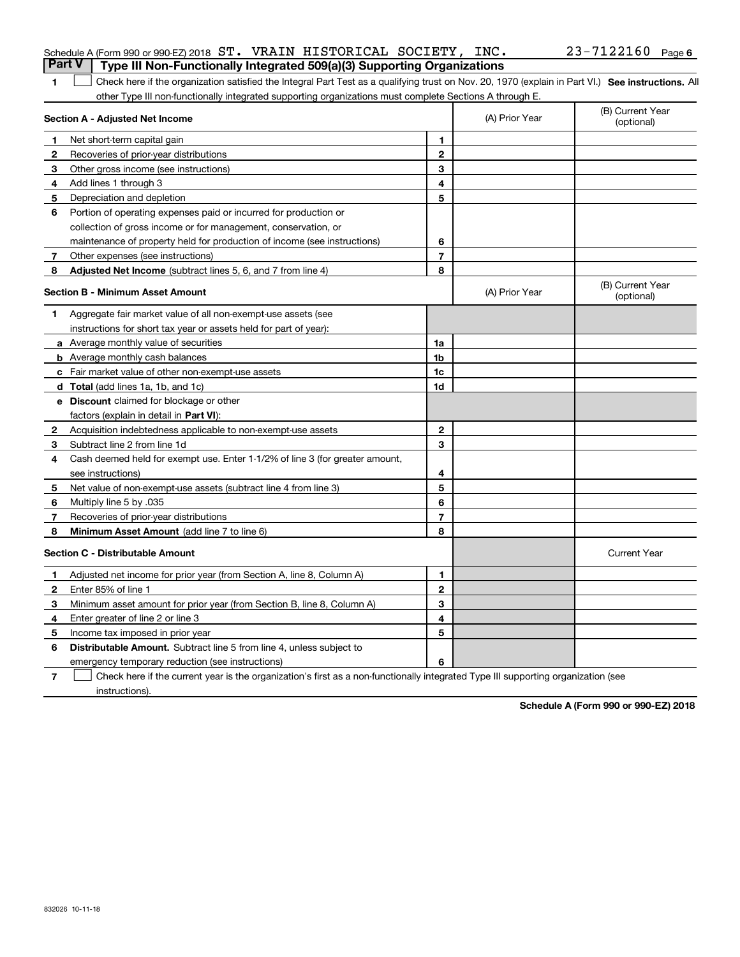| <b>Part V</b> Type III Non-Functionally Integrated 509(a)(3) Supporting Organizations |  |  |                       |  |
|---------------------------------------------------------------------------------------|--|--|-----------------------|--|
| Schedule A (Form 990 or 990-EZ) 2018 ST. VRAIN HISTORICAL SOCIETY, INC.               |  |  | $23 - 7122160$ Page 6 |  |

1 Check here if the organization satisfied the Integral Part Test as a qualifying trust on Nov. 20, 1970 (explain in Part VI.) See instructions. All other Type III non-functionally integrated supporting organizations must complete Sections A through E.

|              | Section A - Adjusted Net Income                                              |                | (A) Prior Year | (B) Current Year<br>(optional) |
|--------------|------------------------------------------------------------------------------|----------------|----------------|--------------------------------|
| 1            | Net short-term capital gain                                                  | 1              |                |                                |
| 2            | Recoveries of prior-year distributions                                       | $\overline{2}$ |                |                                |
| 3            | Other gross income (see instructions)                                        | 3              |                |                                |
| 4            | Add lines 1 through 3                                                        | 4              |                |                                |
| 5            | Depreciation and depletion                                                   | 5              |                |                                |
| 6            | Portion of operating expenses paid or incurred for production or             |                |                |                                |
|              | collection of gross income or for management, conservation, or               |                |                |                                |
|              | maintenance of property held for production of income (see instructions)     | 6              |                |                                |
| 7            | Other expenses (see instructions)                                            | $\overline{7}$ |                |                                |
| 8            | <b>Adjusted Net Income</b> (subtract lines 5, 6, and 7 from line 4)          | 8              |                |                                |
|              | <b>Section B - Minimum Asset Amount</b>                                      |                | (A) Prior Year | (B) Current Year<br>(optional) |
| 1            | Aggregate fair market value of all non-exempt-use assets (see                |                |                |                                |
|              | instructions for short tax year or assets held for part of year):            |                |                |                                |
|              | a Average monthly value of securities                                        | 1a             |                |                                |
|              | <b>b</b> Average monthly cash balances                                       | 1 <sub>b</sub> |                |                                |
|              | c Fair market value of other non-exempt-use assets                           | 1c             |                |                                |
|              | d Total (add lines 1a, 1b, and 1c)                                           | 1d             |                |                                |
|              | <b>e</b> Discount claimed for blockage or other                              |                |                |                                |
|              | factors (explain in detail in Part VI):                                      |                |                |                                |
| 2            | Acquisition indebtedness applicable to non-exempt-use assets                 | $\mathbf{2}$   |                |                                |
| 3            | Subtract line 2 from line 1d                                                 | 3              |                |                                |
| 4            | Cash deemed held for exempt use. Enter 1-1/2% of line 3 (for greater amount, |                |                |                                |
|              | see instructions)                                                            | 4              |                |                                |
| 5            | Net value of non-exempt-use assets (subtract line 4 from line 3)             | 5              |                |                                |
| 6            | Multiply line 5 by .035                                                      | 6              |                |                                |
| 7            | Recoveries of prior-year distributions                                       | $\overline{7}$ |                |                                |
| 8            | Minimum Asset Amount (add line 7 to line 6)                                  | 8              |                |                                |
|              | <b>Section C - Distributable Amount</b>                                      |                |                | <b>Current Year</b>            |
| 1            | Adjusted net income for prior year (from Section A, line 8, Column A)        | 1              |                |                                |
| $\mathbf{2}$ | Enter 85% of line 1                                                          | $\mathbf 2$    |                |                                |
| 3            | Minimum asset amount for prior year (from Section B, line 8, Column A)       | 3              |                |                                |
| 4            | Enter greater of line 2 or line 3                                            | 4              |                |                                |
| 5            | Income tax imposed in prior year                                             | 5              |                |                                |
| 6            | <b>Distributable Amount.</b> Subtract line 5 from line 4, unless subject to  |                |                |                                |
|              | emergency temporary reduction (see instructions)                             | 6              |                |                                |

**7**Check here if the current year is the organization's first as a non-functionally integrated Type III supporting organization (see instructions).

**Schedule A (Form 990 or 990-EZ) 2018**

**1**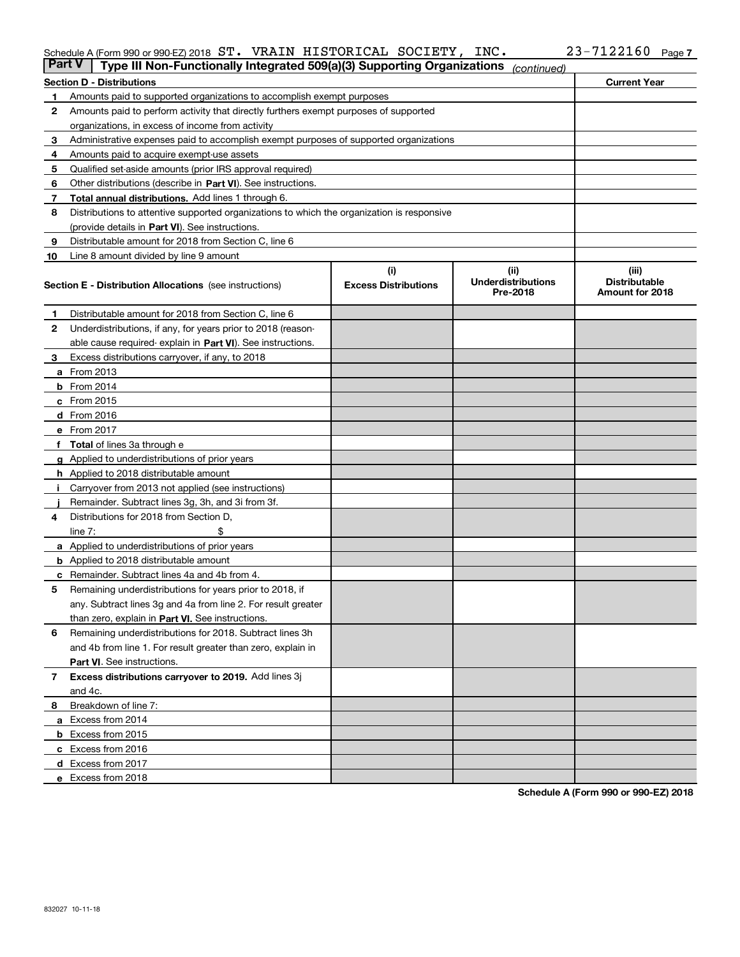### Schedule A (Form 990 or 990-EZ) 2018 S'I'。 VRAIN HISTORICAL SOCIETY, INC。 23-7I22I6U Page ST. VRAIN HISTORICAL SOCIETY, INC. 23-7122160

| <b>Part V</b> | Type III Non-Functionally Integrated 509(a)(3) Supporting Organizations                    |                                    | (continued)                                    |                                                  |
|---------------|--------------------------------------------------------------------------------------------|------------------------------------|------------------------------------------------|--------------------------------------------------|
|               | <b>Section D - Distributions</b>                                                           |                                    |                                                | <b>Current Year</b>                              |
| 1             | Amounts paid to supported organizations to accomplish exempt purposes                      |                                    |                                                |                                                  |
| 2             | Amounts paid to perform activity that directly furthers exempt purposes of supported       |                                    |                                                |                                                  |
|               | organizations, in excess of income from activity                                           |                                    |                                                |                                                  |
| 3             | Administrative expenses paid to accomplish exempt purposes of supported organizations      |                                    |                                                |                                                  |
| 4             | Amounts paid to acquire exempt-use assets                                                  |                                    |                                                |                                                  |
| 5             | Qualified set-aside amounts (prior IRS approval required)                                  |                                    |                                                |                                                  |
| 6             | Other distributions (describe in Part VI). See instructions.                               |                                    |                                                |                                                  |
| 7             | <b>Total annual distributions.</b> Add lines 1 through 6.                                  |                                    |                                                |                                                  |
| 8             | Distributions to attentive supported organizations to which the organization is responsive |                                    |                                                |                                                  |
|               | (provide details in Part VI). See instructions.                                            |                                    |                                                |                                                  |
| 9             | Distributable amount for 2018 from Section C, line 6                                       |                                    |                                                |                                                  |
| 10            | Line 8 amount divided by line 9 amount                                                     |                                    |                                                |                                                  |
|               | <b>Section E - Distribution Allocations</b> (see instructions)                             | (i)<br><b>Excess Distributions</b> | (iii)<br><b>Underdistributions</b><br>Pre-2018 | (iii)<br><b>Distributable</b><br>Amount for 2018 |
| 1             | Distributable amount for 2018 from Section C, line 6                                       |                                    |                                                |                                                  |
| 2             | Underdistributions, if any, for years prior to 2018 (reason-                               |                                    |                                                |                                                  |
|               | able cause required- explain in Part VI). See instructions.                                |                                    |                                                |                                                  |
| З             | Excess distributions carryover, if any, to 2018                                            |                                    |                                                |                                                  |
|               | <b>a</b> From 2013                                                                         |                                    |                                                |                                                  |
|               | <b>b</b> From 2014                                                                         |                                    |                                                |                                                  |
|               | $c$ From 2015                                                                              |                                    |                                                |                                                  |
|               | d From 2016                                                                                |                                    |                                                |                                                  |
|               | e From 2017                                                                                |                                    |                                                |                                                  |
|               | Total of lines 3a through e                                                                |                                    |                                                |                                                  |
| g             | Applied to underdistributions of prior years                                               |                                    |                                                |                                                  |
|               | <b>h</b> Applied to 2018 distributable amount                                              |                                    |                                                |                                                  |
|               | Carryover from 2013 not applied (see instructions)                                         |                                    |                                                |                                                  |
|               | Remainder. Subtract lines 3g, 3h, and 3i from 3f.                                          |                                    |                                                |                                                  |
| 4             | Distributions for 2018 from Section D,                                                     |                                    |                                                |                                                  |
|               | line $7:$                                                                                  |                                    |                                                |                                                  |
|               | <b>a</b> Applied to underdistributions of prior years                                      |                                    |                                                |                                                  |
|               | <b>b</b> Applied to 2018 distributable amount                                              |                                    |                                                |                                                  |
|               | c Remainder. Subtract lines 4a and 4b from 4.                                              |                                    |                                                |                                                  |
| 5             | Remaining underdistributions for years prior to 2018, if                                   |                                    |                                                |                                                  |
|               | any. Subtract lines 3g and 4a from line 2. For result greater                              |                                    |                                                |                                                  |
|               | than zero, explain in Part VI. See instructions.                                           |                                    |                                                |                                                  |
| 6             | Remaining underdistributions for 2018. Subtract lines 3h                                   |                                    |                                                |                                                  |
|               | and 4b from line 1. For result greater than zero, explain in                               |                                    |                                                |                                                  |
|               | Part VI. See instructions.                                                                 |                                    |                                                |                                                  |
| 7             | Excess distributions carryover to 2019. Add lines 3j                                       |                                    |                                                |                                                  |
|               | and 4c.                                                                                    |                                    |                                                |                                                  |
| 8             | Breakdown of line 7:                                                                       |                                    |                                                |                                                  |
|               | a Excess from 2014                                                                         |                                    |                                                |                                                  |
|               | <b>b</b> Excess from 2015                                                                  |                                    |                                                |                                                  |
|               | c Excess from 2016                                                                         |                                    |                                                |                                                  |
|               | d Excess from 2017                                                                         |                                    |                                                |                                                  |
|               | e Excess from 2018                                                                         |                                    |                                                |                                                  |

**Schedule A (Form 990 or 990-EZ) 2018**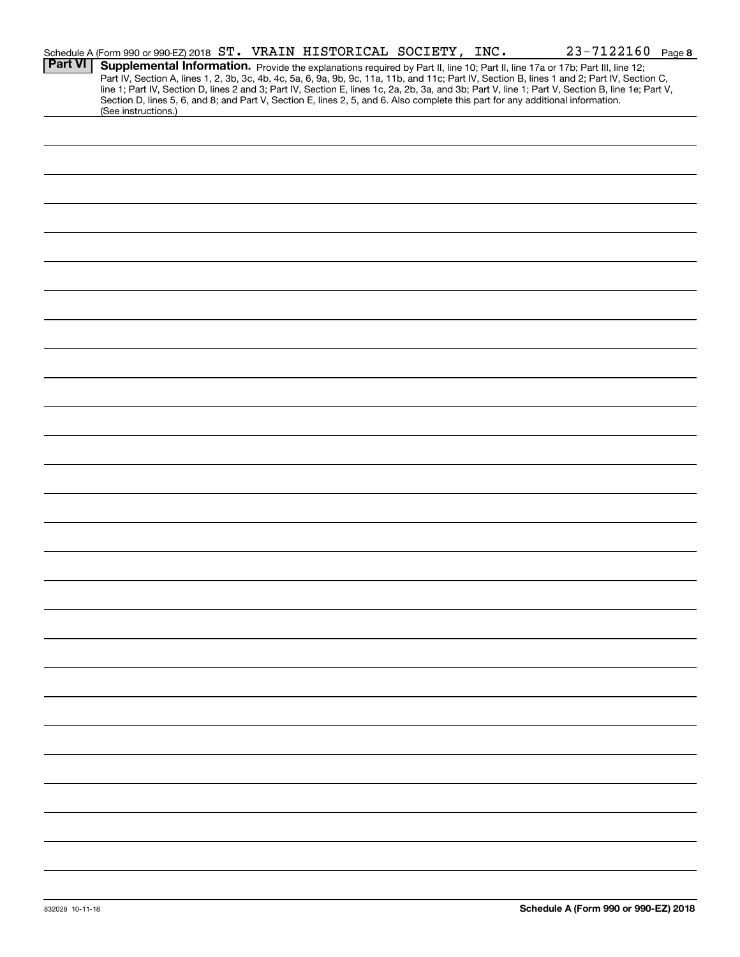|                | Schedule A (Form 990 or 990-EZ) 2018 ST. VRAIN HISTORICAL SOCIETY, INC.                                                                                                                                                                                                                                                                                                                                                                                                                                                                                                                     |  | $23 - 7122160$ Page 8 |  |
|----------------|---------------------------------------------------------------------------------------------------------------------------------------------------------------------------------------------------------------------------------------------------------------------------------------------------------------------------------------------------------------------------------------------------------------------------------------------------------------------------------------------------------------------------------------------------------------------------------------------|--|-----------------------|--|
| <b>Part VI</b> | Supplemental Information. Provide the explanations required by Part II, line 10; Part II, line 17a or 17b; Part III, line 12;<br>Part IV, Section A, lines 1, 2, 3b, 3c, 4b, 4c, 5a, 6, 9a, 9b, 9c, 11a, 11b, and 11c; Part IV, Section B, lines 1 and 2; Part IV, Section C,<br>line 1; Part IV, Section D, lines 2 and 3; Part IV, Section E, lines 1c, 2a, 2b, 3a, and 3b; Part V, line 1; Part V, Section B, line 1e; Part V,<br>Section D, lines 5, 6, and 8; and Part V, Section E, lines 2, 5, and 6. Also complete this part for any additional information.<br>(See instructions.) |  |                       |  |
|                |                                                                                                                                                                                                                                                                                                                                                                                                                                                                                                                                                                                             |  |                       |  |
|                |                                                                                                                                                                                                                                                                                                                                                                                                                                                                                                                                                                                             |  |                       |  |
|                |                                                                                                                                                                                                                                                                                                                                                                                                                                                                                                                                                                                             |  |                       |  |
|                |                                                                                                                                                                                                                                                                                                                                                                                                                                                                                                                                                                                             |  |                       |  |
|                |                                                                                                                                                                                                                                                                                                                                                                                                                                                                                                                                                                                             |  |                       |  |
|                |                                                                                                                                                                                                                                                                                                                                                                                                                                                                                                                                                                                             |  |                       |  |
|                |                                                                                                                                                                                                                                                                                                                                                                                                                                                                                                                                                                                             |  |                       |  |
|                |                                                                                                                                                                                                                                                                                                                                                                                                                                                                                                                                                                                             |  |                       |  |
|                |                                                                                                                                                                                                                                                                                                                                                                                                                                                                                                                                                                                             |  |                       |  |
|                |                                                                                                                                                                                                                                                                                                                                                                                                                                                                                                                                                                                             |  |                       |  |
|                |                                                                                                                                                                                                                                                                                                                                                                                                                                                                                                                                                                                             |  |                       |  |
|                |                                                                                                                                                                                                                                                                                                                                                                                                                                                                                                                                                                                             |  |                       |  |
|                |                                                                                                                                                                                                                                                                                                                                                                                                                                                                                                                                                                                             |  |                       |  |
|                |                                                                                                                                                                                                                                                                                                                                                                                                                                                                                                                                                                                             |  |                       |  |
|                |                                                                                                                                                                                                                                                                                                                                                                                                                                                                                                                                                                                             |  |                       |  |
|                |                                                                                                                                                                                                                                                                                                                                                                                                                                                                                                                                                                                             |  |                       |  |
|                |                                                                                                                                                                                                                                                                                                                                                                                                                                                                                                                                                                                             |  |                       |  |
|                |                                                                                                                                                                                                                                                                                                                                                                                                                                                                                                                                                                                             |  |                       |  |
|                |                                                                                                                                                                                                                                                                                                                                                                                                                                                                                                                                                                                             |  |                       |  |
|                |                                                                                                                                                                                                                                                                                                                                                                                                                                                                                                                                                                                             |  |                       |  |
|                |                                                                                                                                                                                                                                                                                                                                                                                                                                                                                                                                                                                             |  |                       |  |
|                |                                                                                                                                                                                                                                                                                                                                                                                                                                                                                                                                                                                             |  |                       |  |
|                |                                                                                                                                                                                                                                                                                                                                                                                                                                                                                                                                                                                             |  |                       |  |
|                |                                                                                                                                                                                                                                                                                                                                                                                                                                                                                                                                                                                             |  |                       |  |
|                |                                                                                                                                                                                                                                                                                                                                                                                                                                                                                                                                                                                             |  |                       |  |
|                |                                                                                                                                                                                                                                                                                                                                                                                                                                                                                                                                                                                             |  |                       |  |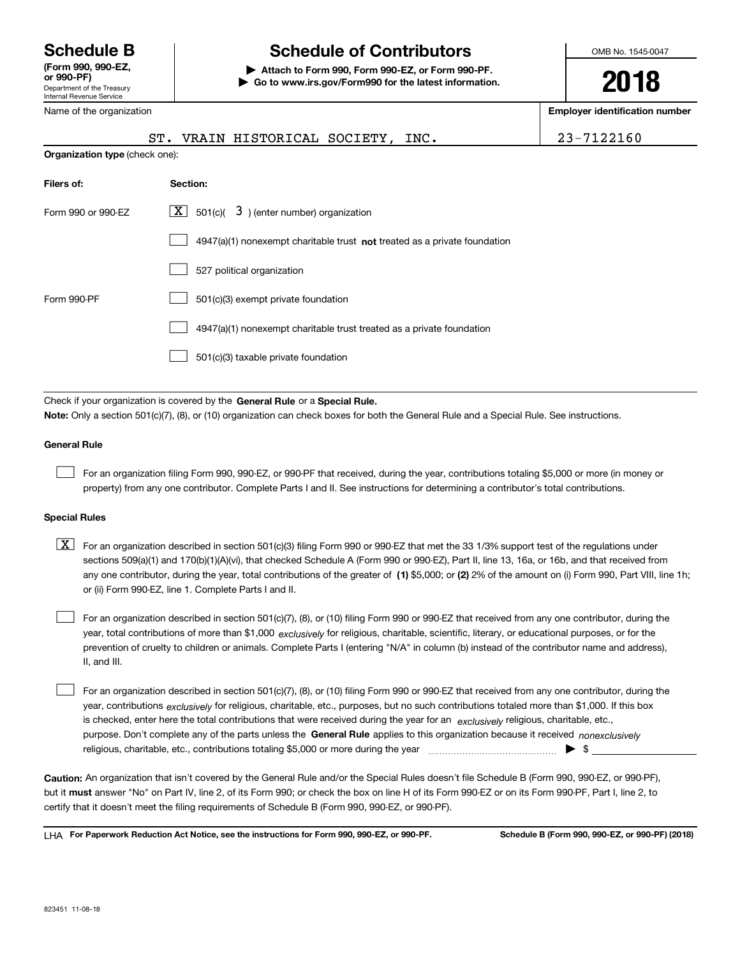Department of the Treasury Internal Revenue Service **(Form 990, 990-EZ, or 990-PF)**

Name of the organization

## **Schedule B Schedule of Contributors**

**| Attach to Form 990, Form 990-EZ, or Form 990-PF. | Go to www.irs.gov/Form990 for the latest information.** OMB No. 1545-0047

**2018**

**Employer identification number**

|                                | ST. VRAIN HISTORICAL SOCIETY, INC.                                          | 23-7122160 |
|--------------------------------|-----------------------------------------------------------------------------|------------|
| Organization type (check one): |                                                                             |            |
| Filers of:                     | Section:                                                                    |            |
| Form 990 or 990-EZ             | $\lfloor \underline{X} \rfloor$ 501(c)( 3) (enter number) organization      |            |
|                                | $4947(a)(1)$ nonexempt charitable trust not treated as a private foundation |            |
|                                | 527 political organization                                                  |            |
| Form 990-PF                    | 501(c)(3) exempt private foundation                                         |            |
|                                | 4947(a)(1) nonexempt charitable trust treated as a private foundation       |            |
|                                | 501(c)(3) taxable private foundation                                        |            |
|                                |                                                                             |            |

Check if your organization is covered by the **General Rule** or a **Special Rule. Note:**  Only a section 501(c)(7), (8), or (10) organization can check boxes for both the General Rule and a Special Rule. See instructions.

### **General Rule**

 $\mathcal{L}^{\text{max}}$ 

For an organization filing Form 990, 990-EZ, or 990-PF that received, during the year, contributions totaling \$5,000 or more (in money or property) from any one contributor. Complete Parts I and II. See instructions for determining a contributor's total contributions.

### **Special Rules**

any one contributor, during the year, total contributions of the greater of  $\,$  (1) \$5,000; or **(2)** 2% of the amount on (i) Form 990, Part VIII, line 1h;  $\boxed{\textbf{X}}$  For an organization described in section 501(c)(3) filing Form 990 or 990-EZ that met the 33 1/3% support test of the regulations under sections 509(a)(1) and 170(b)(1)(A)(vi), that checked Schedule A (Form 990 or 990-EZ), Part II, line 13, 16a, or 16b, and that received from or (ii) Form 990-EZ, line 1. Complete Parts I and II.

year, total contributions of more than \$1,000 *exclusively* for religious, charitable, scientific, literary, or educational purposes, or for the For an organization described in section 501(c)(7), (8), or (10) filing Form 990 or 990-EZ that received from any one contributor, during the prevention of cruelty to children or animals. Complete Parts I (entering "N/A" in column (b) instead of the contributor name and address), II, and III.  $\mathcal{L}^{\text{max}}$ 

purpose. Don't complete any of the parts unless the **General Rule** applies to this organization because it received *nonexclusively* year, contributions <sub>exclusively</sub> for religious, charitable, etc., purposes, but no such contributions totaled more than \$1,000. If this box is checked, enter here the total contributions that were received during the year for an  $\;$ exclusively religious, charitable, etc., For an organization described in section 501(c)(7), (8), or (10) filing Form 990 or 990-EZ that received from any one contributor, during the religious, charitable, etc., contributions totaling \$5,000 or more during the year  $\Box$ — $\Box$   $\Box$  $\mathcal{L}^{\text{max}}$ 

**Caution:**  An organization that isn't covered by the General Rule and/or the Special Rules doesn't file Schedule B (Form 990, 990-EZ, or 990-PF),  **must** but it answer "No" on Part IV, line 2, of its Form 990; or check the box on line H of its Form 990-EZ or on its Form 990-PF, Part I, line 2, to certify that it doesn't meet the filing requirements of Schedule B (Form 990, 990-EZ, or 990-PF).

**For Paperwork Reduction Act Notice, see the instructions for Form 990, 990-EZ, or 990-PF. Schedule B (Form 990, 990-EZ, or 990-PF) (2018)** LHA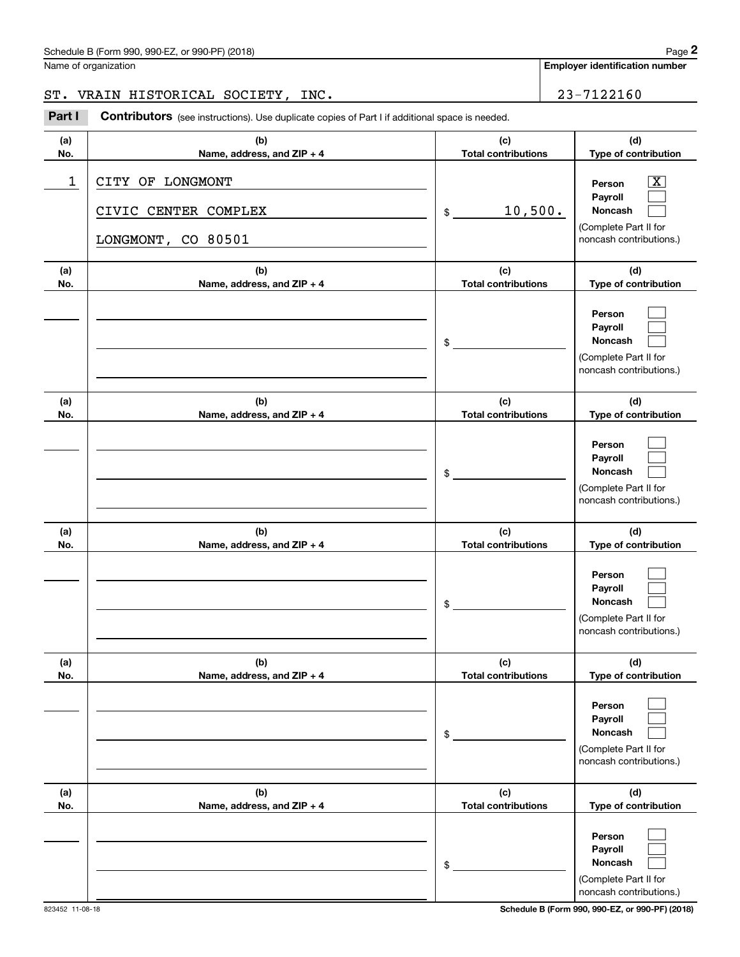## Schedule B (Form 990, 990-EZ, or 990-PF) (2018) Page 2

Name of organization

**Employer identification number**

## ST. VRAIN HISTORICAL SOCIETY, INC. 23-7122160

(schedule B (Form 990, 990-EZ, or 990-PF) (2018)<br>
Iame of organization<br> **23** – 7122160<br> **23** – 7122160<br> **Part I Contributors** (see instructions). Use duplicate copies of Part I if additional space is needed.

| (a)        | (b)                                                            | (c)                               | (d)                                                                                                       |
|------------|----------------------------------------------------------------|-----------------------------------|-----------------------------------------------------------------------------------------------------------|
| No.        | Name, address, and ZIP + 4                                     | <b>Total contributions</b>        | Type of contribution                                                                                      |
| 1          | CITY OF LONGMONT<br>CIVIC CENTER COMPLEX<br>LONGMONT, CO 80501 | 10,500.<br>$\frac{1}{2}$          | $\overline{\text{X}}$<br>Person<br>Payroll<br>Noncash<br>(Complete Part II for<br>noncash contributions.) |
| (a)<br>No. | (b)<br>Name, address, and ZIP + 4                              | (c)<br><b>Total contributions</b> | (d)<br>Type of contribution                                                                               |
|            |                                                                | $\frac{1}{2}$                     | Person<br>Payroll<br>Noncash<br>(Complete Part II for<br>noncash contributions.)                          |
| (a)<br>No. | (b)<br>Name, address, and ZIP + 4                              | (c)<br><b>Total contributions</b> | (d)<br>Type of contribution                                                                               |
|            |                                                                | $\frac{1}{2}$                     | Person<br>Payroll<br>Noncash<br>(Complete Part II for<br>noncash contributions.)                          |
| (a)<br>No. | (b)<br>Name, address, and ZIP + 4                              | (c)<br><b>Total contributions</b> | (d)<br>Type of contribution                                                                               |
|            |                                                                | $\frac{1}{2}$                     | Person<br>Payroll<br>Noncash<br>(Complete Part II for<br>noncash contributions.)                          |
| (a)<br>No. | (b)<br>Name, address, and ZIP + 4                              | (c)<br><b>Total contributions</b> | (d)<br>Type of contribution                                                                               |
|            |                                                                | \$                                | Person<br>Payroll<br>Noncash<br>(Complete Part II for<br>noncash contributions.)                          |
| (a)<br>No. | (b)<br>Name, address, and ZIP + 4                              | (c)<br><b>Total contributions</b> | (d)<br>Type of contribution                                                                               |
|            |                                                                | \$                                | Person<br>Payroll<br>Noncash<br>(Complete Part II for<br>noncash contributions.)                          |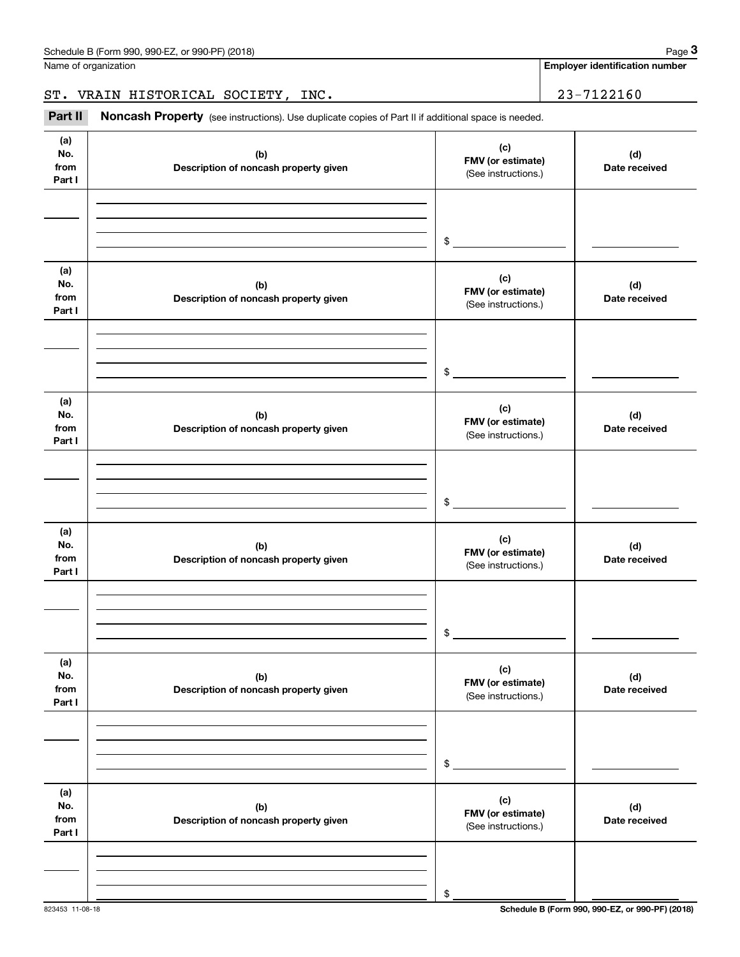**Employer identification number**

| ST. VRAIN HISTORICAL SOCIETY, INC. |  | 23-7122160 |
|------------------------------------|--|------------|
|                                    |  |            |

(see instructions). Use duplicate copies of Part II if additional space is needed.<br> **3Part II Noncash Property** (see instructions). Use duplicate copies of Part II if additional space is needed.

| (a)<br>No.<br>from<br>Part I | (b)<br>Description of noncash property given | (c)<br>FMV (or estimate)<br>(See instructions.) | (d)<br>Date received |
|------------------------------|----------------------------------------------|-------------------------------------------------|----------------------|
|                              |                                              | $\mathsf{\$}$                                   |                      |
| (a)<br>No.<br>from<br>Part I | (b)<br>Description of noncash property given | (c)<br>FMV (or estimate)<br>(See instructions.) | (d)<br>Date received |
|                              |                                              | $\sim$                                          |                      |
| (a)<br>No.<br>from<br>Part I | (b)<br>Description of noncash property given | (c)<br>FMV (or estimate)<br>(See instructions.) | (d)<br>Date received |
|                              |                                              | $\sim$                                          |                      |
| (a)<br>No.<br>from<br>Part I | (b)<br>Description of noncash property given | (c)<br>FMV (or estimate)<br>(See instructions.) | (d)<br>Date received |
|                              |                                              | \$                                              |                      |
| (a)<br>No.<br>from<br>Part I | (b)<br>Description of noncash property given | (c)<br>FMV (or estimate)<br>(See instructions.) | (d)<br>Date received |
|                              |                                              | \$                                              |                      |
| (a)<br>No.<br>from<br>Part I | (b)<br>Description of noncash property given | (c)<br>FMV (or estimate)<br>(See instructions.) | (d)<br>Date received |
|                              |                                              | \$                                              |                      |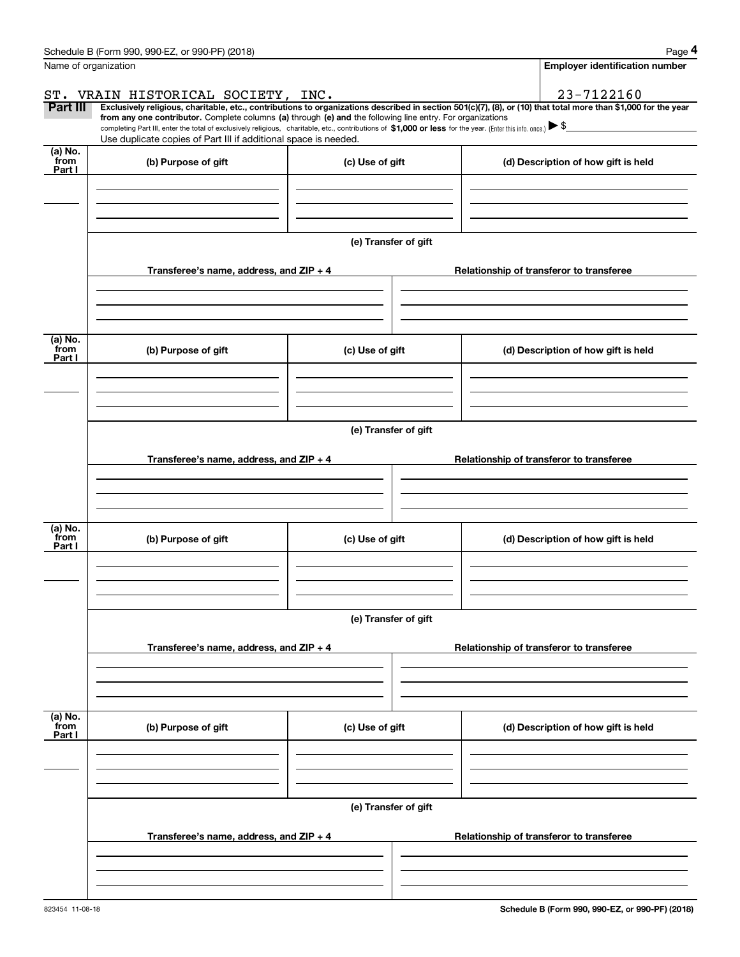|                           | Schedule B (Form 990, 990-EZ, or 990-PF) (2018)                                                                                                                                                                                                      |                      | Page 4                                                                                                                                                         |  |  |  |  |
|---------------------------|------------------------------------------------------------------------------------------------------------------------------------------------------------------------------------------------------------------------------------------------------|----------------------|----------------------------------------------------------------------------------------------------------------------------------------------------------------|--|--|--|--|
|                           | Name of organization                                                                                                                                                                                                                                 |                      | <b>Employer identification number</b>                                                                                                                          |  |  |  |  |
|                           | ST. VRAIN HISTORICAL SOCIETY, INC.                                                                                                                                                                                                                   |                      | 23-7122160                                                                                                                                                     |  |  |  |  |
| Part III                  | from any one contributor. Complete columns (a) through (e) and the following line entry. For organizations                                                                                                                                           |                      | Exclusively religious, charitable, etc., contributions to organizations described in section 501(c)(7), (8), or (10) that total more than \$1,000 for the year |  |  |  |  |
|                           | completing Part III, enter the total of exclusively religious, charitable, etc., contributions of \$1,000 or less for the year. (Enter this info. once.) $\blacktriangleright$ \$<br>Use duplicate copies of Part III if additional space is needed. |                      |                                                                                                                                                                |  |  |  |  |
| (a) No.<br>from           | (b) Purpose of gift                                                                                                                                                                                                                                  |                      |                                                                                                                                                                |  |  |  |  |
| Part I                    |                                                                                                                                                                                                                                                      | (c) Use of gift      | (d) Description of how gift is held                                                                                                                            |  |  |  |  |
|                           |                                                                                                                                                                                                                                                      | (e) Transfer of gift |                                                                                                                                                                |  |  |  |  |
|                           | Transferee's name, address, and ZIP + 4                                                                                                                                                                                                              |                      | Relationship of transferor to transferee                                                                                                                       |  |  |  |  |
| (a) No.<br>from<br>Part I | (b) Purpose of gift                                                                                                                                                                                                                                  | (c) Use of gift      | (d) Description of how gift is held                                                                                                                            |  |  |  |  |
|                           |                                                                                                                                                                                                                                                      |                      |                                                                                                                                                                |  |  |  |  |
|                           |                                                                                                                                                                                                                                                      | (e) Transfer of gift |                                                                                                                                                                |  |  |  |  |
|                           |                                                                                                                                                                                                                                                      |                      |                                                                                                                                                                |  |  |  |  |
|                           | Transferee's name, address, and ZIP + 4                                                                                                                                                                                                              |                      | Relationship of transferor to transferee                                                                                                                       |  |  |  |  |
| (a) No.<br>from           | (b) Purpose of gift                                                                                                                                                                                                                                  | (c) Use of gift      | (d) Description of how gift is held                                                                                                                            |  |  |  |  |
| Part I                    |                                                                                                                                                                                                                                                      |                      |                                                                                                                                                                |  |  |  |  |
|                           |                                                                                                                                                                                                                                                      |                      |                                                                                                                                                                |  |  |  |  |
|                           |                                                                                                                                                                                                                                                      | (e) Transfer of gift |                                                                                                                                                                |  |  |  |  |
|                           | Transferee's name, address, and $ZIP + 4$                                                                                                                                                                                                            |                      | Relationship of transferor to transferee                                                                                                                       |  |  |  |  |
|                           |                                                                                                                                                                                                                                                      |                      |                                                                                                                                                                |  |  |  |  |
| (a) No.<br>from           | (b) Purpose of gift                                                                                                                                                                                                                                  | (c) Use of gift      | (d) Description of how gift is held                                                                                                                            |  |  |  |  |
| Part I                    |                                                                                                                                                                                                                                                      |                      |                                                                                                                                                                |  |  |  |  |
|                           |                                                                                                                                                                                                                                                      |                      |                                                                                                                                                                |  |  |  |  |
|                           |                                                                                                                                                                                                                                                      | (e) Transfer of gift |                                                                                                                                                                |  |  |  |  |
|                           | Transferee's name, address, and $ZIP + 4$                                                                                                                                                                                                            |                      | Relationship of transferor to transferee                                                                                                                       |  |  |  |  |
|                           |                                                                                                                                                                                                                                                      |                      |                                                                                                                                                                |  |  |  |  |
|                           |                                                                                                                                                                                                                                                      |                      |                                                                                                                                                                |  |  |  |  |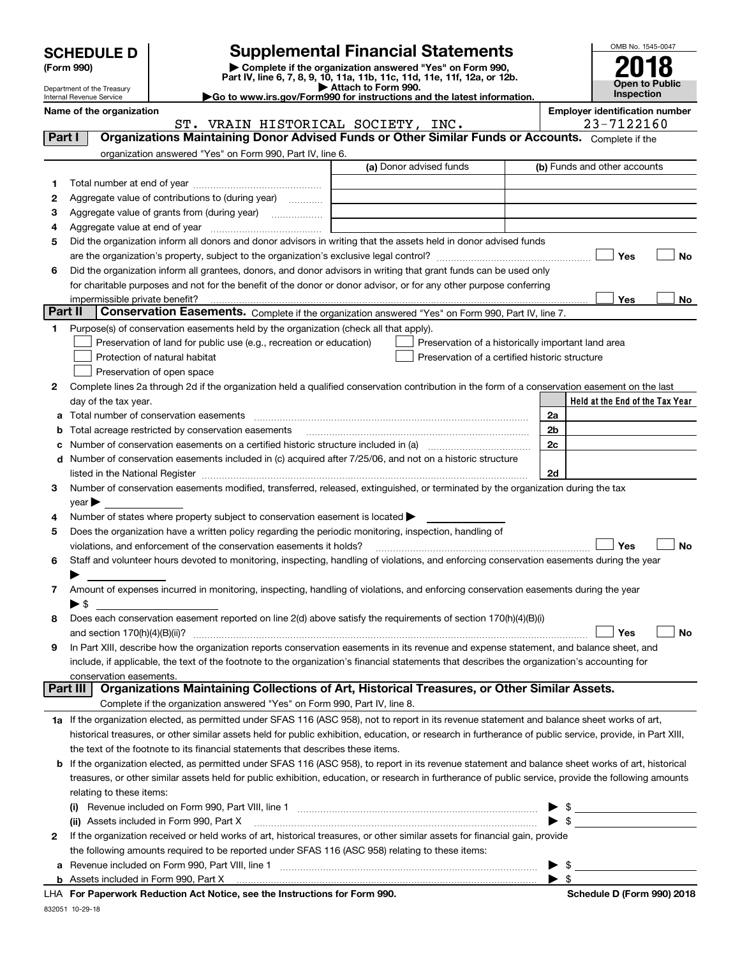| <b>SCHEDULE D</b> |
|-------------------|
|-------------------|

| (Form 990) |  |
|------------|--|
|------------|--|

**6**

**1**

**3**

**abcd**

**45**

**6**

**7**

**8**

**9**

## **Supplemental Financial Statements**

**(Form 990)** (**Form 990,**<br>Part IV, line 6, 7, 8, 9, 10, 11a, 11b, 11c, 11d, 11e, 11f, 12a, or 12b.<br>Department of the Treasury **and Exercise Connect Connect Connect Connect Connect Connect Connect Connect Connect** 



**No**

Department of the Treasury Internal Revenue Service

**|Go to www.irs.gov/Form990 for instructions and the latest information. Name of the organization Employer identification number**

**Held at the End of the Tax Year** (a) Donor advised funds **Yes No Yes2**Complete lines 2a through 2d if the organization held a qualified conservation contribution in the form of a conservation easement on the last **2a2b2c2dYes No Yes No 1a** If the organization elected, as permitted under SFAS 116 (ASC 958), not to report in its revenue statement and balance sheet works of art, Complete if the organization answered "Yes" on Form 990, Part IV, line 6. (b) Funds and other accounts Total number at end of year ~~~~~~~~~~~~~~~ Aggregate value of contributions to (during year)  $\quad \quad \ldots \ldots \ldots$ Aggregate value of grants from (during year) www.community Aggregate value at end of year ~~~~~~~~~~~~~ Did the organization inform all donors and donor advisors in writing that the assets held in donor advised funds are the organization's property, subject to the organization's exclusive legal control? ~~~~~~~~~~~~~~~~~~ Did the organization inform all grantees, donors, and donor advisors in writing that grant funds can be used only for charitable purposes and not for the benefit of the donor or donor advisor, or for any other purpose conferring impermissible private benefit? **Part II | Conservation Easements.** Complete if the organization answered "Yes" on Form 990, Part IV, line 7. Purpose(s) of conservation easements held by the organization (check all that apply). Preservation of land for public use (e.g., recreation or education) **Protection of natural habitat Exercise 2018** Preservation of open space Preservation of a historically important land area Preservation of a certified historic structure day of the tax year. Total number of conservation easements ~~~~~~~~~~~~~~~~~~~~~~~~~~~~~~~~ Total acreage restricted by conservation easements Number of conservation easements on a certified historic structure included in (a) ~~~~~~~~~~~~ Number of conservation easements included in (c) acquired after 7/25/06, and not on a historic structure listed in the National Register ~~~~~~~~~~~~~~~~~~~~~~~~~~~~~~~~~~~~~~ Number of conservation easements modified, transferred, released, extinguished, or terminated by the organization during the tax  $\vee$ ear $\blacktriangleright$ Number of states where property subject to conservation easement is located  $\blacktriangleright$ Does the organization have a written policy regarding the periodic monitoring, inspection, handling of violations, and enforcement of the conservation easements it holds? Staff and volunteer hours devoted to monitoring, inspecting, handling of violations, and enforcing conservation easements during the year  $\blacktriangleright$ Amount of expenses incurred in monitoring, inspecting, handling of violations, and enforcing conservation easements during the year  $\blacktriangleright$  \$ Does each conservation easement reported on line 2(d) above satisfy the requirements of section 170(h)(4)(B)(i) and section 170(h)(4)(B)(ii)? ~~~~~~~~~~~~~~~~~~~~~~~~~~~~~~~~~~~~~~~~~~~~~~ In Part XIII, describe how the organization reports conservation easements in its revenue and expense statement, and balance sheet, and include, if applicable, the text of the footnote to the organization's financial statements that describes the organization's accounting for conservation easements. Complete if the organization answered "Yes" on Form 990, Part IV, line 8. historical treasures, or other similar assets held for public exhibition, education, or research in furtherance of public service, provide, in Part XIII, **Part I Organizations Maintaining Donor Advised Funds or Other Similar Funds or Accounts. Part III Organizations Maintaining Collections of Art, Historical Treasures, or Other Similar Assets.**  $\mathcal{L}^{\text{max}}$  $\mathcal{L}^{\text{max}}$  $\Box$  Yes  $\Box$  $\mathcal{L}^{\text{max}}$  $\mathcal{L}^{\text{max}}$  $\mathcal{L}^{\text{max}}$  ST. VRAIN HISTORICAL SOCIETY, INC. 23-7122160

| <b>b</b> If the organization elected, as permitted under SFAS 116 (ASC 958), to report in its revenue statement and balance sheet works of art, historical |
|------------------------------------------------------------------------------------------------------------------------------------------------------------|
| treasures, or other similar assets held for public exhibition, education, or research in furtherance of public service, provide the following amounts      |
| relating to these items:                                                                                                                                   |
|                                                                                                                                                            |

| (ii) Assets included in Form 990, Part X                                                                                       |  |
|--------------------------------------------------------------------------------------------------------------------------------|--|
| 2 If the organization received or held works of art, historical treasures, or other similar assets for financial gain, provide |  |
| the following amounts required to be reported under SFAS 116 (ASC 958) relating to these items:                                |  |
| a Revenue included on Form 990, Part VIII, line 1                                                                              |  |
|                                                                                                                                |  |

**For Paperwork Reduction Act Notice, see the Instructions for Form 990. Schedule D (Form 990) 2018** LHA

the text of the footnote to its financial statements that describes these items.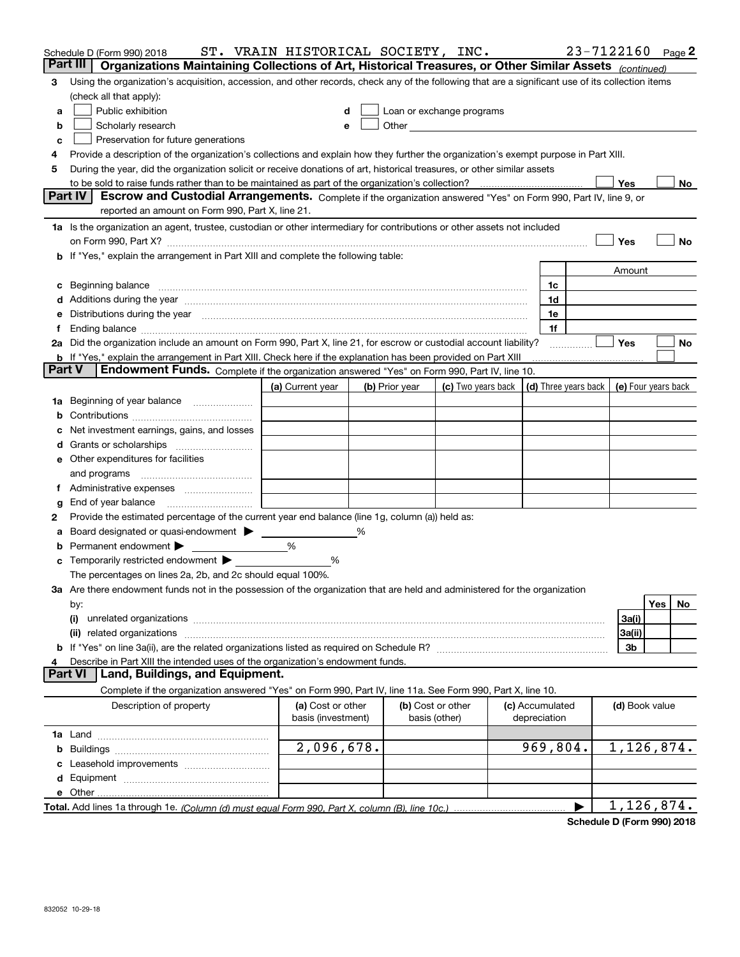|    | Schedule D (Form 990) 2018                                                                                                                                                                                                     | ST. VRAIN HISTORICAL SOCIETY, INC. |                |                                                                                                                                                                                                                                      |                 |                      |                | 23-7122160 Page 2   |
|----|--------------------------------------------------------------------------------------------------------------------------------------------------------------------------------------------------------------------------------|------------------------------------|----------------|--------------------------------------------------------------------------------------------------------------------------------------------------------------------------------------------------------------------------------------|-----------------|----------------------|----------------|---------------------|
|    | Part III<br>Organizations Maintaining Collections of Art, Historical Treasures, or Other Similar Assets (continued)                                                                                                            |                                    |                |                                                                                                                                                                                                                                      |                 |                      |                |                     |
| 3  | Using the organization's acquisition, accession, and other records, check any of the following that are a significant use of its collection items                                                                              |                                    |                |                                                                                                                                                                                                                                      |                 |                      |                |                     |
|    | (check all that apply):                                                                                                                                                                                                        |                                    |                |                                                                                                                                                                                                                                      |                 |                      |                |                     |
| a  | Public exhibition                                                                                                                                                                                                              |                                    |                | Loan or exchange programs                                                                                                                                                                                                            |                 |                      |                |                     |
| b  | Scholarly research                                                                                                                                                                                                             |                                    |                | Other <u>with the contract of the contract of the contract of the contract of the contract of the contract of the contract of the contract of the contract of the contract of the contract of the contract of the contract of th</u> |                 |                      |                |                     |
| с  | Preservation for future generations                                                                                                                                                                                            |                                    |                |                                                                                                                                                                                                                                      |                 |                      |                |                     |
|    | Provide a description of the organization's collections and explain how they further the organization's exempt purpose in Part XIII.                                                                                           |                                    |                |                                                                                                                                                                                                                                      |                 |                      |                |                     |
| 5  | During the year, did the organization solicit or receive donations of art, historical treasures, or other similar assets                                                                                                       |                                    |                |                                                                                                                                                                                                                                      |                 |                      |                |                     |
|    | to be sold to raise funds rather than to be maintained as part of the organization's collection?                                                                                                                               |                                    |                |                                                                                                                                                                                                                                      |                 |                      | Yes            | No                  |
|    | <b>Part IV</b><br>Escrow and Custodial Arrangements. Complete if the organization answered "Yes" on Form 990, Part IV, line 9, or                                                                                              |                                    |                |                                                                                                                                                                                                                                      |                 |                      |                |                     |
|    | reported an amount on Form 990, Part X, line 21.                                                                                                                                                                               |                                    |                |                                                                                                                                                                                                                                      |                 |                      |                |                     |
|    | 1a Is the organization an agent, trustee, custodian or other intermediary for contributions or other assets not included                                                                                                       |                                    |                |                                                                                                                                                                                                                                      |                 |                      |                |                     |
|    | on Form 990, Part X? [11] matter continuum matter contract to the contract of the contract of the contract of the contract of the contract of the contract of the contract of the contract of the contract of the contract of  |                                    |                |                                                                                                                                                                                                                                      |                 |                      | Yes            | No                  |
|    | b If "Yes," explain the arrangement in Part XIII and complete the following table:                                                                                                                                             |                                    |                |                                                                                                                                                                                                                                      |                 |                      |                |                     |
|    |                                                                                                                                                                                                                                |                                    |                |                                                                                                                                                                                                                                      |                 |                      | Amount         |                     |
|    |                                                                                                                                                                                                                                |                                    |                |                                                                                                                                                                                                                                      | 1c              |                      |                |                     |
|    | d Additions during the year measurement contains and a state of the year measurement of the year measurement of                                                                                                                |                                    |                |                                                                                                                                                                                                                                      | 1d              |                      |                |                     |
|    | e Distributions during the year manufactured and continuum and contact the year manufactured and contact the year manufactured and contact the year manufactured and contact the year manufactured and contact the year manufa |                                    |                |                                                                                                                                                                                                                                      | 1e              |                      |                |                     |
|    |                                                                                                                                                                                                                                |                                    |                |                                                                                                                                                                                                                                      | 1f              |                      |                |                     |
|    | 2a Did the organization include an amount on Form 990, Part X, line 21, for escrow or custodial account liability?                                                                                                             |                                    |                |                                                                                                                                                                                                                                      |                 |                      | Yes            | No                  |
|    | <b>b</b> If "Yes," explain the arrangement in Part XIII. Check here if the explanation has been provided on Part XIII<br><b>Part V</b>                                                                                         |                                    |                |                                                                                                                                                                                                                                      |                 |                      |                |                     |
|    | Endowment Funds. Complete if the organization answered "Yes" on Form 990, Part IV, line 10.                                                                                                                                    |                                    |                |                                                                                                                                                                                                                                      |                 |                      |                |                     |
|    |                                                                                                                                                                                                                                | (a) Current year                   | (b) Prior year | (c) Two years back                                                                                                                                                                                                                   |                 | (d) Three years back |                | (e) Four years back |
| 1a | Beginning of year balance                                                                                                                                                                                                      |                                    |                |                                                                                                                                                                                                                                      |                 |                      |                |                     |
|    |                                                                                                                                                                                                                                |                                    |                |                                                                                                                                                                                                                                      |                 |                      |                |                     |
|    | Net investment earnings, gains, and losses                                                                                                                                                                                     |                                    |                |                                                                                                                                                                                                                                      |                 |                      |                |                     |
|    |                                                                                                                                                                                                                                |                                    |                |                                                                                                                                                                                                                                      |                 |                      |                |                     |
|    | e Other expenditures for facilities                                                                                                                                                                                            |                                    |                |                                                                                                                                                                                                                                      |                 |                      |                |                     |
|    | and programs                                                                                                                                                                                                                   |                                    |                |                                                                                                                                                                                                                                      |                 |                      |                |                     |
| Ť. |                                                                                                                                                                                                                                |                                    |                |                                                                                                                                                                                                                                      |                 |                      |                |                     |
| g  | Provide the estimated percentage of the current year end balance (line 1g, column (a)) held as:                                                                                                                                |                                    |                |                                                                                                                                                                                                                                      |                 |                      |                |                     |
| 2  | Board designated or quasi-endowment                                                                                                                                                                                            |                                    | %              |                                                                                                                                                                                                                                      |                 |                      |                |                     |
|    | Permanent endowment $\blacktriangleright$                                                                                                                                                                                      | %                                  |                |                                                                                                                                                                                                                                      |                 |                      |                |                     |
|    | c Temporarily restricted endowment $\blacktriangleright$                                                                                                                                                                       | %                                  |                |                                                                                                                                                                                                                                      |                 |                      |                |                     |
|    | The percentages on lines 2a, 2b, and 2c should equal 100%.                                                                                                                                                                     |                                    |                |                                                                                                                                                                                                                                      |                 |                      |                |                     |
|    | 3a Are there endowment funds not in the possession of the organization that are held and administered for the organization                                                                                                     |                                    |                |                                                                                                                                                                                                                                      |                 |                      |                |                     |
|    | by:                                                                                                                                                                                                                            |                                    |                |                                                                                                                                                                                                                                      |                 |                      |                | Yes<br>No.          |
|    | (i)                                                                                                                                                                                                                            |                                    |                |                                                                                                                                                                                                                                      |                 |                      | 3a(i)          |                     |
|    | related organizations<br>(ii)                                                                                                                                                                                                  |                                    |                |                                                                                                                                                                                                                                      |                 |                      | 3a(ii)         |                     |
|    |                                                                                                                                                                                                                                |                                    |                |                                                                                                                                                                                                                                      |                 |                      | 3b             |                     |
| 4  | Describe in Part XIII the intended uses of the organization's endowment funds.                                                                                                                                                 |                                    |                |                                                                                                                                                                                                                                      |                 |                      |                |                     |
|    | Land, Buildings, and Equipment.<br><b>Part VI</b>                                                                                                                                                                              |                                    |                |                                                                                                                                                                                                                                      |                 |                      |                |                     |
|    | Complete if the organization answered "Yes" on Form 990, Part IV, line 11a. See Form 990, Part X, line 10.                                                                                                                     |                                    |                |                                                                                                                                                                                                                                      |                 |                      |                |                     |
|    | Description of property                                                                                                                                                                                                        | (a) Cost or other                  |                | (b) Cost or other                                                                                                                                                                                                                    | (c) Accumulated |                      | (d) Book value |                     |
|    |                                                                                                                                                                                                                                | basis (investment)                 |                | basis (other)                                                                                                                                                                                                                        | depreciation    |                      |                |                     |
|    |                                                                                                                                                                                                                                |                                    |                |                                                                                                                                                                                                                                      |                 |                      |                |                     |
|    |                                                                                                                                                                                                                                | 2,096,678.                         |                |                                                                                                                                                                                                                                      | 969,804.        |                      |                | 1,126,874.          |
|    |                                                                                                                                                                                                                                |                                    |                |                                                                                                                                                                                                                                      |                 |                      |                |                     |
|    |                                                                                                                                                                                                                                |                                    |                |                                                                                                                                                                                                                                      |                 |                      |                |                     |
|    | e Other                                                                                                                                                                                                                        |                                    |                |                                                                                                                                                                                                                                      |                 |                      |                |                     |
|    |                                                                                                                                                                                                                                |                                    |                |                                                                                                                                                                                                                                      |                 | ▶                    |                | 1,126,874.          |

**Schedule D (Form 990) 2018**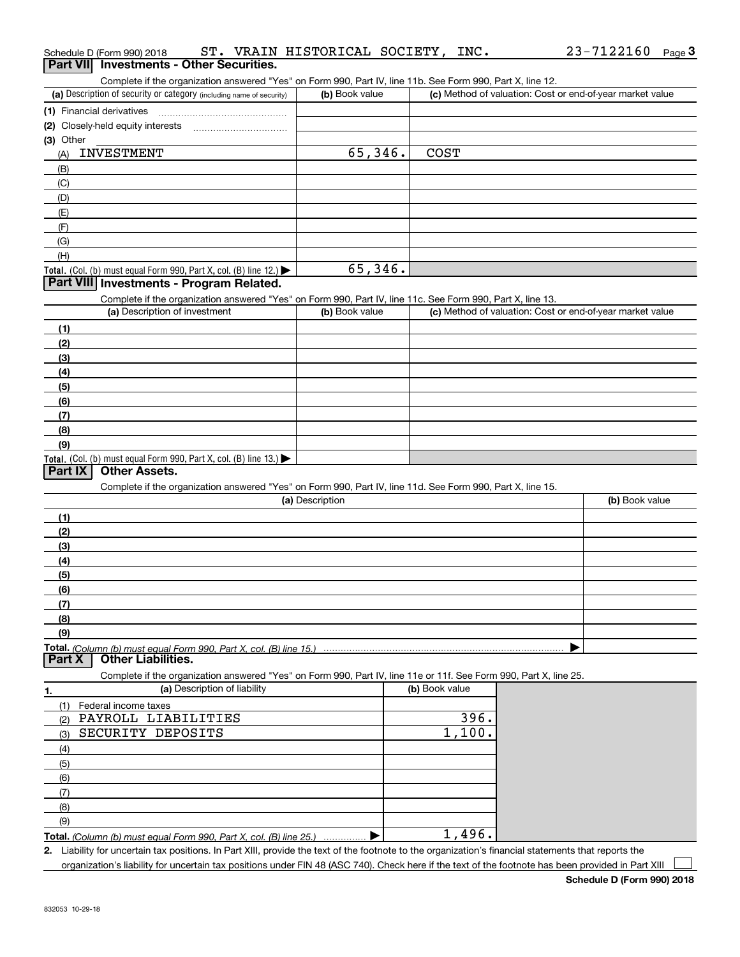| Schedule D (Form 990) 2018 |  |                                                 | ST. VRAIN HISTORICAL SOCIETY, 1 | INC. | 23-7122160 | Page $3$ |
|----------------------------|--|-------------------------------------------------|---------------------------------|------|------------|----------|
|                            |  | <b>Part VII</b> Investments - Other Securities. |                                 |      |            |          |

|           | Part VII Investments - Other Securities.                                                                                                          |                 |                |                                                           |
|-----------|---------------------------------------------------------------------------------------------------------------------------------------------------|-----------------|----------------|-----------------------------------------------------------|
|           | Complete if the organization answered "Yes" on Form 990, Part IV, line 11b. See Form 990, Part X, line 12.                                        |                 |                |                                                           |
|           | (a) Description of security or category (including name of security)                                                                              | (b) Book value  |                | (c) Method of valuation: Cost or end-of-year market value |
|           | (1) Financial derivatives                                                                                                                         |                 |                |                                                           |
|           | (2) Closely-held equity interests                                                                                                                 |                 |                |                                                           |
| (3) Other |                                                                                                                                                   |                 |                |                                                           |
| (A)       | <b>INVESTMENT</b>                                                                                                                                 | 65,346.         | <b>COST</b>    |                                                           |
| (B)       |                                                                                                                                                   |                 |                |                                                           |
| (C)       |                                                                                                                                                   |                 |                |                                                           |
| (D)       |                                                                                                                                                   |                 |                |                                                           |
| (E)       |                                                                                                                                                   |                 |                |                                                           |
| (F)       |                                                                                                                                                   |                 |                |                                                           |
| (G)       |                                                                                                                                                   |                 |                |                                                           |
| (H)       |                                                                                                                                                   |                 |                |                                                           |
|           | Total. (Col. (b) must equal Form 990, Part X, col. (B) line 12.)<br>Part VIII Investments - Program Related.                                      | 65,346.         |                |                                                           |
|           |                                                                                                                                                   |                 |                |                                                           |
|           | Complete if the organization answered "Yes" on Form 990, Part IV, line 11c. See Form 990, Part X, line 13.<br>(a) Description of investment       | (b) Book value  |                | (c) Method of valuation: Cost or end-of-year market value |
|           |                                                                                                                                                   |                 |                |                                                           |
| (1)       |                                                                                                                                                   |                 |                |                                                           |
| (2)       |                                                                                                                                                   |                 |                |                                                           |
| (3)       |                                                                                                                                                   |                 |                |                                                           |
| (4)       |                                                                                                                                                   |                 |                |                                                           |
| (5)       |                                                                                                                                                   |                 |                |                                                           |
| (6)       |                                                                                                                                                   |                 |                |                                                           |
| (7)       |                                                                                                                                                   |                 |                |                                                           |
| (8)       |                                                                                                                                                   |                 |                |                                                           |
| (9)       |                                                                                                                                                   |                 |                |                                                           |
| Part IX   | Total. (Col. (b) must equal Form 990, Part X, col. (B) line 13.)<br><b>Other Assets.</b>                                                          |                 |                |                                                           |
|           |                                                                                                                                                   |                 |                |                                                           |
|           | Complete if the organization answered "Yes" on Form 990, Part IV, line 11d. See Form 990, Part X, line 15.                                        | (a) Description |                | (b) Book value                                            |
|           |                                                                                                                                                   |                 |                |                                                           |
| (1)       |                                                                                                                                                   |                 |                |                                                           |
| (2)       |                                                                                                                                                   |                 |                |                                                           |
| (3)       |                                                                                                                                                   |                 |                |                                                           |
| (4)       |                                                                                                                                                   |                 |                |                                                           |
| (5)       |                                                                                                                                                   |                 |                |                                                           |
| (6)       |                                                                                                                                                   |                 |                |                                                           |
| (7)       |                                                                                                                                                   |                 |                |                                                           |
| (8)       |                                                                                                                                                   |                 |                |                                                           |
| (9)       |                                                                                                                                                   |                 |                |                                                           |
| Part X    | Total. (Column (b) must equal Form 990, Part X, col. (B) line 15.)<br><b>Other Liabilities.</b>                                                   |                 |                |                                                           |
|           |                                                                                                                                                   |                 |                |                                                           |
|           | Complete if the organization answered "Yes" on Form 990, Part IV, line 11e or 11f. See Form 990, Part X, line 25.<br>(a) Description of liability |                 | (b) Book value |                                                           |
| 1.        |                                                                                                                                                   |                 |                |                                                           |
| (1)       | Federal income taxes<br>PAYROLL LIABILITIES                                                                                                       |                 | 396.           |                                                           |
| (2)       | SECURITY DEPOSITS                                                                                                                                 |                 | 1,100.         |                                                           |
| (3)       |                                                                                                                                                   |                 |                |                                                           |
| (4)       |                                                                                                                                                   |                 |                |                                                           |
| (5)       |                                                                                                                                                   |                 |                |                                                           |
| (6)       |                                                                                                                                                   |                 |                |                                                           |
| (7)       |                                                                                                                                                   |                 |                |                                                           |
| (8)       |                                                                                                                                                   |                 |                |                                                           |
| (9)       |                                                                                                                                                   |                 |                |                                                           |
|           | Total. (Column (b) must equal Form 990, Part X, col. (B) line 25.)                                                                                |                 | 1,496.         |                                                           |

*(Column (b) must equal Form 990, Part X, col. (B) line 25.)* . . . . . . . . . . . . . . .

**2.** Liability for uncertain tax positions. In Part XIII, provide the text of the footnote to the organization's financial statements that reports the organization's liability for uncertain tax positions under FIN 48 (ASC 740). Check here if the text of the footnote has been provided in Part XIII

 $\mathcal{L}^{\text{max}}$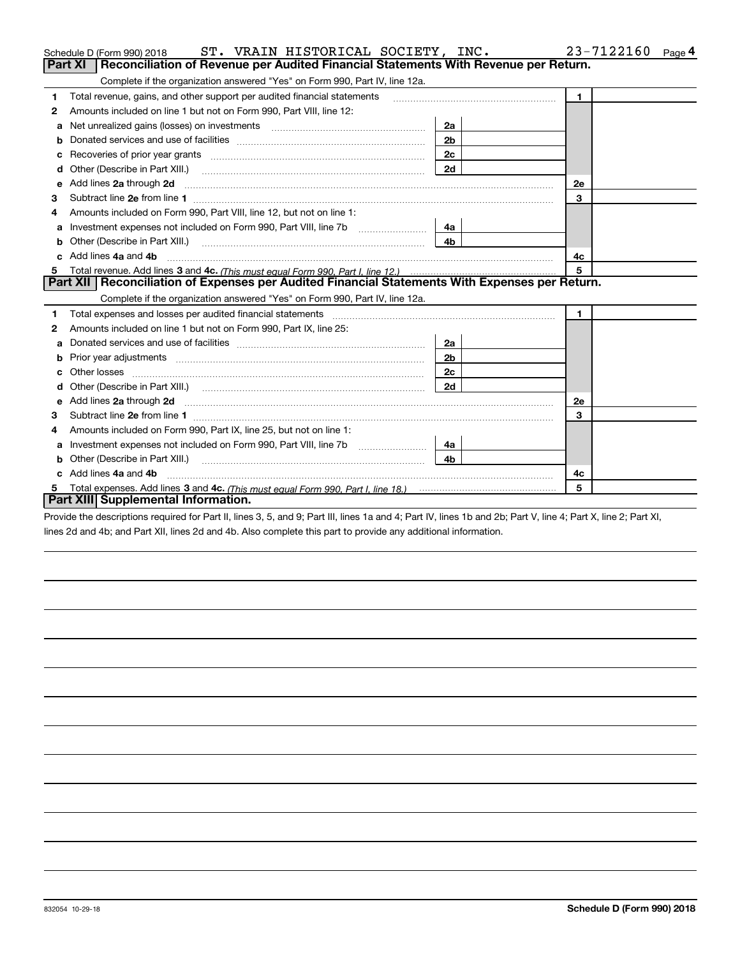|              | ST. VRAIN HISTORICAL SOCIETY, INC.<br>Schedule D (Form 990) 2018                                                                                                                                                                     |                | 23-7122160<br>Page 4 |
|--------------|--------------------------------------------------------------------------------------------------------------------------------------------------------------------------------------------------------------------------------------|----------------|----------------------|
|              | <b>Part XI</b><br>Reconciliation of Revenue per Audited Financial Statements With Revenue per Return.                                                                                                                                |                |                      |
|              | Complete if the organization answered "Yes" on Form 990, Part IV, line 12a.                                                                                                                                                          |                |                      |
| $\mathbf{1}$ | Total revenue, gains, and other support per audited financial statements                                                                                                                                                             |                | $\blacksquare$       |
| 2            | Amounts included on line 1 but not on Form 990, Part VIII, line 12:                                                                                                                                                                  |                |                      |
| a            | Net unrealized gains (losses) on investments [11] matter contracts and the unrealized gains (losses) on investments                                                                                                                  | 2a             |                      |
| b            |                                                                                                                                                                                                                                      | 2 <sub>b</sub> |                      |
|              | Recoveries of prior year grants [111] matter contracts and prior year grants [11] matter contracts and prior year grants and an intervention and an intervention and an intervention and an intervention and an intervention a       | 2c             |                      |
| d            | Other (Describe in Part XIII.) <b>2006</b> 2007 2010 2010 2010 2010 2011 2012 2013 2014 2014 2015 2016 2017 2018 2019 2016 2017 2018 2019 2016 2017 2018 2019 2016 2017 2018 2019 2018 2019 2019 2016 2017 2018 2019 2018 2019 2019  | 2d             |                      |
| е            |                                                                                                                                                                                                                                      |                | 2e                   |
| 3            |                                                                                                                                                                                                                                      |                | 3                    |
| 4            | Amounts included on Form 990, Part VIII, line 12, but not on line 1:                                                                                                                                                                 |                |                      |
| a            |                                                                                                                                                                                                                                      | 4а             |                      |
|              |                                                                                                                                                                                                                                      | 4 <sub>b</sub> |                      |
| c.           | Add lines 4a and 4b                                                                                                                                                                                                                  |                | 4c                   |
|              |                                                                                                                                                                                                                                      |                | 5                    |
|              | Part XII   Reconciliation of Expenses per Audited Financial Statements With Expenses per Return.                                                                                                                                     |                |                      |
|              | Complete if the organization answered "Yes" on Form 990, Part IV, line 12a.                                                                                                                                                          |                |                      |
| 1            | Total expenses and losses per audited financial statements [11,11] material expenses and losses per audited financial statements [11,11] materials and the statements and the statements and the statements and the statements       |                | $\mathbf{1}$         |
| 2            | Amounts included on line 1 but not on Form 990, Part IX, line 25:                                                                                                                                                                    |                |                      |
| a            |                                                                                                                                                                                                                                      | 2a             |                      |
| b            |                                                                                                                                                                                                                                      | 2 <sub>b</sub> |                      |
|              |                                                                                                                                                                                                                                      | 2c             |                      |
| d            |                                                                                                                                                                                                                                      | 2d             |                      |
| е            | Add lines 2a through 2d <b>continuum contract and all contract and all contract and all contract and all contract and all contract and all contract and all contract and all contract and all contract and all contract and all </b> |                | 2e                   |
| з            |                                                                                                                                                                                                                                      |                | 3                    |
| 4            | Amounts included on Form 990, Part IX, line 25, but not on line 1:                                                                                                                                                                   |                |                      |
| a            | Investment expenses not included on Form 990, Part VIII, line 7b [111] [11] Investment expenses not included on Form 990, Part VIII, line 7b                                                                                         | 4a             |                      |
| b            | Other (Describe in Part XIII.)                                                                                                                                                                                                       | 4 <sub>b</sub> |                      |
| c            | Add lines 4a and 4b                                                                                                                                                                                                                  |                | 4c                   |
| 5            | Total expenses. Add lines 3 and 4c. (This must equal Form 990, Part I, line 18.) <b>Conservers</b> and the set of the set of the set of the set of the set of the set of the set of the set of the set of the set of the set of the  |                | 5                    |
|              | Part XIII Supplemental Information.                                                                                                                                                                                                  |                |                      |

Provide the descriptions required for Part II, lines 3, 5, and 9; Part III, lines 1a and 4; Part IV, lines 1b and 2b; Part V, line 4; Part X, line 2; Part XI, lines 2d and 4b; and Part XII, lines 2d and 4b. Also complete this part to provide any additional information.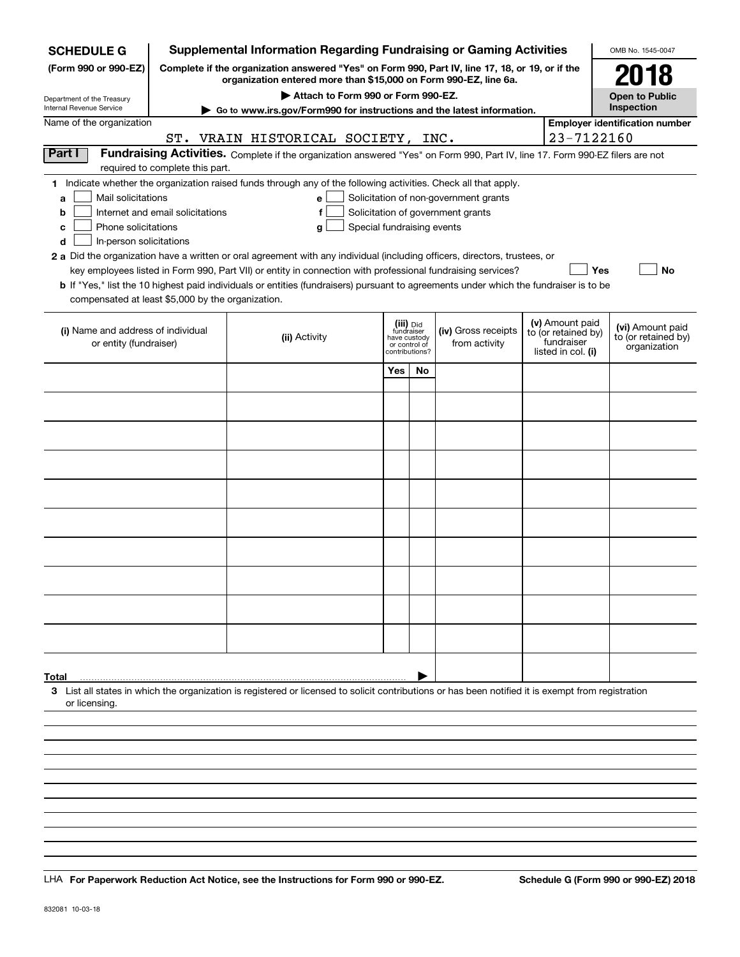| <b>SCHEDULE G</b>                                    |                                                                                                                 | <b>Supplemental Information Regarding Fundraising or Gaming Activities</b>                                                                                                                                                                           |                            |                                         |                                                                            |                                  |                                        | OMB No. 1545-0047                       |  |  |
|------------------------------------------------------|-----------------------------------------------------------------------------------------------------------------|------------------------------------------------------------------------------------------------------------------------------------------------------------------------------------------------------------------------------------------------------|----------------------------|-----------------------------------------|----------------------------------------------------------------------------|----------------------------------|----------------------------------------|-----------------------------------------|--|--|
| (Form 990 or 990-EZ)                                 |                                                                                                                 | Complete if the organization answered "Yes" on Form 990, Part IV, line 17, 18, or 19, or if the<br>organization entered more than \$15,000 on Form 990-EZ, line 6a.                                                                                  |                            |                                         |                                                                            |                                  |                                        | 2018                                    |  |  |
| Department of the Treasury                           |                                                                                                                 | Attach to Form 990 or Form 990-EZ.                                                                                                                                                                                                                   |                            |                                         |                                                                            |                                  |                                        | <b>Open to Public</b><br>Inspection     |  |  |
| Internal Revenue Service<br>Name of the organization |                                                                                                                 | Go to www.irs.gov/Form990 for instructions and the latest information.                                                                                                                                                                               |                            |                                         |                                                                            |                                  |                                        | <b>Employer identification number</b>   |  |  |
|                                                      |                                                                                                                 | ST. VRAIN HISTORICAL SOCIETY, INC.                                                                                                                                                                                                                   |                            |                                         |                                                                            |                                  | 23-7122160                             |                                         |  |  |
| Part I                                               |                                                                                                                 | Fundraising Activities. Complete if the organization answered "Yes" on Form 990, Part IV, line 17. Form 990-EZ filers are not                                                                                                                        |                            |                                         |                                                                            |                                  |                                        |                                         |  |  |
|                                                      | required to complete this part.                                                                                 |                                                                                                                                                                                                                                                      |                            |                                         |                                                                            |                                  |                                        |                                         |  |  |
|                                                      | 1 Indicate whether the organization raised funds through any of the following activities. Check all that apply. |                                                                                                                                                                                                                                                      |                            |                                         |                                                                            |                                  |                                        |                                         |  |  |
| Mail solicitations<br>a<br>b                         | Internet and email solicitations                                                                                | е                                                                                                                                                                                                                                                    |                            |                                         | Solicitation of non-government grants<br>Solicitation of government grants |                                  |                                        |                                         |  |  |
| Phone solicitations<br>с                             |                                                                                                                 | a                                                                                                                                                                                                                                                    | Special fundraising events |                                         |                                                                            |                                  |                                        |                                         |  |  |
| In-person solicitations<br>d                         |                                                                                                                 |                                                                                                                                                                                                                                                      |                            |                                         |                                                                            |                                  |                                        |                                         |  |  |
|                                                      |                                                                                                                 | 2 a Did the organization have a written or oral agreement with any individual (including officers, directors, trustees, or                                                                                                                           |                            |                                         |                                                                            |                                  |                                        |                                         |  |  |
|                                                      |                                                                                                                 | key employees listed in Form 990, Part VII) or entity in connection with professional fundraising services?<br>b If "Yes," list the 10 highest paid individuals or entities (fundraisers) pursuant to agreements under which the fundraiser is to be |                            |                                         |                                                                            |                                  | Yes                                    | <b>No</b>                               |  |  |
| compensated at least \$5,000 by the organization.    |                                                                                                                 |                                                                                                                                                                                                                                                      |                            |                                         |                                                                            |                                  |                                        |                                         |  |  |
|                                                      |                                                                                                                 |                                                                                                                                                                                                                                                      |                            |                                         |                                                                            |                                  |                                        |                                         |  |  |
| (i) Name and address of individual                   |                                                                                                                 | (ii) Activity                                                                                                                                                                                                                                        |                            | (iii) Did<br>fundraiser<br>have custody | (iv) Gross receipts                                                        |                                  | (v) Amount paid<br>to (or retained by) | (vi) Amount paid<br>to (or retained by) |  |  |
| or entity (fundraiser)                               |                                                                                                                 |                                                                                                                                                                                                                                                      |                            | or control of<br>contributions?         | from activity                                                              | fundraiser<br>listed in col. (i) |                                        | organization                            |  |  |
|                                                      |                                                                                                                 |                                                                                                                                                                                                                                                      | Yes                        | No                                      |                                                                            |                                  |                                        |                                         |  |  |
|                                                      |                                                                                                                 |                                                                                                                                                                                                                                                      |                            |                                         |                                                                            |                                  |                                        |                                         |  |  |
|                                                      |                                                                                                                 |                                                                                                                                                                                                                                                      |                            |                                         |                                                                            |                                  |                                        |                                         |  |  |
|                                                      |                                                                                                                 |                                                                                                                                                                                                                                                      |                            |                                         |                                                                            |                                  |                                        |                                         |  |  |
|                                                      |                                                                                                                 |                                                                                                                                                                                                                                                      |                            |                                         |                                                                            |                                  |                                        |                                         |  |  |
|                                                      |                                                                                                                 |                                                                                                                                                                                                                                                      |                            |                                         |                                                                            |                                  |                                        |                                         |  |  |
|                                                      |                                                                                                                 |                                                                                                                                                                                                                                                      |                            |                                         |                                                                            |                                  |                                        |                                         |  |  |
|                                                      |                                                                                                                 |                                                                                                                                                                                                                                                      |                            |                                         |                                                                            |                                  |                                        |                                         |  |  |
|                                                      |                                                                                                                 |                                                                                                                                                                                                                                                      |                            |                                         |                                                                            |                                  |                                        |                                         |  |  |
|                                                      |                                                                                                                 |                                                                                                                                                                                                                                                      |                            |                                         |                                                                            |                                  |                                        |                                         |  |  |
|                                                      |                                                                                                                 |                                                                                                                                                                                                                                                      |                            |                                         |                                                                            |                                  |                                        |                                         |  |  |
|                                                      |                                                                                                                 |                                                                                                                                                                                                                                                      |                            |                                         |                                                                            |                                  |                                        |                                         |  |  |
|                                                      |                                                                                                                 |                                                                                                                                                                                                                                                      |                            |                                         |                                                                            |                                  |                                        |                                         |  |  |
|                                                      |                                                                                                                 |                                                                                                                                                                                                                                                      |                            |                                         |                                                                            |                                  |                                        |                                         |  |  |
|                                                      |                                                                                                                 |                                                                                                                                                                                                                                                      |                            |                                         |                                                                            |                                  |                                        |                                         |  |  |
|                                                      |                                                                                                                 |                                                                                                                                                                                                                                                      |                            |                                         |                                                                            |                                  |                                        |                                         |  |  |
|                                                      |                                                                                                                 |                                                                                                                                                                                                                                                      |                            |                                         |                                                                            |                                  |                                        |                                         |  |  |
| Total                                                |                                                                                                                 |                                                                                                                                                                                                                                                      |                            |                                         |                                                                            |                                  |                                        |                                         |  |  |
|                                                      |                                                                                                                 | 3 List all states in which the organization is registered or licensed to solicit contributions or has been notified it is exempt from registration                                                                                                   |                            |                                         |                                                                            |                                  |                                        |                                         |  |  |
| or licensing.                                        |                                                                                                                 |                                                                                                                                                                                                                                                      |                            |                                         |                                                                            |                                  |                                        |                                         |  |  |
|                                                      |                                                                                                                 |                                                                                                                                                                                                                                                      |                            |                                         |                                                                            |                                  |                                        |                                         |  |  |
|                                                      |                                                                                                                 |                                                                                                                                                                                                                                                      |                            |                                         |                                                                            |                                  |                                        |                                         |  |  |
|                                                      |                                                                                                                 |                                                                                                                                                                                                                                                      |                            |                                         |                                                                            |                                  |                                        |                                         |  |  |
|                                                      |                                                                                                                 |                                                                                                                                                                                                                                                      |                            |                                         |                                                                            |                                  |                                        |                                         |  |  |

LHA For Paperwork Reduction Act Notice, see the Instructions for Form 990 or 990-EZ. Schedule G (Form 990 or 990-EZ) 2018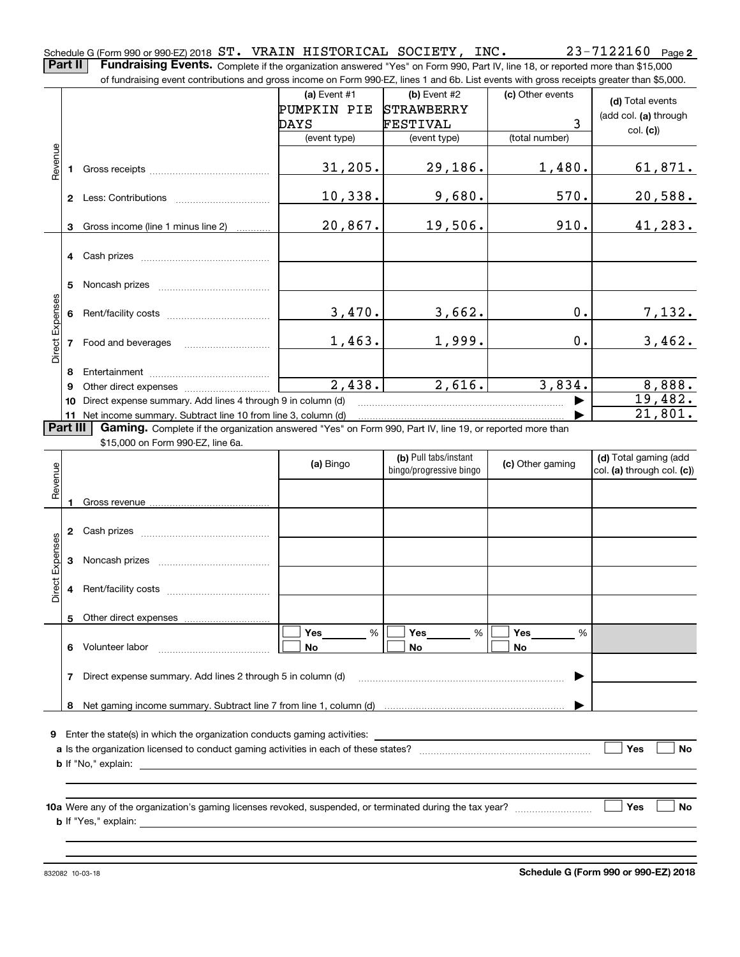Schedule G (Form 990 or 990-EZ) 2018 Page ST. VRAIN HISTORICAL SOCIETY, INC. 23-7122160

**Part II** | Fundraising Events. Complete if the organization answered "Yes" on Form 990, Part IV, line 18, or reported more than \$15,000 of fundraising event contributions and gross income on Form 990-EZ, lines 1 and 6b. List events with gross receipts greater than \$5,000.

|                                                                                                                      |              | 01 lungasing event contributions and gross income on Form 990-EZ, inles T and OD. Elst events with gross receipts greater than \$0,000. |                      |                         |                  |                            |  |  |
|----------------------------------------------------------------------------------------------------------------------|--------------|-----------------------------------------------------------------------------------------------------------------------------------------|----------------------|-------------------------|------------------|----------------------------|--|--|
|                                                                                                                      |              |                                                                                                                                         | (a) Event $#1$       | $(b)$ Event #2          | (c) Other events | (d) Total events           |  |  |
|                                                                                                                      |              |                                                                                                                                         | PUMPKIN PIE          | <b>STRAWBERRY</b>       |                  | (add col. (a) through      |  |  |
|                                                                                                                      |              |                                                                                                                                         | DAYS                 | <b>FESTIVAL</b>         | 3                | col. (c)                   |  |  |
|                                                                                                                      |              |                                                                                                                                         | (event type)         | (event type)            | (total number)   |                            |  |  |
|                                                                                                                      |              |                                                                                                                                         |                      |                         |                  |                            |  |  |
|                                                                                                                      |              |                                                                                                                                         | 31, 205.             | 29,186.                 | 1,480.           | 61,871.                    |  |  |
|                                                                                                                      |              |                                                                                                                                         |                      |                         |                  |                            |  |  |
|                                                                                                                      |              |                                                                                                                                         | 10,338.              | 9,680.                  | 570.             | 20,588.                    |  |  |
|                                                                                                                      |              |                                                                                                                                         |                      |                         |                  |                            |  |  |
|                                                                                                                      |              | 3 Gross income (line 1 minus line 2)                                                                                                    | 20,867.              | 19,506.                 | 910.             | 41,283.                    |  |  |
|                                                                                                                      |              |                                                                                                                                         |                      |                         |                  |                            |  |  |
|                                                                                                                      |              | 4 Cash prizes                                                                                                                           |                      |                         |                  |                            |  |  |
|                                                                                                                      |              |                                                                                                                                         |                      |                         |                  |                            |  |  |
|                                                                                                                      |              | 5 Noncash prizes                                                                                                                        |                      |                         |                  |                            |  |  |
| Revenue<br>Direct Expenses<br>Revenue<br><b>Direct Expenses</b>                                                      |              |                                                                                                                                         |                      |                         |                  |                            |  |  |
|                                                                                                                      |              |                                                                                                                                         | 3,470.               | 3,662.                  | 0.               | 7,132.                     |  |  |
|                                                                                                                      |              |                                                                                                                                         | 1,463.               | 1,999.                  | 0.               | 3,462.                     |  |  |
|                                                                                                                      |              | 7 Food and beverages                                                                                                                    |                      |                         |                  |                            |  |  |
|                                                                                                                      |              |                                                                                                                                         |                      |                         |                  |                            |  |  |
|                                                                                                                      | 8<br>9       |                                                                                                                                         | $\overline{2,438}$ . | 2,616.                  | 3,834.           | 8,888.                     |  |  |
|                                                                                                                      | 10           | Direct expense summary. Add lines 4 through 9 in column (d)                                                                             |                      |                         |                  | 19,482.                    |  |  |
|                                                                                                                      |              | 11 Net income summary. Subtract line 10 from line 3, column (d)                                                                         |                      |                         |                  | 21,801.                    |  |  |
| Part III<br>Gaming. Complete if the organization answered "Yes" on Form 990, Part IV, line 19, or reported more than |              |                                                                                                                                         |                      |                         |                  |                            |  |  |
|                                                                                                                      |              | \$15,000 on Form 990-EZ, line 6a.                                                                                                       |                      |                         |                  |                            |  |  |
|                                                                                                                      |              |                                                                                                                                         |                      | (b) Pull tabs/instant   | (c) Other gaming | (d) Total gaming (add      |  |  |
|                                                                                                                      |              |                                                                                                                                         | (a) Bingo            | bingo/progressive bingo |                  | col. (a) through col. (c)) |  |  |
|                                                                                                                      |              |                                                                                                                                         |                      |                         |                  |                            |  |  |
|                                                                                                                      | $\mathbf{1}$ |                                                                                                                                         |                      |                         |                  |                            |  |  |
|                                                                                                                      |              |                                                                                                                                         |                      |                         |                  |                            |  |  |
|                                                                                                                      |              | 2 Cash prizes                                                                                                                           |                      |                         |                  |                            |  |  |
|                                                                                                                      |              |                                                                                                                                         |                      |                         |                  |                            |  |  |
|                                                                                                                      |              |                                                                                                                                         |                      |                         |                  |                            |  |  |
|                                                                                                                      |              |                                                                                                                                         |                      |                         |                  |                            |  |  |
|                                                                                                                      |              |                                                                                                                                         |                      |                         |                  |                            |  |  |
|                                                                                                                      |              | 5 Other direct expenses                                                                                                                 |                      |                         |                  |                            |  |  |
|                                                                                                                      |              |                                                                                                                                         | Yes<br>%             | Yes<br>%                | Yes<br>%         |                            |  |  |
|                                                                                                                      | 6            | Volunteer labor                                                                                                                         | No                   | No                      | No               |                            |  |  |
|                                                                                                                      |              |                                                                                                                                         |                      |                         |                  |                            |  |  |
|                                                                                                                      |              | 7 Direct expense summary. Add lines 2 through 5 in column (d)                                                                           |                      |                         |                  |                            |  |  |
|                                                                                                                      |              |                                                                                                                                         |                      |                         |                  |                            |  |  |
|                                                                                                                      | 8            |                                                                                                                                         |                      |                         |                  |                            |  |  |
|                                                                                                                      |              |                                                                                                                                         |                      |                         |                  |                            |  |  |
|                                                                                                                      |              | 9 Enter the state(s) in which the organization conducts gaming activities:                                                              |                      |                         |                  |                            |  |  |
|                                                                                                                      |              |                                                                                                                                         |                      |                         |                  |                            |  |  |
|                                                                                                                      |              | <b>b</b> If "No," explain:                                                                                                              |                      |                         |                  |                            |  |  |
|                                                                                                                      |              |                                                                                                                                         |                      |                         |                  |                            |  |  |
|                                                                                                                      |              |                                                                                                                                         |                      |                         |                  |                            |  |  |
|                                                                                                                      |              |                                                                                                                                         |                      |                         |                  | Yes<br>No                  |  |  |
|                                                                                                                      |              | <b>b</b> If "Yes," explain:                                                                                                             |                      |                         |                  |                            |  |  |
|                                                                                                                      |              |                                                                                                                                         |                      |                         |                  |                            |  |  |
|                                                                                                                      |              |                                                                                                                                         |                      |                         |                  |                            |  |  |

832082 10-03-18

**2**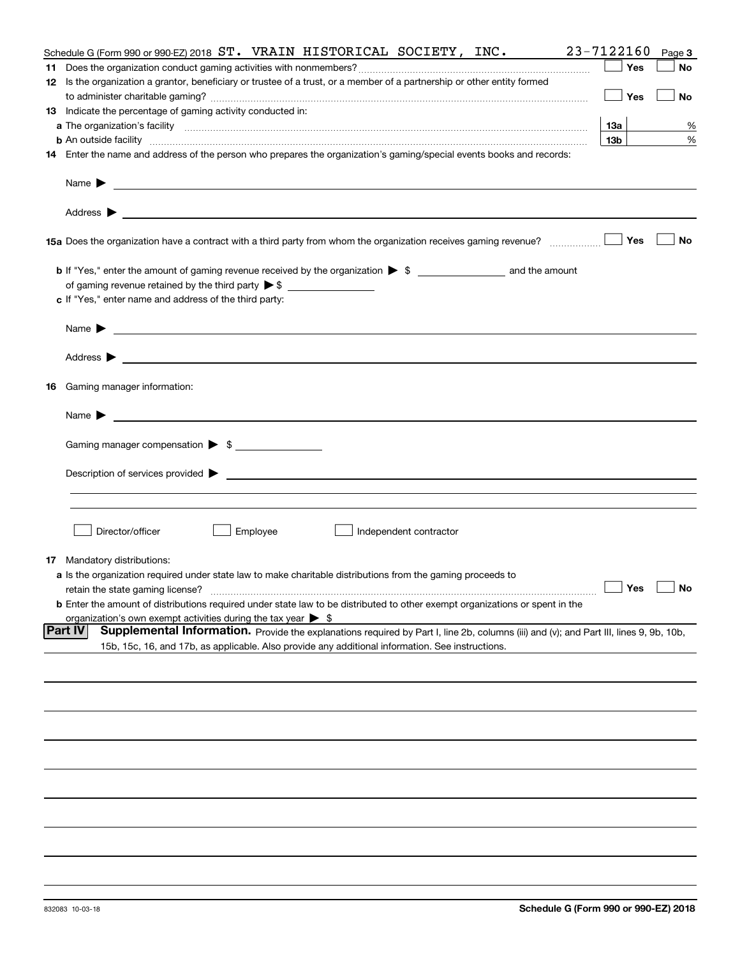| Schedule G (Form 990 or 990-EZ) 2018 ST. VRAIN HISTORICAL SOCIETY, INC.                                                                                                                                                                                                                                        | 23-7122160           | Page 3 |
|----------------------------------------------------------------------------------------------------------------------------------------------------------------------------------------------------------------------------------------------------------------------------------------------------------------|----------------------|--------|
|                                                                                                                                                                                                                                                                                                                | Yes                  | No     |
| 12 Is the organization a grantor, beneficiary or trustee of a trust, or a member of a partnership or other entity formed                                                                                                                                                                                       |                      |        |
|                                                                                                                                                                                                                                                                                                                | Yes                  | No     |
| 13 Indicate the percentage of gaming activity conducted in:                                                                                                                                                                                                                                                    |                      |        |
|                                                                                                                                                                                                                                                                                                                | 13а                  | %      |
|                                                                                                                                                                                                                                                                                                                | 13 <sub>b</sub>      | %      |
| <b>b</b> An outside facility <i>www.communically.communically.communically.communically.communically.communically.communically.communically.communically.communically.communically.communically.communically.communically.communicall</i>                                                                      |                      |        |
| 14 Enter the name and address of the person who prepares the organization's gaming/special events books and records:                                                                                                                                                                                           |                      |        |
| Name $\sum_{n=1}^{\infty}$ and $\sum_{n=1}^{\infty}$ and $\sum_{n=1}^{\infty}$ and $\sum_{n=1}^{\infty}$ and $\sum_{n=1}^{\infty}$ and $\sum_{n=1}^{\infty}$ and $\sum_{n=1}^{\infty}$ and $\sum_{n=1}^{\infty}$ and $\sum_{n=1}^{\infty}$ and $\sum_{n=1}^{\infty}$ and $\sum_{n=1}^{\infty}$ and $\sum_{n=1$ |                      |        |
|                                                                                                                                                                                                                                                                                                                |                      |        |
| 15a Does the organization have a contract with a third party from whom the organization receives gaming revenue?                                                                                                                                                                                               | Yes                  | No     |
| b If "Yes," enter the amount of gaming revenue received by the organization > \$ ____________________ and the amount                                                                                                                                                                                           |                      |        |
| of gaming revenue retained by the third party $\triangleright$ \$ $\_\_\_\_\_\_\_\_\_\_\_\_\_\_\_\_\_\_\_\_\_\_\_\_\_\_\_$                                                                                                                                                                                     |                      |        |
| c If "Yes," enter name and address of the third party:                                                                                                                                                                                                                                                         |                      |        |
|                                                                                                                                                                                                                                                                                                                |                      |        |
|                                                                                                                                                                                                                                                                                                                |                      |        |
|                                                                                                                                                                                                                                                                                                                |                      |        |
| <b>16</b> Gaming manager information:                                                                                                                                                                                                                                                                          |                      |        |
|                                                                                                                                                                                                                                                                                                                |                      |        |
| Gaming manager compensation > \$                                                                                                                                                                                                                                                                               |                      |        |
|                                                                                                                                                                                                                                                                                                                |                      |        |
|                                                                                                                                                                                                                                                                                                                |                      |        |
|                                                                                                                                                                                                                                                                                                                |                      |        |
|                                                                                                                                                                                                                                                                                                                |                      |        |
|                                                                                                                                                                                                                                                                                                                |                      |        |
| Director/officer<br>Employee<br>Independent contractor                                                                                                                                                                                                                                                         |                      |        |
|                                                                                                                                                                                                                                                                                                                |                      |        |
| <b>17</b> Mandatory distributions:                                                                                                                                                                                                                                                                             |                      |        |
| a Is the organization required under state law to make charitable distributions from the gaming proceeds to                                                                                                                                                                                                    |                      |        |
|                                                                                                                                                                                                                                                                                                                | $\Box$ Yes $\Box$ No |        |
| <b>b</b> Enter the amount of distributions required under state law to be distributed to other exempt organizations or spent in the                                                                                                                                                                            |                      |        |
| organization's own exempt activities during the tax year $\triangleright$ \$                                                                                                                                                                                                                                   |                      |        |
| <b>Part IV</b><br>Supplemental Information. Provide the explanations required by Part I, line 2b, columns (iii) and (v); and Part III, lines 9, 9b, 10b,                                                                                                                                                       |                      |        |
| 15b, 15c, 16, and 17b, as applicable. Also provide any additional information. See instructions.                                                                                                                                                                                                               |                      |        |
|                                                                                                                                                                                                                                                                                                                |                      |        |
|                                                                                                                                                                                                                                                                                                                |                      |        |
|                                                                                                                                                                                                                                                                                                                |                      |        |
|                                                                                                                                                                                                                                                                                                                |                      |        |
|                                                                                                                                                                                                                                                                                                                |                      |        |
|                                                                                                                                                                                                                                                                                                                |                      |        |
|                                                                                                                                                                                                                                                                                                                |                      |        |
|                                                                                                                                                                                                                                                                                                                |                      |        |
|                                                                                                                                                                                                                                                                                                                |                      |        |
|                                                                                                                                                                                                                                                                                                                |                      |        |
|                                                                                                                                                                                                                                                                                                                |                      |        |
|                                                                                                                                                                                                                                                                                                                |                      |        |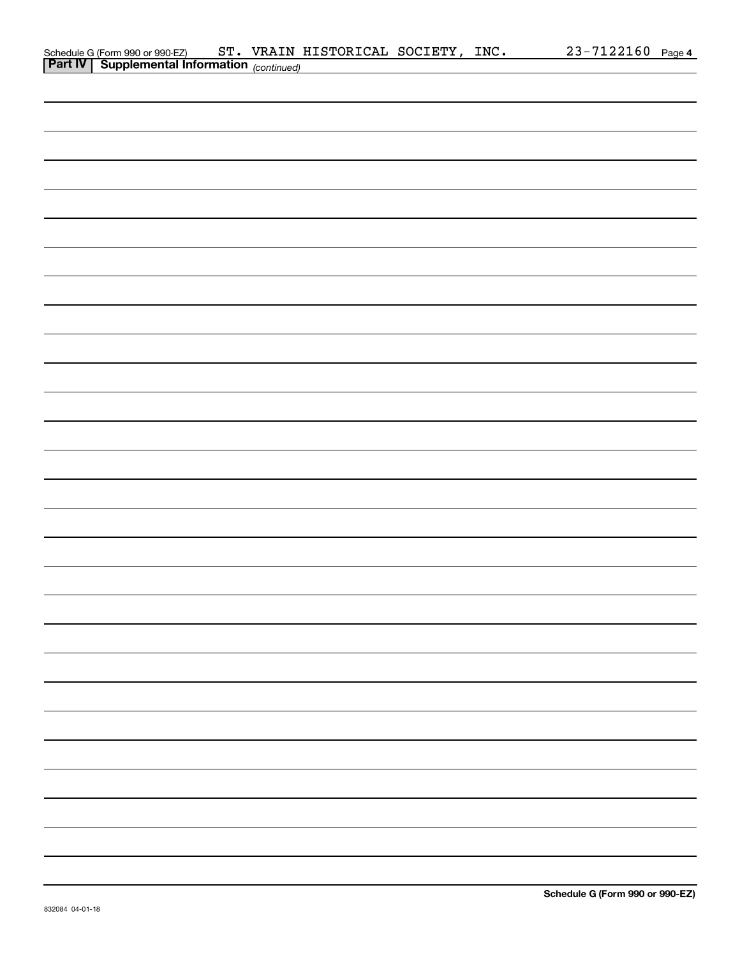| Schedule G (Form 990 or 990-EZ) ST. VRAIN I<br>Part IV Supplemental Information (continued) |  | ST. VRAIN HISTORICAL SOCIETY, INC. |  | 23-7122160 Page 4 |
|---------------------------------------------------------------------------------------------|--|------------------------------------|--|-------------------|
|                                                                                             |  |                                    |  |                   |
|                                                                                             |  |                                    |  |                   |
|                                                                                             |  |                                    |  |                   |
|                                                                                             |  |                                    |  |                   |
|                                                                                             |  |                                    |  |                   |
|                                                                                             |  |                                    |  |                   |
|                                                                                             |  |                                    |  |                   |
|                                                                                             |  |                                    |  |                   |
|                                                                                             |  |                                    |  |                   |
|                                                                                             |  |                                    |  |                   |
|                                                                                             |  |                                    |  |                   |
|                                                                                             |  |                                    |  |                   |
|                                                                                             |  |                                    |  |                   |
|                                                                                             |  |                                    |  |                   |
|                                                                                             |  |                                    |  |                   |
|                                                                                             |  |                                    |  |                   |
|                                                                                             |  |                                    |  |                   |
|                                                                                             |  |                                    |  |                   |
|                                                                                             |  |                                    |  |                   |
|                                                                                             |  |                                    |  |                   |
|                                                                                             |  |                                    |  |                   |
|                                                                                             |  |                                    |  |                   |
|                                                                                             |  |                                    |  |                   |
|                                                                                             |  |                                    |  |                   |
|                                                                                             |  |                                    |  |                   |
|                                                                                             |  |                                    |  |                   |
|                                                                                             |  |                                    |  |                   |
|                                                                                             |  |                                    |  |                   |
|                                                                                             |  |                                    |  |                   |
|                                                                                             |  |                                    |  |                   |
|                                                                                             |  |                                    |  |                   |
|                                                                                             |  |                                    |  |                   |
|                                                                                             |  |                                    |  |                   |
|                                                                                             |  |                                    |  |                   |
|                                                                                             |  |                                    |  |                   |
|                                                                                             |  |                                    |  |                   |
|                                                                                             |  |                                    |  |                   |
|                                                                                             |  |                                    |  |                   |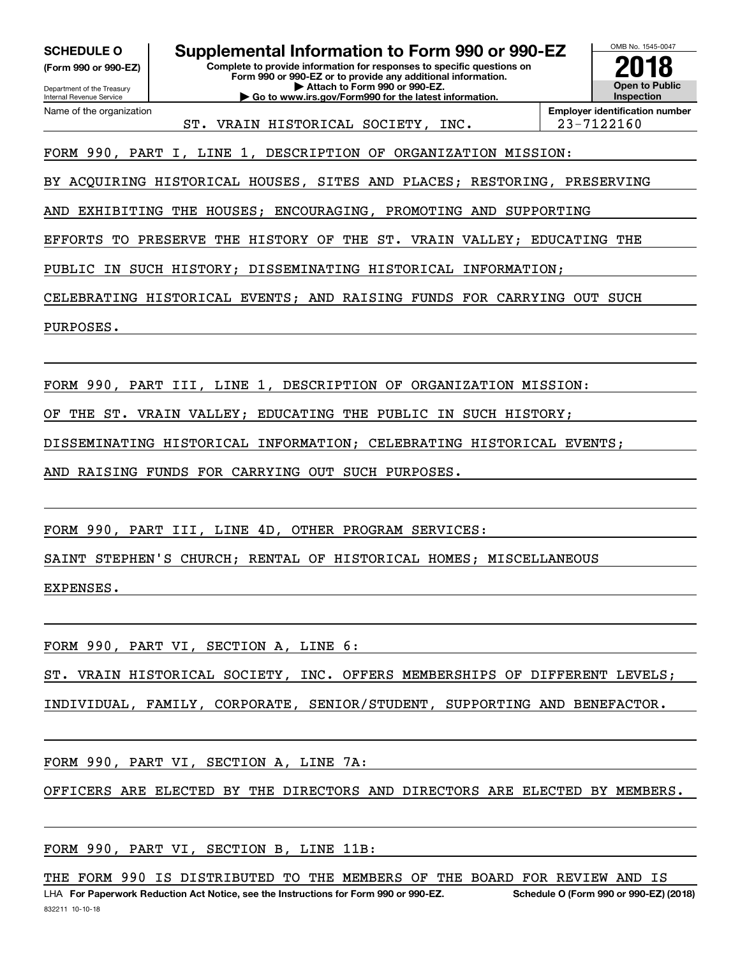**(Form 990 or 990-EZ)**

Department of the Treasury Internal Revenue Service

Name of the organization

**Complete to provide information for responses to specific questions on Form 990 or 990-EZ or to provide any additional information. | Attach to Form 990 or 990-EZ. | Go to www.irs.gov/Form990 for the latest information. SCHEDULE O Supplemental Information to Form 990 or 990-EZ**



ST. VRAIN HISTORICAL SOCIETY, INC. 23-7122160

**Employer identification number**

FORM 990, PART I, LINE 1, DESCRIPTION OF ORGANIZATION MISSION:

BY ACQUIRING HISTORICAL HOUSES, SITES AND PLACES; RESTORING, PRESERVING

AND EXHIBITING THE HOUSES; ENCOURAGING, PROMOTING AND SUPPORTING

EFFORTS TO PRESERVE THE HISTORY OF THE ST. VRAIN VALLEY; EDUCATING THE

PUBLIC IN SUCH HISTORY; DISSEMINATING HISTORICAL INFORMATION;

CELEBRATING HISTORICAL EVENTS; AND RAISING FUNDS FOR CARRYING OUT SUCH

PURPOSES.

FORM 990, PART III, LINE 1, DESCRIPTION OF ORGANIZATION MISSION:

OF THE ST. VRAIN VALLEY; EDUCATING THE PUBLIC IN SUCH HISTORY;

DISSEMINATING HISTORICAL INFORMATION; CELEBRATING HISTORICAL EVENTS;

AND RAISING FUNDS FOR CARRYING OUT SUCH PURPOSES.

FORM 990, PART III, LINE 4D, OTHER PROGRAM SERVICES:

SAINT STEPHEN'S CHURCH; RENTAL OF HISTORICAL HOMES; MISCELLANEOUS

EXPENSES.

FORM 990, PART VI, SECTION A, LINE 6:

ST. VRAIN HISTORICAL SOCIETY, INC. OFFERS MEMBERSHIPS OF DIFFERENT LEVELS;

INDIVIDUAL, FAMILY, CORPORATE, SENIOR/STUDENT, SUPPORTING AND BENEFACTOR.

FORM 990, PART VI, SECTION A, LINE 7A:

OFFICERS ARE ELECTED BY THE DIRECTORS AND DIRECTORS ARE ELECTED BY MEMBERS.

FORM 990, PART VI, SECTION B, LINE 11B:

THE FORM 990 IS DISTRIBUTED TO THE MEMBERS OF THE BOARD FOR REVIEW AND IS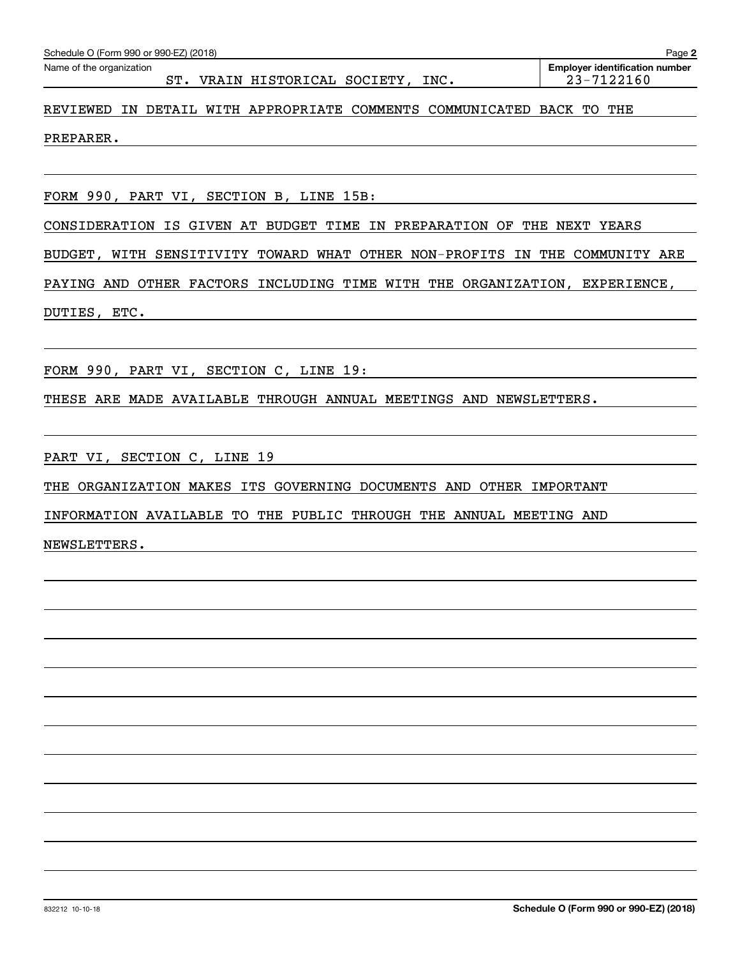| Schedule O (Form 990 or 990-EZ) (2018) |  |  |  |
|----------------------------------------|--|--|--|
|                                        |  |  |  |

### ST. VRAIN HISTORICAL SOCIETY, INC. | 23-7122160

**2**

## REVIEWED IN DETAIL WITH APPROPRIATE COMMENTS COMMUNICATED BACK TO THE

### PREPARER.

FORM 990, PART VI, SECTION B, LINE 15B:

CONSIDERATION IS GIVEN AT BUDGET TIME IN PREPARATION OF THE NEXT YEARS

BUDGET, WITH SENSITIVITY TOWARD WHAT OTHER NON-PROFITS IN THE COMMUNITY ARE

PAYING AND OTHER FACTORS INCLUDING TIME WITH THE ORGANIZATION, EXPERIENCE,

DUTIES, ETC.

FORM 990, PART VI, SECTION C, LINE 19:

THESE ARE MADE AVAILABLE THROUGH ANNUAL MEETINGS AND NEWSLETTERS.

PART VI, SECTION C, LINE 19

THE ORGANIZATION MAKES ITS GOVERNING DOCUMENTS AND OTHER IMPORTANT

INFORMATION AVAILABLE TO THE PUBLIC THROUGH THE ANNUAL MEETING AND

NEWSLETTERS.